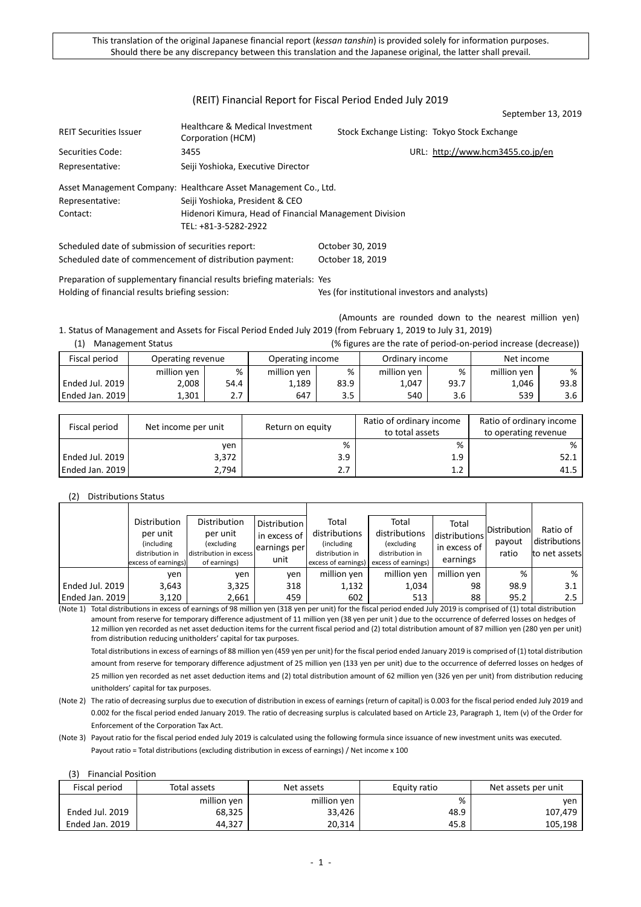## (REIT) Financial Report for Fiscal Period Ended July 2019

September 13, 2019

| <b>REIT Securities Issuer</b>                       | Healthcare & Medical Investment<br>Corporation (HCM)            | Stock Exchange Listing: Tokyo Stock Exchange |                                  |
|-----------------------------------------------------|-----------------------------------------------------------------|----------------------------------------------|----------------------------------|
| Securities Code:                                    | 3455                                                            |                                              | URL: http://www.hcm3455.co.jp/en |
| Representative:                                     | Seiji Yoshioka, Executive Director                              |                                              |                                  |
|                                                     | Asset Management Company: Healthcare Asset Management Co., Ltd. |                                              |                                  |
| Representative:                                     | Seiji Yoshioka, President & CEO                                 |                                              |                                  |
| Contact:                                            | Hidenori Kimura, Head of Financial Management Division          |                                              |                                  |
|                                                     | TEL: +81-3-5282-2922                                            |                                              |                                  |
| Schooluled data of submission of sequrities report: |                                                                 | 0 <sub>ctaber</sub> 20, 2010                 |                                  |

Scheduled date of submission of securities report: October 30, 2019 Scheduled date of commencement of distribution payment: October 18, 2019

Preparation of supplementary financial results briefing materials: Yes Holding of financial results briefing session: Yes (for institutional investors and analysts)

(Amounts are rounded down to the nearest million yen) 1. Status of Management and Assets for Fiscal Period Ended July 2019 (from February 1, 2019 to July 31, 2019)

|                 | <b>Management Status</b> | (% figures are the rate of period-on-period increase (decrease)) |                  |      |                 |      |             |      |
|-----------------|--------------------------|------------------------------------------------------------------|------------------|------|-----------------|------|-------------|------|
| Fiscal period   | Operating revenue        |                                                                  | Operating income |      | Ordinary income |      | Net income  |      |
|                 | million yen              | %                                                                | million yen      | %    | million yen     | %    | million yen | %    |
| Ended Jul. 2019 | 2.008                    | 54.4                                                             | 1,189            | 83.9 | 1,047           | 93.7 | 1,046       | 93.8 |
| Ended Jan. 2019 | 1,301                    | 2.7                                                              | 647              | 3.5  | 540             | 3.6  | 539         | 3.6  |

| Fiscal period   | Net income per unit | Return on equity | Ratio of ordinary income<br>to total assets | Ratio of ordinary income<br>to operating revenue |
|-----------------|---------------------|------------------|---------------------------------------------|--------------------------------------------------|
|                 | ven                 | %                | %                                           | %                                                |
| Ended Jul. 2019 | 3,372               | 3.9              | 1.9                                         | 52.1                                             |
| Ended Jan. 2019 | 2,794               | 2.7              |                                             | 41.5                                             |

#### (2) Distributions Status

|                 | <b>Distribution</b><br>per unit<br>(including)<br>distribution in<br>excess of earnings) | Distribution<br>per unit<br>(excluding<br>distribution in excess<br>of earnings) | Distribution<br>in excess of<br>learnings per<br>unit | Total<br>distributions<br>(including)<br>distribution in<br>excess of earnings) | Total<br>distributions<br>(excluding<br>distribution in<br>excess of earnings) | Total<br>distributions<br>in excess of<br>earnings | <b>Distribution</b><br>payout<br>ratio | Ratio of<br>distributions<br>to net assets |
|-----------------|------------------------------------------------------------------------------------------|----------------------------------------------------------------------------------|-------------------------------------------------------|---------------------------------------------------------------------------------|--------------------------------------------------------------------------------|----------------------------------------------------|----------------------------------------|--------------------------------------------|
|                 | ven                                                                                      | ven                                                                              | ven                                                   | million yen                                                                     | million yen                                                                    | million ven                                        | %                                      | %                                          |
| Ended Jul. 2019 | 3,643                                                                                    | 3,325                                                                            | 318                                                   | 1,132                                                                           | 1,034                                                                          | 98                                                 | 98.9                                   | 3.1                                        |
| Ended Jan. 2019 | 3,120                                                                                    | 2,661                                                                            | 459                                                   | 602                                                                             | 513                                                                            | 88                                                 | 95.2                                   | 2.5                                        |

(Note 1) Total distributions in excess of earnings of 98 million yen (318 yen per unit) for the fiscal period ended July 2019 is comprised of (1) total distribution amount from reserve for temporary difference adjustment of 11 million yen (38 yen per unit ) due to the occurrence of deferred losses on hedges of 12 million yen recorded as net asset deduction items for the current fiscal period and (2) total distribution amount of 87 million yen (280 yen per unit) from distribution reducing unitholders' capital for tax purposes.

Total distributions in excess of earnings of 88 million yen (459 yen per unit) for the fiscal period ended January 2019 is comprised of (1) total distribution amount from reserve for temporary difference adjustment of 25 million yen (133 yen per unit) due to the occurrence of deferred losses on hedges of 25 million yen recorded as net asset deduction items and (2) total distribution amount of 62 million yen (326 yen per unit) from distribution reducing unitholders' capital for tax purposes.

(Note 2) The ratio of decreasing surplus due to execution of distribution in excess of earnings (return of capital) is 0.003 for the fiscal period ended July 2019 and 0.002 for the fiscal period ended January 2019. The ratio of decreasing surplus is calculated based on Article 23, Paragraph 1, Item (v) of the Order for Enforcement of the Corporation Tax Act.

(Note 3) Payout ratio for the fiscal period ended July 2019 is calculated using the following formula since issuance of new investment units was executed. Payout ratio = Total distributions (excluding distribution in excess of earnings) / Net income x 100

(3) Financial Position

| Fiscal period   | Total assets | Net assets  | Equity ratio | Net assets per unit |
|-----------------|--------------|-------------|--------------|---------------------|
|                 | million yen  | million yen | %            | ven                 |
| Ended Jul. 2019 | 68,325       | 33,426      | 48.9         | 107,479             |
| Ended Jan. 2019 | 44.327       | 20.314      | 45.8         | 105,198             |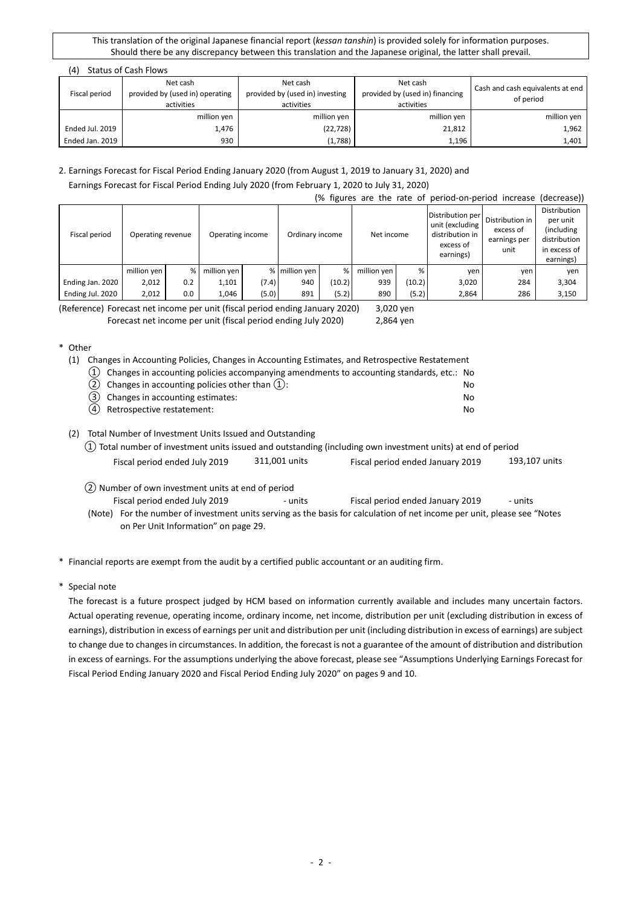|  | (4)             | Status of Cash Flows                        |                                             |                                             |                                               |  |
|--|-----------------|---------------------------------------------|---------------------------------------------|---------------------------------------------|-----------------------------------------------|--|
|  | Fiscal period   | Net cash<br>provided by (used in) operating | Net cash<br>provided by (used in) investing | Net cash<br>provided by (used in) financing | Cash and cash equivalents at end<br>of period |  |
|  |                 | activities                                  | activities                                  | activities                                  |                                               |  |
|  |                 | million yen                                 | million yen                                 | million yen                                 | million yen                                   |  |
|  | Ended Jul. 2019 | 1.476                                       | (22, 728)                                   | 21,812                                      | 1,962                                         |  |
|  | Ended Jan. 2019 | 930                                         | (1,788)                                     | 1,196                                       | 1,401                                         |  |

## 2. Earnings Forecast for Fiscal Period Ending January 2020 (from August 1, 2019 to January 31, 2020) and Earnings Forecast for Fiscal Period Ending July 2020 (from February 1, 2020 to July 31, 2020)

(% figures are the rate of period-on-period increase (decrease))

| Fiscal period    | Operating revenue |         | Operating income |       |               | Ordinary income |             | Distribution per<br>unit (excluding<br>Net income |       | Distribution in<br>excess of<br>earnings per<br>unit | Distribution<br>per unit<br>(including)<br>distribution<br>in excess of<br>earnings) |
|------------------|-------------------|---------|------------------|-------|---------------|-----------------|-------------|---------------------------------------------------|-------|------------------------------------------------------|--------------------------------------------------------------------------------------|
|                  | million yen       | %       | million yen      |       | % million yen | %               | million yen | %                                                 | ven   | yen                                                  | ven                                                                                  |
| Ending Jan. 2020 | 2,012             | 0.2     | 1,101            | (7.4) | 940           | (10.2)          | 939         | (10.2)                                            | 3,020 | 284                                                  | 3,304                                                                                |
| Ending Jul. 2020 | 2,012             | $0.0\,$ | 1,046            | (5.0) | 891           | (5.2)           | 890         | (5.2)                                             | 2,864 | 286                                                  | 3,150                                                                                |

(Reference) Forecast net income per unit (fiscal period ending January 2020) 3,020 yen Forecast net income per unit (fiscal period ending July 2020) 2,864 yen

## \* Other

(1) Changes in Accounting Policies, Changes in Accounting Estimates, and Retrospective Restatement

| $\Omega$ Changes in accounting policies accompanying amendments to accounting standards, etc.: No |    |
|---------------------------------------------------------------------------------------------------|----|
| (2) Changes in accounting policies other than $(1)$ :                                             | N٥ |
| (3) Changes in accounting estimates:                                                              | N٥ |

④ Retrospective restatement: No

## (2) Total Number of Investment Units Issued and Outstanding

|                               |               | $(1)$ Total number of investment units issued and outstanding (including own investment units) at end of period |               |
|-------------------------------|---------------|-----------------------------------------------------------------------------------------------------------------|---------------|
| Fiscal period ended July 2019 | 311,001 units | Fiscal period ended January 2019                                                                                | 193,107 units |

② Number of own investment units at end of period

Fiscal period ended July 2019 - units Fiscal period ended January 2019 - units

(Note) For the number of investment units serving as the basis for calculation of net income per unit, please see "Notes on Per Unit Information" on page 29.

- \* Financial reports are exempt from the audit by a certified public accountant or an auditing firm.
- \* Special note

The forecast is a future prospect judged by HCM based on information currently available and includes many uncertain factors. Actual operating revenue, operating income, ordinary income, net income, distribution per unit (excluding distribution in excess of earnings), distribution in excess of earnings per unit and distribution per unit (including distribution in excess of earnings) are subject to change due to changes in circumstances. In addition, the forecast is not a guarantee of the amount of distribution and distribution in excess of earnings. For the assumptions underlying the above forecast, please see "Assumptions Underlying Earnings Forecast for Fiscal Period Ending January 2020 and Fiscal Period Ending July 2020" on pages 9 and 10.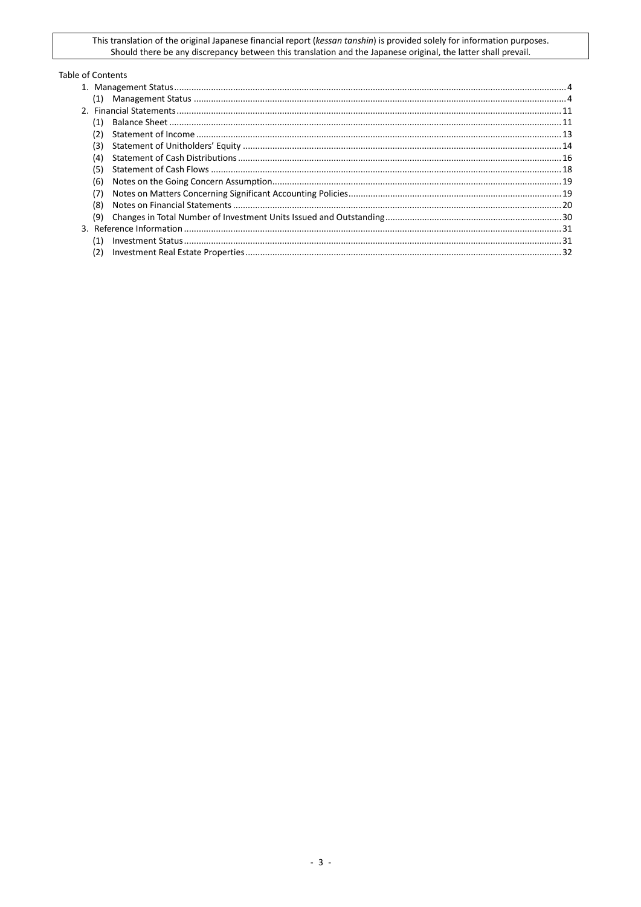### Table of Contents

| (1) |  |
|-----|--|
|     |  |
| (1) |  |
| (2) |  |
| (3) |  |
| (4) |  |
| (5) |  |
| (6) |  |
| (7) |  |
| (8) |  |
| (9) |  |
|     |  |
| (1) |  |
| (2) |  |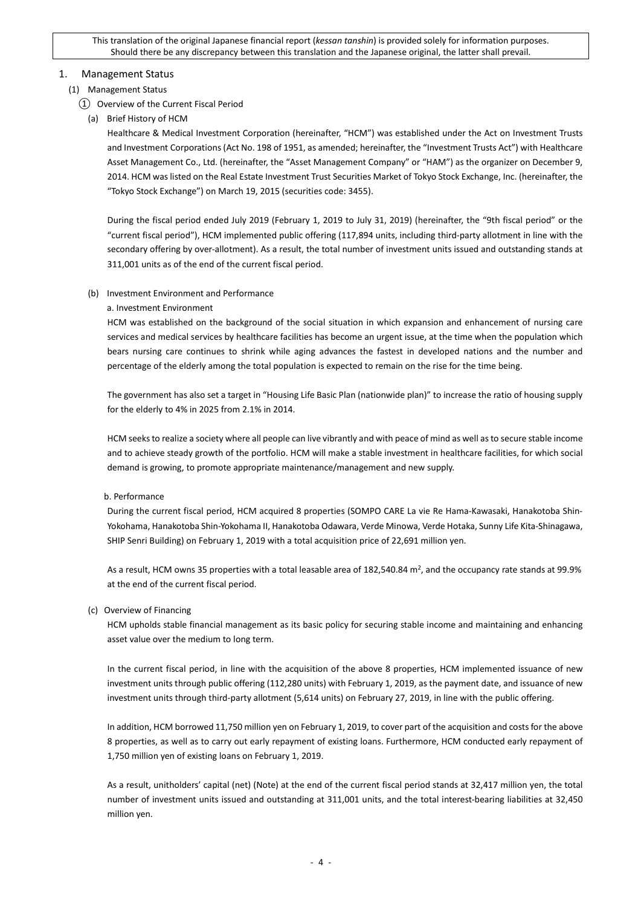#### <span id="page-3-0"></span>1. Management Status

#### <span id="page-3-1"></span>(1) Management Status

- ① Overview of the Current Fiscal Period
	- (a) Brief History of HCM

Healthcare & Medical Investment Corporation (hereinafter, "HCM") was established under the Act on Investment Trusts and Investment Corporations (Act No. 198 of 1951, as amended; hereinafter, the "Investment Trusts Act") with Healthcare Asset Management Co., Ltd. (hereinafter, the "Asset Management Company" or "HAM") as the organizer on December 9, 2014. HCM was listed on the Real Estate Investment Trust Securities Market of Tokyo Stock Exchange, Inc. (hereinafter, the "Tokyo Stock Exchange") on March 19, 2015 (securities code: 3455).

During the fiscal period ended July 2019 (February 1, 2019 to July 31, 2019) (hereinafter, the "9th fiscal period" or the "current fiscal period"), HCM implemented public offering (117,894 units, including third-party allotment in line with the secondary offering by over-allotment). As a result, the total number of investment units issued and outstanding stands at 311,001 units as of the end of the current fiscal period.

(b) Investment Environment and Performance

#### a. Investment Environment

HCM was established on the background of the social situation in which expansion and enhancement of nursing care services and medical services by healthcare facilities has become an urgent issue, at the time when the population which bears nursing care continues to shrink while aging advances the fastest in developed nations and the number and percentage of the elderly among the total population is expected to remain on the rise for the time being.

The government has also set a target in "Housing Life Basic Plan (nationwide plan)" to increase the ratio of housing supply for the elderly to 4% in 2025 from 2.1% in 2014.

HCM seeks to realize a society where all people can live vibrantly and with peace of mind as well as to secure stable income and to achieve steady growth of the portfolio. HCM will make a stable investment in healthcare facilities, for which social demand is growing, to promote appropriate maintenance/management and new supply.

#### b. Performance

During the current fiscal period, HCM acquired 8 properties (SOMPO CARE La vie Re Hama-Kawasaki, Hanakotoba Shin-Yokohama, Hanakotoba Shin-Yokohama II, Hanakotoba Odawara, Verde Minowa, Verde Hotaka, Sunny Life Kita-Shinagawa, SHIP Senri Building) on February 1, 2019 with a total acquisition price of 22,691 million yen.

As a result, HCM owns 35 properties with a total leasable area of 182,540.84 m<sup>2</sup>, and the occupancy rate stands at 99.9% at the end of the current fiscal period.

#### (c) Overview of Financing

HCM upholds stable financial management as its basic policy for securing stable income and maintaining and enhancing asset value over the medium to long term.

In the current fiscal period, in line with the acquisition of the above 8 properties, HCM implemented issuance of new investment units through public offering (112,280 units) with February 1, 2019, as the payment date, and issuance of new investment units through third-party allotment (5,614 units) on February 27, 2019, in line with the public offering.

In addition, HCM borrowed 11,750 million yen on February 1, 2019, to cover part of the acquisition and costs for the above 8 properties, as well as to carry out early repayment of existing loans. Furthermore, HCM conducted early repayment of 1,750 million yen of existing loans on February 1, 2019.

As a result, unitholders' capital (net) (Note) at the end of the current fiscal period stands at 32,417 million yen, the total number of investment units issued and outstanding at 311,001 units, and the total interest-bearing liabilities at 32,450 million yen.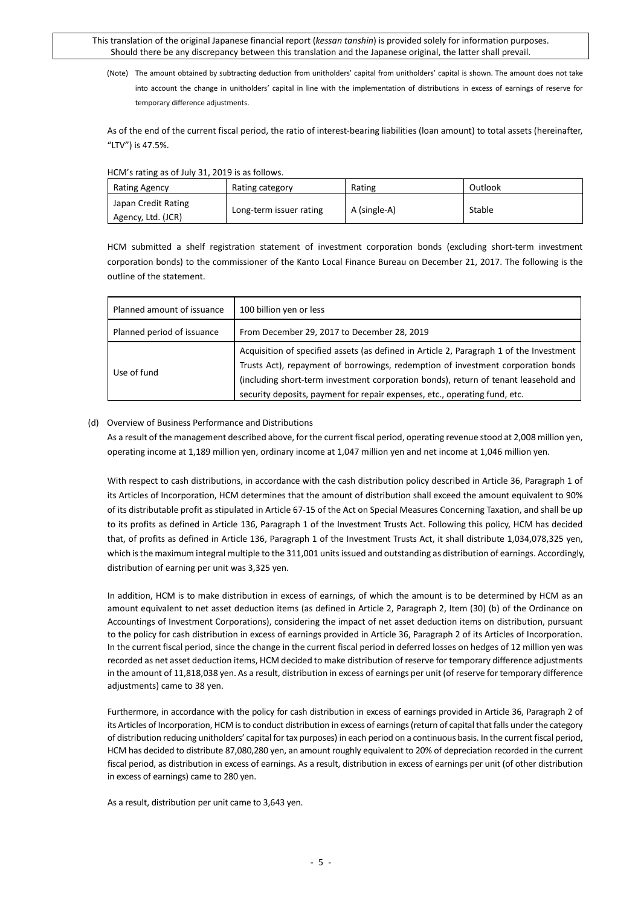(Note) The amount obtained by subtracting deduction from unitholders' capital from unitholders' capital is shown. The amount does not take into account the change in unitholders' capital in line with the implementation of distributions in excess of earnings of reserve for temporary difference adjustments.

As of the end of the current fiscal period, the ratio of interest-bearing liabilities (loan amount) to total assets (hereinafter, "LTV") is 47.5%.

#### HCM's rating as of July 31, 2019 is as follows.

| Rating Agency                             | Rating category         | Rating       | Outlook |
|-------------------------------------------|-------------------------|--------------|---------|
| Japan Credit Rating<br>Agency, Ltd. (JCR) | Long-term issuer rating | A (single-A) | Stable  |

HCM submitted a shelf registration statement of investment corporation bonds (excluding short-term investment corporation bonds) to the commissioner of the Kanto Local Finance Bureau on December 21, 2017. The following is the outline of the statement.

| Planned amount of issuance | 100 billion yen or less                                                                 |
|----------------------------|-----------------------------------------------------------------------------------------|
| Planned period of issuance | From December 29, 2017 to December 28, 2019                                             |
|                            | Acquisition of specified assets (as defined in Article 2, Paragraph 1 of the Investment |
| Use of fund                | Trusts Act), repayment of borrowings, redemption of investment corporation bonds        |
|                            | (including short-term investment corporation bonds), return of tenant leasehold and     |
|                            | security deposits, payment for repair expenses, etc., operating fund, etc.              |

### (d) Overview of Business Performance and Distributions

As a result of the management described above, for the current fiscal period, operating revenue stood at 2,008 million yen, operating income at 1,189 million yen, ordinary income at 1,047 million yen and net income at 1,046 million yen.

With respect to cash distributions, in accordance with the cash distribution policy described in Article 36, Paragraph 1 of its Articles of Incorporation, HCM determines that the amount of distribution shall exceed the amount equivalent to 90% of its distributable profit as stipulated in Article 67-15 of the Act on Special Measures Concerning Taxation, and shall be up to its profits as defined in Article 136, Paragraph 1 of the Investment Trusts Act. Following this policy, HCM has decided that, of profits as defined in Article 136, Paragraph 1 of the Investment Trusts Act, it shall distribute 1,034,078,325 yen, which is the maximum integral multiple to the 311,001 units issued and outstanding as distribution of earnings. Accordingly, distribution of earning per unit was 3,325 yen.

In addition, HCM is to make distribution in excess of earnings, of which the amount is to be determined by HCM as an amount equivalent to net asset deduction items (as defined in Article 2, Paragraph 2, Item (30) (b) of the Ordinance on Accountings of Investment Corporations), considering the impact of net asset deduction items on distribution, pursuant to the policy for cash distribution in excess of earnings provided in Article 36, Paragraph 2 of its Articles of Incorporation. In the current fiscal period, since the change in the current fiscal period in deferred losses on hedges of 12 million yen was recorded as net asset deduction items, HCM decided to make distribution of reserve for temporary difference adjustments in the amount of 11,818,038 yen. As a result, distribution in excess of earnings per unit (of reserve for temporary difference adjustments) came to 38 yen.

Furthermore, in accordance with the policy for cash distribution in excess of earnings provided in Article 36, Paragraph 2 of its Articles of Incorporation, HCM is to conduct distribution in excess of earnings (return of capital that falls under the category of distribution reducing unitholders' capital for tax purposes) in each period on a continuous basis. In the current fiscal period, HCM has decided to distribute 87,080,280 yen, an amount roughly equivalent to 20% of depreciation recorded in the current fiscal period, as distribution in excess of earnings. As a result, distribution in excess of earnings per unit (of other distribution in excess of earnings) came to 280 yen.

As a result, distribution per unit came to 3,643 yen.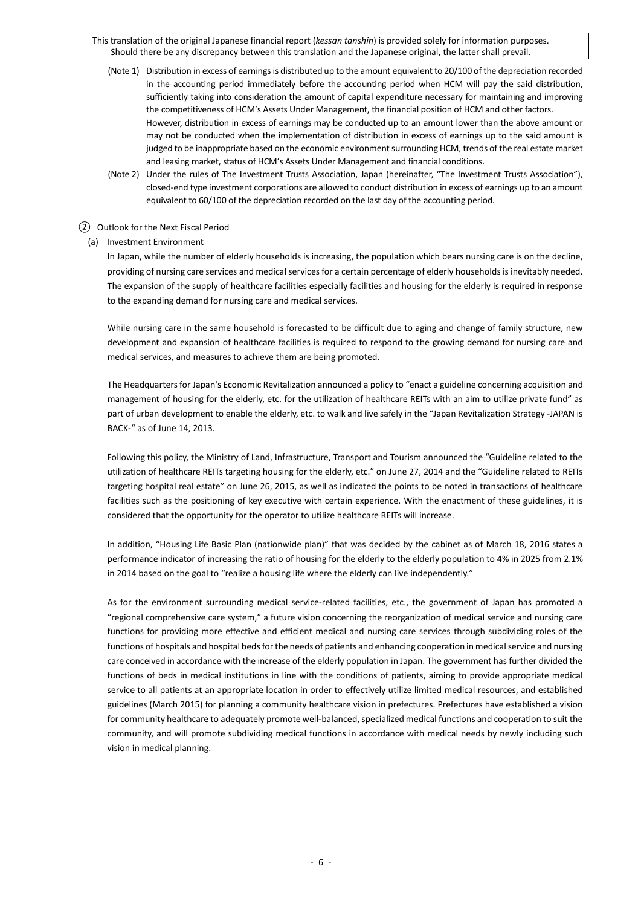- (Note 1) Distribution in excess of earnings is distributed up to the amount equivalent to 20/100 of the depreciation recorded in the accounting period immediately before the accounting period when HCM will pay the said distribution, sufficiently taking into consideration the amount of capital expenditure necessary for maintaining and improving the competitiveness of HCM's Assets Under Management, the financial position of HCM and other factors. However, distribution in excess of earnings may be conducted up to an amount lower than the above amount or may not be conducted when the implementation of distribution in excess of earnings up to the said amount is judged to be inappropriate based on the economic environment surrounding HCM, trends of the real estate market and leasing market, status of HCM's Assets Under Management and financial conditions.
- (Note 2) Under the rules of The Investment Trusts Association, Japan (hereinafter, "The Investment Trusts Association"), closed-end type investment corporations are allowed to conduct distribution in excess of earnings up to an amount equivalent to 60/100 of the depreciation recorded on the last day of the accounting period.

#### ② Outlook for the Next Fiscal Period

(a) Investment Environment

In Japan, while the number of elderly households is increasing, the population which bears nursing care is on the decline, providing of nursing care services and medical services for a certain percentage of elderly households is inevitably needed. The expansion of the supply of healthcare facilities especially facilities and housing for the elderly is required in response to the expanding demand for nursing care and medical services.

While nursing care in the same household is forecasted to be difficult due to aging and change of family structure, new development and expansion of healthcare facilities is required to respond to the growing demand for nursing care and medical services, and measures to achieve them are being promoted.

The Headquarters for Japan's Economic Revitalization announced a policy to "enact a guideline concerning acquisition and management of housing for the elderly, etc. for the utilization of healthcare REITs with an aim to utilize private fund" as part of urban development to enable the elderly, etc. to walk and live safely in the "Japan Revitalization Strategy -JAPAN is BACK-" as of June 14, 2013.

Following this policy, the Ministry of Land, Infrastructure, Transport and Tourism announced the "Guideline related to the utilization of healthcare REITs targeting housing for the elderly, etc." on June 27, 2014 and the "Guideline related to REITs targeting hospital real estate" on June 26, 2015, as well as indicated the points to be noted in transactions of healthcare facilities such as the positioning of key executive with certain experience. With the enactment of these guidelines, it is considered that the opportunity for the operator to utilize healthcare REITs will increase.

In addition, "Housing Life Basic Plan (nationwide plan)" that was decided by the cabinet as of March 18, 2016 states a performance indicator of increasing the ratio of housing for the elderly to the elderly population to 4% in 2025 from 2.1% in 2014 based on the goal to "realize a housing life where the elderly can live independently."

As for the environment surrounding medical service-related facilities, etc., the government of Japan has promoted a "regional comprehensive care system," a future vision concerning the reorganization of medical service and nursing care functions for providing more effective and efficient medical and nursing care services through subdividing roles of the functions of hospitals and hospital beds for the needs of patients and enhancing cooperation in medical service and nursing care conceived in accordance with the increase of the elderly population in Japan. The government has further divided the functions of beds in medical institutions in line with the conditions of patients, aiming to provide appropriate medical service to all patients at an appropriate location in order to effectively utilize limited medical resources, and established guidelines (March 2015) for planning a community healthcare vision in prefectures. Prefectures have established a vision for community healthcare to adequately promote well-balanced, specialized medical functions and cooperation to suit the community, and will promote subdividing medical functions in accordance with medical needs by newly including such vision in medical planning.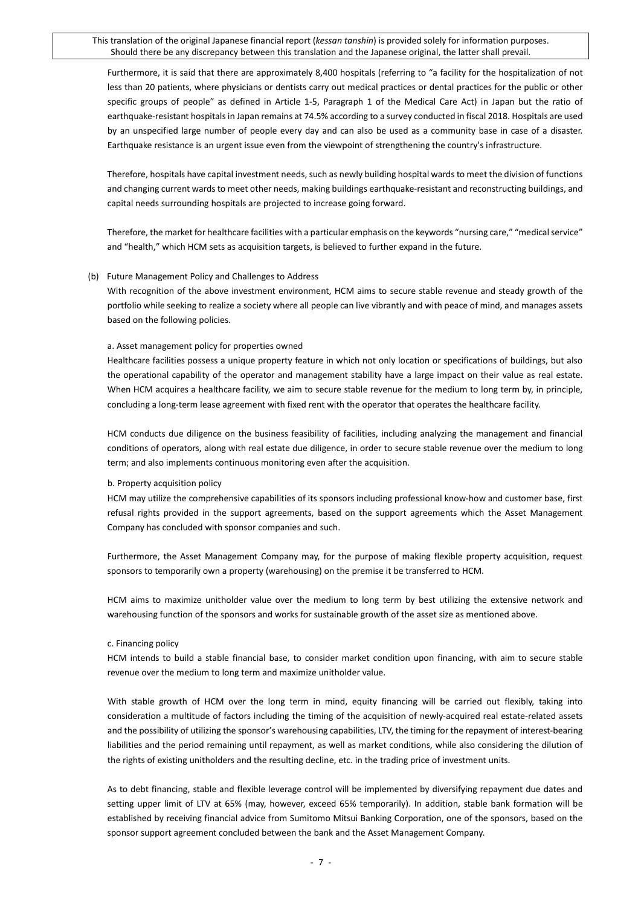Furthermore, it is said that there are approximately 8,400 hospitals (referring to "a facility for the hospitalization of not less than 20 patients, where physicians or dentists carry out medical practices or dental practices for the public or other specific groups of people" as defined in Article 1-5, Paragraph 1 of the Medical Care Act) in Japan but the ratio of earthquake-resistant hospitals in Japan remains at 74.5% according to a survey conducted in fiscal 2018. Hospitals are used by an unspecified large number of people every day and can also be used as a community base in case of a disaster. Earthquake resistance is an urgent issue even from the viewpoint of strengthening the country's infrastructure.

Therefore, hospitals have capital investment needs, such as newly building hospital wards to meet the division of functions and changing current wards to meet other needs, making buildings earthquake-resistant and reconstructing buildings, and capital needs surrounding hospitals are projected to increase going forward.

Therefore, the market for healthcare facilities with a particular emphasis on the keywords "nursing care," "medical service" and "health," which HCM sets as acquisition targets, is believed to further expand in the future.

#### (b) Future Management Policy and Challenges to Address

With recognition of the above investment environment, HCM aims to secure stable revenue and steady growth of the portfolio while seeking to realize a society where all people can live vibrantly and with peace of mind, and manages assets based on the following policies.

#### a. Asset management policy for properties owned

Healthcare facilities possess a unique property feature in which not only location or specifications of buildings, but also the operational capability of the operator and management stability have a large impact on their value as real estate. When HCM acquires a healthcare facility, we aim to secure stable revenue for the medium to long term by, in principle, concluding a long-term lease agreement with fixed rent with the operator that operates the healthcare facility.

HCM conducts due diligence on the business feasibility of facilities, including analyzing the management and financial conditions of operators, along with real estate due diligence, in order to secure stable revenue over the medium to long term; and also implements continuous monitoring even after the acquisition.

#### b. Property acquisition policy

HCM may utilize the comprehensive capabilities of its sponsors including professional know-how and customer base, first refusal rights provided in the support agreements, based on the support agreements which the Asset Management Company has concluded with sponsor companies and such.

Furthermore, the Asset Management Company may, for the purpose of making flexible property acquisition, request sponsors to temporarily own a property (warehousing) on the premise it be transferred to HCM.

HCM aims to maximize unitholder value over the medium to long term by best utilizing the extensive network and warehousing function of the sponsors and works for sustainable growth of the asset size as mentioned above.

#### c. Financing policy

HCM intends to build a stable financial base, to consider market condition upon financing, with aim to secure stable revenue over the medium to long term and maximize unitholder value.

With stable growth of HCM over the long term in mind, equity financing will be carried out flexibly, taking into consideration a multitude of factors including the timing of the acquisition of newly-acquired real estate-related assets and the possibility of utilizing the sponsor's warehousing capabilities, LTV, the timing for the repayment of interest-bearing liabilities and the period remaining until repayment, as well as market conditions, while also considering the dilution of the rights of existing unitholders and the resulting decline, etc. in the trading price of investment units.

As to debt financing, stable and flexible leverage control will be implemented by diversifying repayment due dates and setting upper limit of LTV at 65% (may, however, exceed 65% temporarily). In addition, stable bank formation will be established by receiving financial advice from Sumitomo Mitsui Banking Corporation, one of the sponsors, based on the sponsor support agreement concluded between the bank and the Asset Management Company.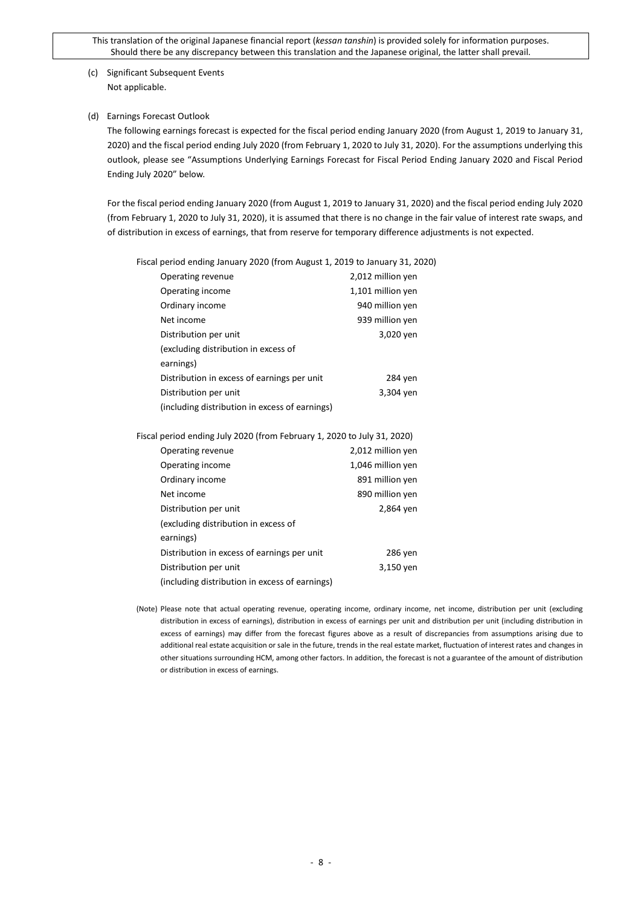## (c) Significant Subsequent Events Not applicable.

## (d) Earnings Forecast Outlook

The following earnings forecast is expected for the fiscal period ending January 2020 (from August 1, 2019 to January 31, 2020) and the fiscal period ending July 2020 (from February 1, 2020 to July 31, 2020). For the assumptions underlying this outlook, please see "Assumptions Underlying Earnings Forecast for Fiscal Period Ending January 2020 and Fiscal Period Ending July 2020" below.

For the fiscal period ending January 2020 (from August 1, 2019 to January 31, 2020) and the fiscal period ending July 2020 (from February 1, 2020 to July 31, 2020), it is assumed that there is no change in the fair value of interest rate swaps, and of distribution in excess of earnings, that from reserve for temporary difference adjustments is not expected.

Fiscal period ending January 2020 (from August 1, 2019 to January 31, 2020)

| Operating revenue                              | 2,012 million yen |
|------------------------------------------------|-------------------|
| Operating income                               | 1,101 million yen |
| Ordinary income                                | 940 million yen   |
| Net income                                     | 939 million yen   |
| Distribution per unit                          | 3,020 yen         |
| (excluding distribution in excess of           |                   |
| earnings)                                      |                   |
| Distribution in excess of earnings per unit    | 284 yen           |
| Distribution per unit                          | 3,304 yen         |
| (including distribution in excess of earnings) |                   |

Fiscal period ending July 2020 (from February 1, 2020 to July 31, 2020)

| Operating revenue                              | 2,012 million yen |
|------------------------------------------------|-------------------|
| Operating income                               | 1,046 million yen |
| Ordinary income                                | 891 million yen   |
| Net income                                     | 890 million yen   |
| Distribution per unit                          | 2,864 yen         |
| (excluding distribution in excess of           |                   |
| earnings)                                      |                   |
| Distribution in excess of earnings per unit    | 286 yen           |
| Distribution per unit                          | 3,150 yen         |
| (including distribution in excess of earnings) |                   |

(Note) Please note that actual operating revenue, operating income, ordinary income, net income, distribution per unit (excluding distribution in excess of earnings), distribution in excess of earnings per unit and distribution per unit (including distribution in excess of earnings) may differ from the forecast figures above as a result of discrepancies from assumptions arising due to additional real estate acquisition or sale in the future, trends in the real estate market, fluctuation of interest rates and changes in other situations surrounding HCM, among other factors. In addition, the forecast is not a guarantee of the amount of distribution or distribution in excess of earnings.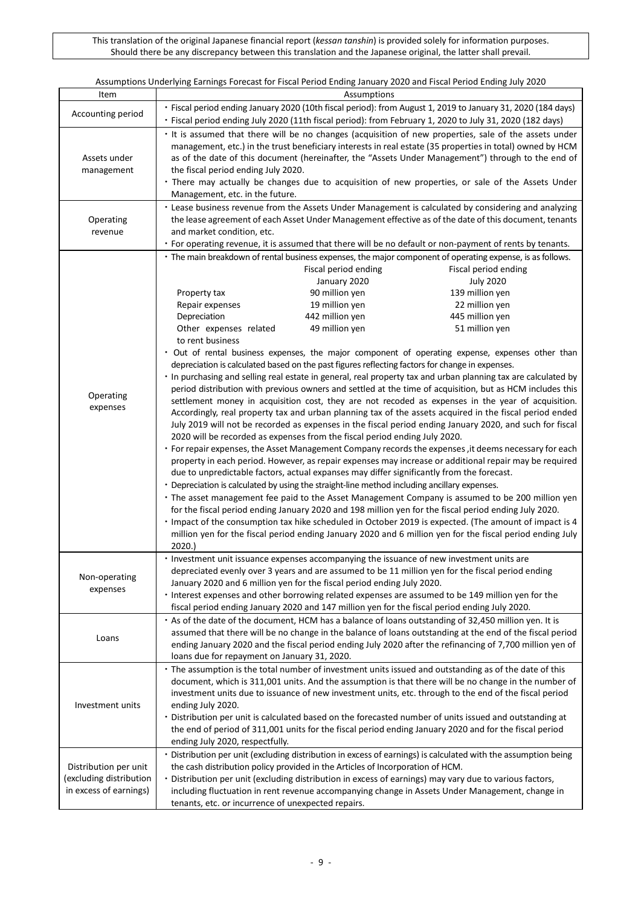|                                                                                                                           |                                                                                                                                                                                                                                                                                                                                                                                                                                                                                                                  |                                                                                                      | Assumptions Underlying Earnings Forecast for Fiscal Period Ending January 2020 and Fiscal Period Ending July 2020 |  |  |  |
|---------------------------------------------------------------------------------------------------------------------------|------------------------------------------------------------------------------------------------------------------------------------------------------------------------------------------------------------------------------------------------------------------------------------------------------------------------------------------------------------------------------------------------------------------------------------------------------------------------------------------------------------------|------------------------------------------------------------------------------------------------------|-------------------------------------------------------------------------------------------------------------------|--|--|--|
| Item                                                                                                                      |                                                                                                                                                                                                                                                                                                                                                                                                                                                                                                                  | Assumptions                                                                                          |                                                                                                                   |  |  |  |
|                                                                                                                           | · Fiscal period ending January 2020 (10th fiscal period): from August 1, 2019 to January 31, 2020 (184 days)                                                                                                                                                                                                                                                                                                                                                                                                     |                                                                                                      |                                                                                                                   |  |  |  |
| Accounting period                                                                                                         | · Fiscal period ending July 2020 (11th fiscal period): from February 1, 2020 to July 31, 2020 (182 days)                                                                                                                                                                                                                                                                                                                                                                                                         |                                                                                                      |                                                                                                                   |  |  |  |
|                                                                                                                           |                                                                                                                                                                                                                                                                                                                                                                                                                                                                                                                  | It is assumed that there will be no changes (acquisition of new properties, sale of the assets under |                                                                                                                   |  |  |  |
|                                                                                                                           | management, etc.) in the trust beneficiary interests in real estate (35 properties in total) owned by HCM                                                                                                                                                                                                                                                                                                                                                                                                        |                                                                                                      |                                                                                                                   |  |  |  |
| Assets under                                                                                                              |                                                                                                                                                                                                                                                                                                                                                                                                                                                                                                                  |                                                                                                      | as of the date of this document (hereinafter, the "Assets Under Management") through to the end of                |  |  |  |
|                                                                                                                           |                                                                                                                                                                                                                                                                                                                                                                                                                                                                                                                  |                                                                                                      |                                                                                                                   |  |  |  |
|                                                                                                                           | the fiscal period ending July 2020.<br>management<br>• There may actually be changes due to acquisition of new properties, or sale of the Assets Under                                                                                                                                                                                                                                                                                                                                                           |                                                                                                      |                                                                                                                   |  |  |  |
|                                                                                                                           | Management, etc. in the future.                                                                                                                                                                                                                                                                                                                                                                                                                                                                                  |                                                                                                      |                                                                                                                   |  |  |  |
|                                                                                                                           |                                                                                                                                                                                                                                                                                                                                                                                                                                                                                                                  |                                                                                                      |                                                                                                                   |  |  |  |
|                                                                                                                           |                                                                                                                                                                                                                                                                                                                                                                                                                                                                                                                  |                                                                                                      | . Lease business revenue from the Assets Under Management is calculated by considering and analyzing              |  |  |  |
| Operating                                                                                                                 |                                                                                                                                                                                                                                                                                                                                                                                                                                                                                                                  |                                                                                                      | the lease agreement of each Asset Under Management effective as of the date of this document, tenants             |  |  |  |
| revenue                                                                                                                   | and market condition, etc.                                                                                                                                                                                                                                                                                                                                                                                                                                                                                       |                                                                                                      |                                                                                                                   |  |  |  |
|                                                                                                                           |                                                                                                                                                                                                                                                                                                                                                                                                                                                                                                                  |                                                                                                      | · For operating revenue, it is assumed that there will be no default or non-payment of rents by tenants.          |  |  |  |
|                                                                                                                           |                                                                                                                                                                                                                                                                                                                                                                                                                                                                                                                  |                                                                                                      | · The main breakdown of rental business expenses, the major component of operating expense, is as follows.        |  |  |  |
|                                                                                                                           |                                                                                                                                                                                                                                                                                                                                                                                                                                                                                                                  | Fiscal period ending                                                                                 | Fiscal period ending                                                                                              |  |  |  |
|                                                                                                                           |                                                                                                                                                                                                                                                                                                                                                                                                                                                                                                                  | January 2020                                                                                         | <b>July 2020</b>                                                                                                  |  |  |  |
|                                                                                                                           | Property tax                                                                                                                                                                                                                                                                                                                                                                                                                                                                                                     | 90 million yen                                                                                       | 139 million yen                                                                                                   |  |  |  |
|                                                                                                                           | Repair expenses                                                                                                                                                                                                                                                                                                                                                                                                                                                                                                  | 19 million yen                                                                                       | 22 million yen                                                                                                    |  |  |  |
|                                                                                                                           | Depreciation                                                                                                                                                                                                                                                                                                                                                                                                                                                                                                     | 442 million yen                                                                                      | 445 million yen                                                                                                   |  |  |  |
|                                                                                                                           | Other expenses related                                                                                                                                                                                                                                                                                                                                                                                                                                                                                           | 49 million yen                                                                                       | 51 million yen                                                                                                    |  |  |  |
|                                                                                                                           | to rent business                                                                                                                                                                                                                                                                                                                                                                                                                                                                                                 |                                                                                                      |                                                                                                                   |  |  |  |
|                                                                                                                           |                                                                                                                                                                                                                                                                                                                                                                                                                                                                                                                  |                                                                                                      | . Out of rental business expenses, the major component of operating expense, expenses other than                  |  |  |  |
|                                                                                                                           |                                                                                                                                                                                                                                                                                                                                                                                                                                                                                                                  | depreciation is calculated based on the past figures reflecting factors for change in expenses.      |                                                                                                                   |  |  |  |
|                                                                                                                           |                                                                                                                                                                                                                                                                                                                                                                                                                                                                                                                  |                                                                                                      | · In purchasing and selling real estate in general, real property tax and urban planning tax are calculated by    |  |  |  |
|                                                                                                                           |                                                                                                                                                                                                                                                                                                                                                                                                                                                                                                                  |                                                                                                      | period distribution with previous owners and settled at the time of acquisition, but as HCM includes this         |  |  |  |
| Operating                                                                                                                 |                                                                                                                                                                                                                                                                                                                                                                                                                                                                                                                  |                                                                                                      | settlement money in acquisition cost, they are not recoded as expenses in the year of acquisition.                |  |  |  |
| expenses                                                                                                                  |                                                                                                                                                                                                                                                                                                                                                                                                                                                                                                                  |                                                                                                      | Accordingly, real property tax and urban planning tax of the assets acquired in the fiscal period ended           |  |  |  |
|                                                                                                                           |                                                                                                                                                                                                                                                                                                                                                                                                                                                                                                                  |                                                                                                      | July 2019 will not be recorded as expenses in the fiscal period ending January 2020, and such for fiscal          |  |  |  |
|                                                                                                                           |                                                                                                                                                                                                                                                                                                                                                                                                                                                                                                                  | 2020 will be recorded as expenses from the fiscal period ending July 2020.                           |                                                                                                                   |  |  |  |
|                                                                                                                           |                                                                                                                                                                                                                                                                                                                                                                                                                                                                                                                  |                                                                                                      | · For repair expenses, the Asset Management Company records the expenses , it deems necessary for each            |  |  |  |
|                                                                                                                           |                                                                                                                                                                                                                                                                                                                                                                                                                                                                                                                  |                                                                                                      |                                                                                                                   |  |  |  |
|                                                                                                                           | property in each period. However, as repair expenses may increase or additional repair may be required<br>due to unpredictable factors, actual expanses may differ significantly from the forecast.<br>• Depreciation is calculated by using the straight-line method including ancillary expenses.<br>· The asset management fee paid to the Asset Management Company is assumed to be 200 million yen<br>for the fiscal period ending January 2020 and 198 million yen for the fiscal period ending July 2020. |                                                                                                      |                                                                                                                   |  |  |  |
|                                                                                                                           |                                                                                                                                                                                                                                                                                                                                                                                                                                                                                                                  |                                                                                                      |                                                                                                                   |  |  |  |
|                                                                                                                           |                                                                                                                                                                                                                                                                                                                                                                                                                                                                                                                  |                                                                                                      |                                                                                                                   |  |  |  |
|                                                                                                                           |                                                                                                                                                                                                                                                                                                                                                                                                                                                                                                                  |                                                                                                      |                                                                                                                   |  |  |  |
|                                                                                                                           |                                                                                                                                                                                                                                                                                                                                                                                                                                                                                                                  |                                                                                                      |                                                                                                                   |  |  |  |
|                                                                                                                           | · Impact of the consumption tax hike scheduled in October 2019 is expected. (The amount of impact is 4<br>million yen for the fiscal period ending January 2020 and 6 million yen for the fiscal period ending July                                                                                                                                                                                                                                                                                              |                                                                                                      |                                                                                                                   |  |  |  |
|                                                                                                                           | 2020.                                                                                                                                                                                                                                                                                                                                                                                                                                                                                                            |                                                                                                      |                                                                                                                   |  |  |  |
|                                                                                                                           |                                                                                                                                                                                                                                                                                                                                                                                                                                                                                                                  | · Investment unit issuance expenses accompanying the issuance of new investment units are            |                                                                                                                   |  |  |  |
|                                                                                                                           |                                                                                                                                                                                                                                                                                                                                                                                                                                                                                                                  |                                                                                                      |                                                                                                                   |  |  |  |
| Non-operating                                                                                                             |                                                                                                                                                                                                                                                                                                                                                                                                                                                                                                                  |                                                                                                      | depreciated evenly over 3 years and are assumed to be 11 million yen for the fiscal period ending                 |  |  |  |
| expenses                                                                                                                  |                                                                                                                                                                                                                                                                                                                                                                                                                                                                                                                  | January 2020 and 6 million yen for the fiscal period ending July 2020.                               |                                                                                                                   |  |  |  |
|                                                                                                                           |                                                                                                                                                                                                                                                                                                                                                                                                                                                                                                                  |                                                                                                      | · Interest expenses and other borrowing related expenses are assumed to be 149 million yen for the                |  |  |  |
|                                                                                                                           |                                                                                                                                                                                                                                                                                                                                                                                                                                                                                                                  | fiscal period ending January 2020 and 147 million yen for the fiscal period ending July 2020.        |                                                                                                                   |  |  |  |
|                                                                                                                           |                                                                                                                                                                                                                                                                                                                                                                                                                                                                                                                  |                                                                                                      | . As of the date of the document, HCM has a balance of loans outstanding of 32,450 million yen. It is             |  |  |  |
| Loans                                                                                                                     |                                                                                                                                                                                                                                                                                                                                                                                                                                                                                                                  |                                                                                                      | assumed that there will be no change in the balance of loans outstanding at the end of the fiscal period          |  |  |  |
|                                                                                                                           |                                                                                                                                                                                                                                                                                                                                                                                                                                                                                                                  |                                                                                                      | ending January 2020 and the fiscal period ending July 2020 after the refinancing of 7,700 million yen of          |  |  |  |
|                                                                                                                           | loans due for repayment on January 31, 2020.                                                                                                                                                                                                                                                                                                                                                                                                                                                                     |                                                                                                      |                                                                                                                   |  |  |  |
|                                                                                                                           |                                                                                                                                                                                                                                                                                                                                                                                                                                                                                                                  |                                                                                                      | · The assumption is the total number of investment units issued and outstanding as of the date of this            |  |  |  |
|                                                                                                                           |                                                                                                                                                                                                                                                                                                                                                                                                                                                                                                                  |                                                                                                      | document, which is 311,001 units. And the assumption is that there will be no change in the number of             |  |  |  |
|                                                                                                                           |                                                                                                                                                                                                                                                                                                                                                                                                                                                                                                                  |                                                                                                      | investment units due to issuance of new investment units, etc. through to the end of the fiscal period            |  |  |  |
| Investment units                                                                                                          | ending July 2020.                                                                                                                                                                                                                                                                                                                                                                                                                                                                                                |                                                                                                      |                                                                                                                   |  |  |  |
|                                                                                                                           |                                                                                                                                                                                                                                                                                                                                                                                                                                                                                                                  |                                                                                                      | · Distribution per unit is calculated based on the forecasted number of units issued and outstanding at           |  |  |  |
|                                                                                                                           |                                                                                                                                                                                                                                                                                                                                                                                                                                                                                                                  |                                                                                                      | the end of period of 311,001 units for the fiscal period ending January 2020 and for the fiscal period            |  |  |  |
|                                                                                                                           | ending July 2020, respectfully.                                                                                                                                                                                                                                                                                                                                                                                                                                                                                  |                                                                                                      |                                                                                                                   |  |  |  |
|                                                                                                                           |                                                                                                                                                                                                                                                                                                                                                                                                                                                                                                                  |                                                                                                      | · Distribution per unit (excluding distribution in excess of earnings) is calculated with the assumption being    |  |  |  |
| Distribution per unit                                                                                                     |                                                                                                                                                                                                                                                                                                                                                                                                                                                                                                                  | the cash distribution policy provided in the Articles of Incorporation of HCM.                       |                                                                                                                   |  |  |  |
| (excluding distribution                                                                                                   |                                                                                                                                                                                                                                                                                                                                                                                                                                                                                                                  |                                                                                                      | · Distribution per unit (excluding distribution in excess of earnings) may vary due to various factors,           |  |  |  |
| in excess of earnings)<br>including fluctuation in rent revenue accompanying change in Assets Under Management, change in |                                                                                                                                                                                                                                                                                                                                                                                                                                                                                                                  |                                                                                                      |                                                                                                                   |  |  |  |
|                                                                                                                           | tenants, etc. or incurrence of unexpected repairs.                                                                                                                                                                                                                                                                                                                                                                                                                                                               |                                                                                                      |                                                                                                                   |  |  |  |

# Assumptions Underlying Earnings Forecast for Fiscal Period Ending January 2020 and Fiscal Period Ending July 2020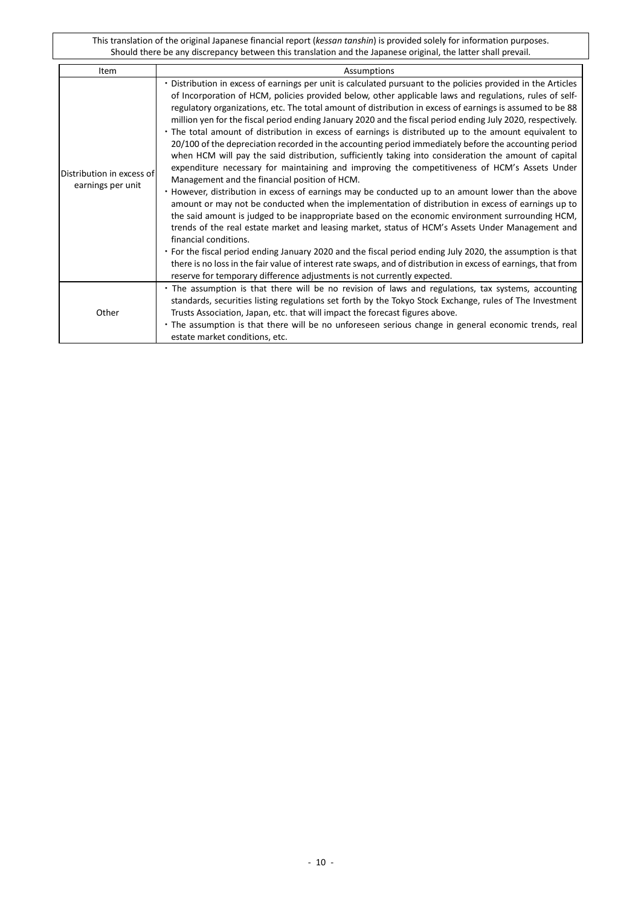| Item                                           | Assumptions                                                                                                                                                                                                                                                                                                                                                                                                                                                                                                                                                                                                                                                                                                                                                                                                                                                                                                                                                                                                                                                                                                                                                                                                                                                                                                                                                                                                                                                                                                                                                                                                                                                                                  |
|------------------------------------------------|----------------------------------------------------------------------------------------------------------------------------------------------------------------------------------------------------------------------------------------------------------------------------------------------------------------------------------------------------------------------------------------------------------------------------------------------------------------------------------------------------------------------------------------------------------------------------------------------------------------------------------------------------------------------------------------------------------------------------------------------------------------------------------------------------------------------------------------------------------------------------------------------------------------------------------------------------------------------------------------------------------------------------------------------------------------------------------------------------------------------------------------------------------------------------------------------------------------------------------------------------------------------------------------------------------------------------------------------------------------------------------------------------------------------------------------------------------------------------------------------------------------------------------------------------------------------------------------------------------------------------------------------------------------------------------------------|
| Distribution in excess of<br>earnings per unit | · Distribution in excess of earnings per unit is calculated pursuant to the policies provided in the Articles<br>of Incorporation of HCM, policies provided below, other applicable laws and regulations, rules of self-<br>regulatory organizations, etc. The total amount of distribution in excess of earnings is assumed to be 88<br>million yen for the fiscal period ending January 2020 and the fiscal period ending July 2020, respectively.<br>• The total amount of distribution in excess of earnings is distributed up to the amount equivalent to<br>20/100 of the depreciation recorded in the accounting period immediately before the accounting period<br>when HCM will pay the said distribution, sufficiently taking into consideration the amount of capital<br>expenditure necessary for maintaining and improving the competitiveness of HCM's Assets Under<br>Management and the financial position of HCM.<br>• However, distribution in excess of earnings may be conducted up to an amount lower than the above<br>amount or may not be conducted when the implementation of distribution in excess of earnings up to<br>the said amount is judged to be inappropriate based on the economic environment surrounding HCM,<br>trends of the real estate market and leasing market, status of HCM's Assets Under Management and<br>financial conditions.<br>• For the fiscal period ending January 2020 and the fiscal period ending July 2020, the assumption is that<br>there is no loss in the fair value of interest rate swaps, and of distribution in excess of earnings, that from<br>reserve for temporary difference adjustments is not currently expected. |
| Other                                          | • The assumption is that there will be no revision of laws and regulations, tax systems, accounting<br>standards, securities listing regulations set forth by the Tokyo Stock Exchange, rules of The Investment<br>Trusts Association, Japan, etc. that will impact the forecast figures above.<br>• The assumption is that there will be no unforeseen serious change in general economic trends, real<br>estate market conditions, etc.                                                                                                                                                                                                                                                                                                                                                                                                                                                                                                                                                                                                                                                                                                                                                                                                                                                                                                                                                                                                                                                                                                                                                                                                                                                    |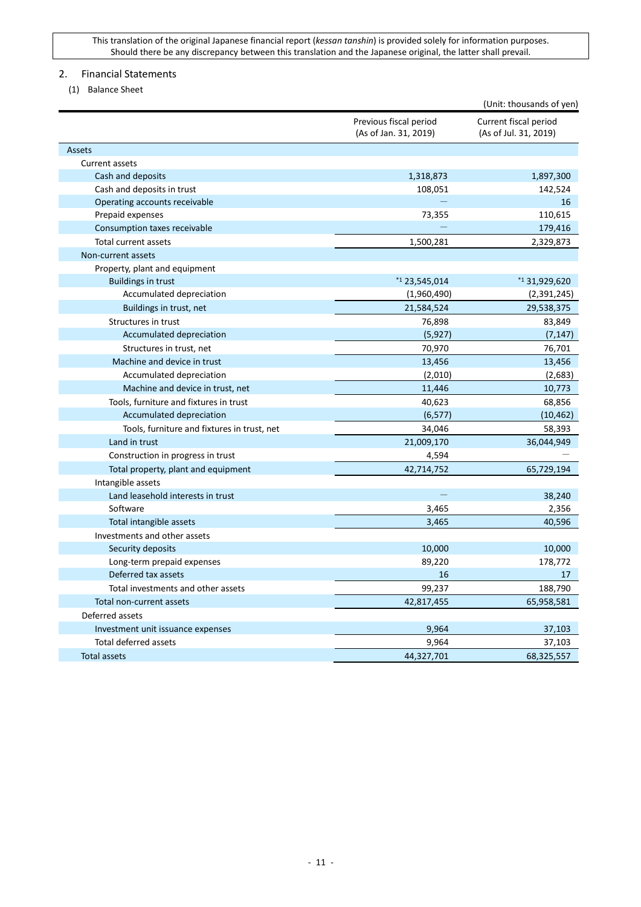## <span id="page-10-0"></span>2. Financial Statements

<span id="page-10-1"></span>(1) Balance Sheet

|                                             |                                                 | (Unit: thousands of yen)                       |
|---------------------------------------------|-------------------------------------------------|------------------------------------------------|
|                                             | Previous fiscal period<br>(As of Jan. 31, 2019) | Current fiscal period<br>(As of Jul. 31, 2019) |
| <b>Assets</b>                               |                                                 |                                                |
| Current assets                              |                                                 |                                                |
| Cash and deposits                           | 1,318,873                                       | 1,897,300                                      |
| Cash and deposits in trust                  | 108,051                                         | 142,524                                        |
| Operating accounts receivable               |                                                 | 16                                             |
| Prepaid expenses                            | 73,355                                          | 110,615                                        |
| Consumption taxes receivable                |                                                 | 179,416                                        |
| Total current assets                        | 1,500,281                                       | 2,329,873                                      |
| Non-current assets                          |                                                 |                                                |
| Property, plant and equipment               |                                                 |                                                |
| <b>Buildings in trust</b>                   | $*123,545,014$                                  | $*1$ 31,929,620                                |
| Accumulated depreciation                    | (1,960,490)                                     | (2,391,245)                                    |
| Buildings in trust, net                     | 21,584,524                                      | 29,538,375                                     |
| Structures in trust                         | 76,898                                          | 83,849                                         |
| Accumulated depreciation                    | (5, 927)                                        | (7, 147)                                       |
| Structures in trust, net                    | 70,970                                          | 76,701                                         |
| Machine and device in trust                 | 13,456                                          | 13,456                                         |
| Accumulated depreciation                    | (2,010)                                         | (2,683)                                        |
| Machine and device in trust, net            | 11,446                                          | 10,773                                         |
| Tools, furniture and fixtures in trust      | 40,623                                          | 68,856                                         |
| Accumulated depreciation                    | (6, 577)                                        | (10, 462)                                      |
| Tools, furniture and fixtures in trust, net | 34,046                                          | 58,393                                         |
| Land in trust                               | 21,009,170                                      | 36,044,949                                     |
| Construction in progress in trust           | 4,594                                           |                                                |
| Total property, plant and equipment         | 42,714,752                                      | 65,729,194                                     |
| Intangible assets                           |                                                 |                                                |
| Land leasehold interests in trust           |                                                 | 38,240                                         |
| Software                                    | 3,465                                           | 2,356                                          |
| Total intangible assets                     | 3,465                                           | 40,596                                         |
| Investments and other assets                |                                                 |                                                |
| Security deposits                           | 10,000                                          | 10,000                                         |
| Long-term prepaid expenses                  | 89,220                                          | 178,772                                        |
| Deferred tax assets                         | 16                                              | 17                                             |
| Total investments and other assets          | 99,237                                          | 188,790                                        |
| Total non-current assets                    | 42,817,455                                      | 65,958,581                                     |
| Deferred assets                             |                                                 |                                                |
| Investment unit issuance expenses           | 9,964                                           | 37,103                                         |
| <b>Total deferred assets</b>                | 9,964                                           | 37,103                                         |
| Total assets                                | 44,327,701                                      | 68,325,557                                     |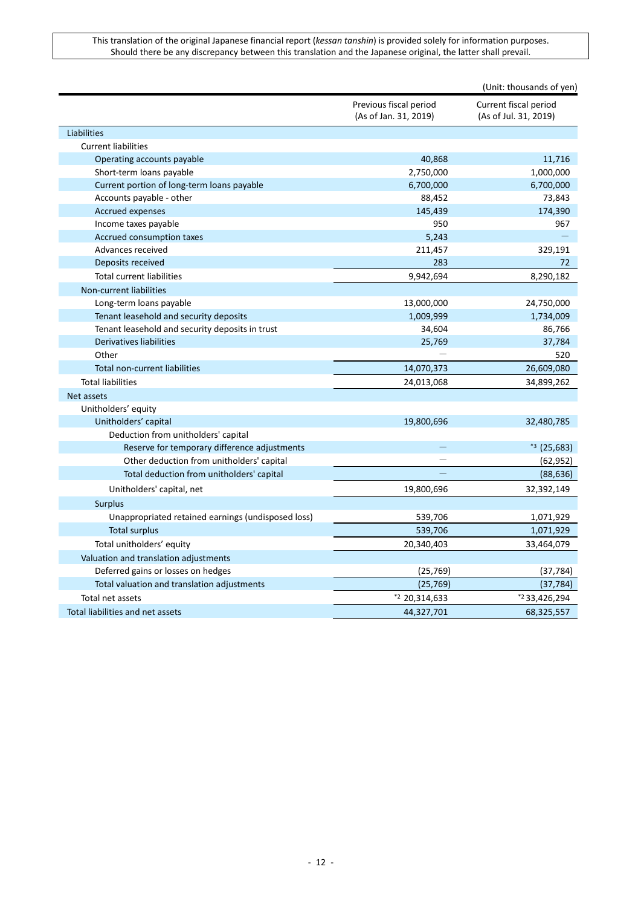|                                                    |                                                 | (Unit: thousands of yen)                       |
|----------------------------------------------------|-------------------------------------------------|------------------------------------------------|
|                                                    | Previous fiscal period<br>(As of Jan. 31, 2019) | Current fiscal period<br>(As of Jul. 31, 2019) |
| Liabilities                                        |                                                 |                                                |
| <b>Current liabilities</b>                         |                                                 |                                                |
| Operating accounts payable                         | 40,868                                          | 11,716                                         |
| Short-term loans payable                           | 2,750,000                                       | 1,000,000                                      |
| Current portion of long-term loans payable         | 6,700,000                                       | 6,700,000                                      |
| Accounts payable - other                           | 88,452                                          | 73,843                                         |
| <b>Accrued expenses</b>                            | 145,439                                         | 174,390                                        |
| Income taxes payable                               | 950                                             | 967                                            |
| Accrued consumption taxes                          | 5,243                                           |                                                |
| Advances received                                  | 211,457                                         | 329,191                                        |
| Deposits received                                  | 283                                             | 72                                             |
| <b>Total current liabilities</b>                   | 9,942,694                                       | 8,290,182                                      |
| Non-current liabilities                            |                                                 |                                                |
| Long-term loans payable                            | 13,000,000                                      | 24,750,000                                     |
| Tenant leasehold and security deposits             | 1,009,999                                       | 1,734,009                                      |
| Tenant leasehold and security deposits in trust    | 34,604                                          | 86,766                                         |
| <b>Derivatives liabilities</b>                     | 25,769                                          | 37,784                                         |
| Other                                              |                                                 | 520                                            |
| <b>Total non-current liabilities</b>               | 14,070,373                                      | 26,609,080                                     |
| <b>Total liabilities</b>                           | 24,013,068                                      | 34,899,262                                     |
| Net assets                                         |                                                 |                                                |
| Unitholders' equity                                |                                                 |                                                |
| Unitholders' capital                               | 19,800,696                                      | 32,480,785                                     |
| Deduction from unitholders' capital                |                                                 |                                                |
| Reserve for temporary difference adjustments       |                                                 | $*3(25,683)$                                   |
| Other deduction from unitholders' capital          |                                                 | (62, 952)                                      |
| Total deduction from unitholders' capital          |                                                 | (88, 636)                                      |
| Unitholders' capital, net                          | 19,800,696                                      | 32,392,149                                     |
| <b>Surplus</b>                                     |                                                 |                                                |
| Unappropriated retained earnings (undisposed loss) | 539,706                                         | 1,071,929                                      |
| <b>Total surplus</b>                               | 539,706                                         | 1,071,929                                      |
| Total unitholders' equity                          | 20,340,403                                      | 33,464,079                                     |
| Valuation and translation adjustments              |                                                 |                                                |
| Deferred gains or losses on hedges                 | (25, 769)                                       | (37, 784)                                      |
| Total valuation and translation adjustments        | (25, 769)                                       | (37, 784)                                      |
| Total net assets                                   | *2 20,314,633                                   | *233,426,294                                   |
| Total liabilities and net assets                   | 44,327,701                                      | 68,325,557                                     |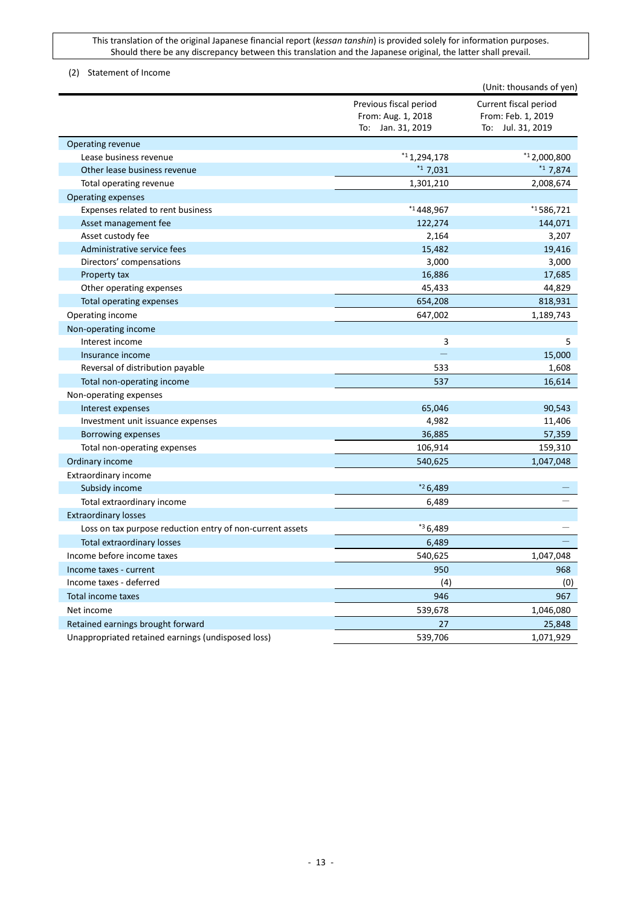## <span id="page-12-0"></span>(2) Statement of Income

|                                                           |                        | (Unit: thousands of yen) |
|-----------------------------------------------------------|------------------------|--------------------------|
|                                                           | Previous fiscal period | Current fiscal period    |
|                                                           | From: Aug. 1, 2018     | From: Feb. 1, 2019       |
|                                                           | To: Jan. 31, 2019      | To: Jul. 31, 2019        |
| Operating revenue                                         |                        |                          |
| Lease business revenue                                    | $*11,294,178$          | $*12,000,800$            |
| Other lease business revenue                              | $*17,031$              | $*17,874$                |
| Total operating revenue                                   | 1,301,210              | 2,008,674                |
| Operating expenses                                        |                        |                          |
| Expenses related to rent business                         | $*1448,967$            | $*1586,721$              |
| Asset management fee                                      | 122,274                | 144,071                  |
| Asset custody fee                                         | 2,164                  | 3,207                    |
| Administrative service fees                               | 15,482                 | 19,416                   |
| Directors' compensations                                  | 3,000                  | 3,000                    |
| Property tax                                              | 16,886                 | 17,685                   |
| Other operating expenses                                  | 45,433                 | 44,829                   |
| Total operating expenses                                  | 654,208                | 818,931                  |
| Operating income                                          | 647,002                | 1,189,743                |
| Non-operating income                                      |                        |                          |
| Interest income                                           | 3                      | 5                        |
| Insurance income                                          | $\equiv$               | 15,000                   |
| Reversal of distribution payable                          | 533                    | 1,608                    |
| Total non-operating income                                | 537                    | 16,614                   |
| Non-operating expenses                                    |                        |                          |
| Interest expenses                                         | 65,046                 | 90,543                   |
| Investment unit issuance expenses                         | 4,982                  | 11,406                   |
| Borrowing expenses                                        | 36,885                 | 57,359                   |
| Total non-operating expenses                              | 106,914                | 159,310                  |
| Ordinary income                                           | 540,625                | 1,047,048                |
| Extraordinary income                                      |                        |                          |
| Subsidy income                                            | $*26,489$              |                          |
| Total extraordinary income                                | 6,489                  |                          |
| <b>Extraordinary losses</b>                               |                        |                          |
| Loss on tax purpose reduction entry of non-current assets | $*36,489$              |                          |
| Total extraordinary losses                                | 6,489                  |                          |
| Income before income taxes                                | 540,625                | 1,047,048                |
| Income taxes - current                                    | 950                    | 968                      |
| Income taxes - deferred                                   | (4)                    | (0)                      |
| Total income taxes                                        | 946                    | 967                      |
| Net income                                                | 539,678                | 1,046,080                |
| Retained earnings brought forward                         | 27                     | 25,848                   |
| Unappropriated retained earnings (undisposed loss)        | 539,706                | 1,071,929                |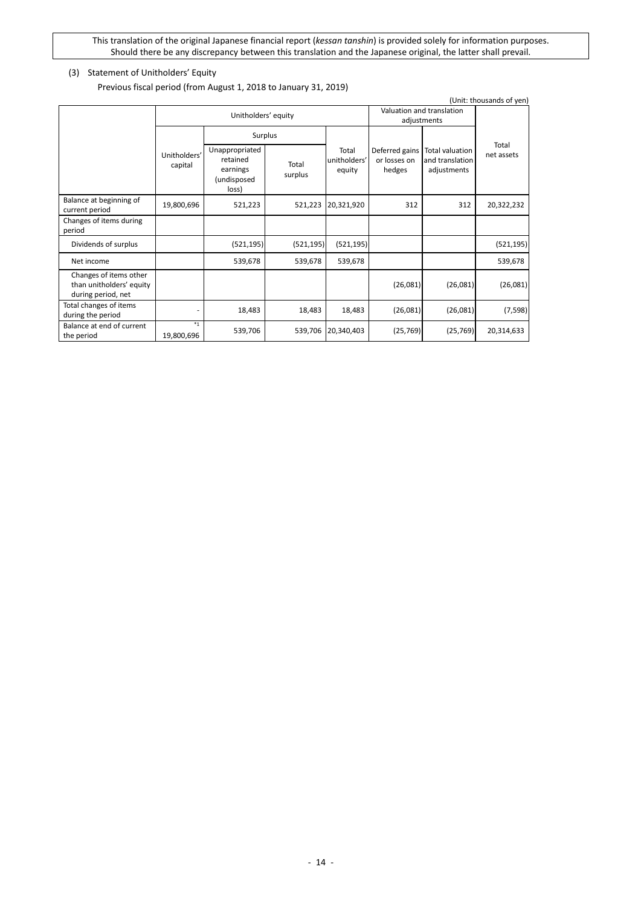## <span id="page-13-0"></span>(3) Statement of Unitholders' Equity

Previous fiscal period (from August 1, 2018 to January 31, 2019)

| (Unit: thousands of yen)                                                 |                         |                                                                |                  |                                 |                                          |                                                   |                     |
|--------------------------------------------------------------------------|-------------------------|----------------------------------------------------------------|------------------|---------------------------------|------------------------------------------|---------------------------------------------------|---------------------|
|                                                                          | Unitholders' equity     |                                                                |                  |                                 | Valuation and translation<br>adjustments |                                                   |                     |
|                                                                          |                         | Surplus                                                        |                  |                                 |                                          |                                                   |                     |
|                                                                          | Unitholders'<br>capital | Unappropriated<br>retained<br>earnings<br>(undisposed<br>loss) | Total<br>surplus | Total<br>unitholders'<br>equity | Deferred gains<br>or losses on<br>hedges | Total valuation<br>and translation<br>adjustments | Total<br>net assets |
| Balance at beginning of<br>current period                                | 19,800,696              | 521,223                                                        | 521,223          | 20,321,920                      | 312                                      | 312                                               | 20,322,232          |
| Changes of items during<br>period                                        |                         |                                                                |                  |                                 |                                          |                                                   |                     |
| Dividends of surplus                                                     |                         | (521, 195)                                                     | (521, 195)       | (521, 195)                      |                                          |                                                   | (521, 195)          |
| Net income                                                               |                         | 539,678                                                        | 539,678          | 539,678                         |                                          |                                                   | 539,678             |
| Changes of items other<br>than unitholders' equity<br>during period, net |                         |                                                                |                  |                                 | (26,081)                                 | (26,081)                                          | (26,081)            |
| Total changes of items<br>during the period                              |                         | 18,483                                                         | 18,483           | 18,483                          | (26,081)                                 | (26,081)                                          | (7, 598)            |
| Balance at end of current<br>the period                                  | $*_{1}$<br>19,800,696   | 539,706                                                        | 539,706          | 20,340,403                      | (25, 769)                                | (25, 769)                                         | 20,314,633          |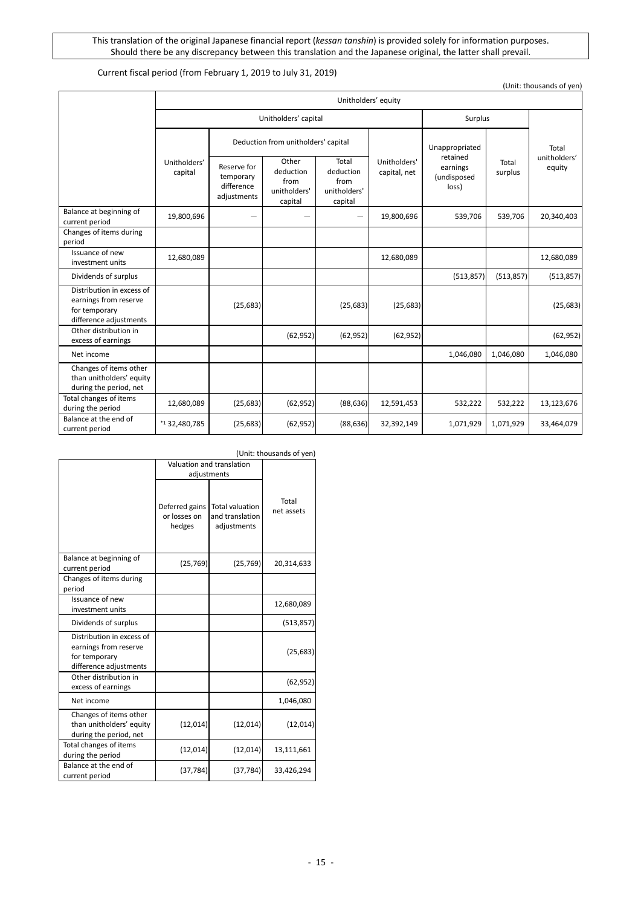## Current fiscal period (from February 1, 2019 to July 31, 2019)

(Unit: thousands of yen)

|                                                                                               | Unitholders' equity     |                                                       |                                                       |                                                       |                              |                                              |                  |                        |       |
|-----------------------------------------------------------------------------------------------|-------------------------|-------------------------------------------------------|-------------------------------------------------------|-------------------------------------------------------|------------------------------|----------------------------------------------|------------------|------------------------|-------|
|                                                                                               | Unitholders' capital    |                                                       |                                                       |                                                       |                              | Surplus                                      |                  |                        |       |
|                                                                                               |                         |                                                       | Deduction from unitholders' capital                   |                                                       |                              |                                              | Unappropriated   |                        | Total |
|                                                                                               | Unitholders'<br>capital | Reserve for<br>temporary<br>difference<br>adjustments | Other<br>deduction<br>from<br>unitholders'<br>capital | Total<br>deduction<br>from<br>unitholders'<br>capital | Unitholders'<br>capital, net | retained<br>earnings<br>(undisposed<br>loss) | Total<br>surplus | unitholders'<br>equity |       |
| Balance at beginning of<br>current period                                                     | 19,800,696              |                                                       |                                                       |                                                       | 19,800,696                   | 539,706                                      | 539,706          | 20,340,403             |       |
| Changes of items during<br>period                                                             |                         |                                                       |                                                       |                                                       |                              |                                              |                  |                        |       |
| Issuance of new<br>investment units                                                           | 12,680,089              |                                                       |                                                       |                                                       | 12,680,089                   |                                              |                  | 12,680,089             |       |
| Dividends of surplus                                                                          |                         |                                                       |                                                       |                                                       |                              | (513, 857)                                   | (513, 857)       | (513, 857)             |       |
| Distribution in excess of<br>earnings from reserve<br>for temporary<br>difference adjustments |                         | (25, 683)                                             |                                                       | (25, 683)                                             | (25, 683)                    |                                              |                  | (25, 683)              |       |
| Other distribution in<br>excess of earnings                                                   |                         |                                                       | (62, 952)                                             | (62, 952)                                             | (62, 952)                    |                                              |                  | (62, 952)              |       |
| Net income                                                                                    |                         |                                                       |                                                       |                                                       |                              | 1,046,080                                    | 1,046,080        | 1,046,080              |       |
| Changes of items other<br>than unitholders' equity<br>during the period, net                  |                         |                                                       |                                                       |                                                       |                              |                                              |                  |                        |       |
| Total changes of items<br>during the period                                                   | 12,680,089              | (25, 683)                                             | (62, 952)                                             | (88, 636)                                             | 12,591,453                   | 532,222                                      | 532,222          | 13,123,676             |       |
| Balance at the end of<br>current period                                                       | $*1$ 32,480,785         | (25, 683)                                             | (62, 952)                                             | (88, 636)                                             | 32,392,149                   | 1,071,929                                    | 1,071,929        | 33,464,079             |       |

| (Unit: thousands of yen)                                                                      |                                          |                                                          |                     |
|-----------------------------------------------------------------------------------------------|------------------------------------------|----------------------------------------------------------|---------------------|
|                                                                                               |                                          | Valuation and translation                                |                     |
|                                                                                               |                                          | adjustments                                              |                     |
|                                                                                               | Deferred gains<br>or losses on<br>hedges | <b>Total valuation</b><br>and translation<br>adjustments | Total<br>net assets |
| Balance at beginning of<br>current period                                                     | (25, 769)                                | (25, 769)                                                | 20,314,633          |
| Changes of items during<br>period                                                             |                                          |                                                          |                     |
| Issuance of new<br>investment units                                                           |                                          |                                                          | 12,680,089          |
| Dividends of surplus                                                                          |                                          |                                                          | (513, 857)          |
| Distribution in excess of<br>earnings from reserve<br>for temporary<br>difference adjustments |                                          |                                                          | (25, 683)           |
| Other distribution in<br>excess of earnings                                                   |                                          |                                                          | (62, 952)           |
| Net income                                                                                    |                                          |                                                          | 1,046,080           |
| Changes of items other<br>than unitholders' equity<br>during the period, net                  | (12,014)                                 | (12, 014)                                                | (12,014)            |
| Total changes of items<br>during the period                                                   | (12,014)                                 | (12,014)                                                 | 13,111,661          |
| Balance at the end of<br>current period                                                       | (37, 784)                                | (37, 784)                                                | 33,426,294          |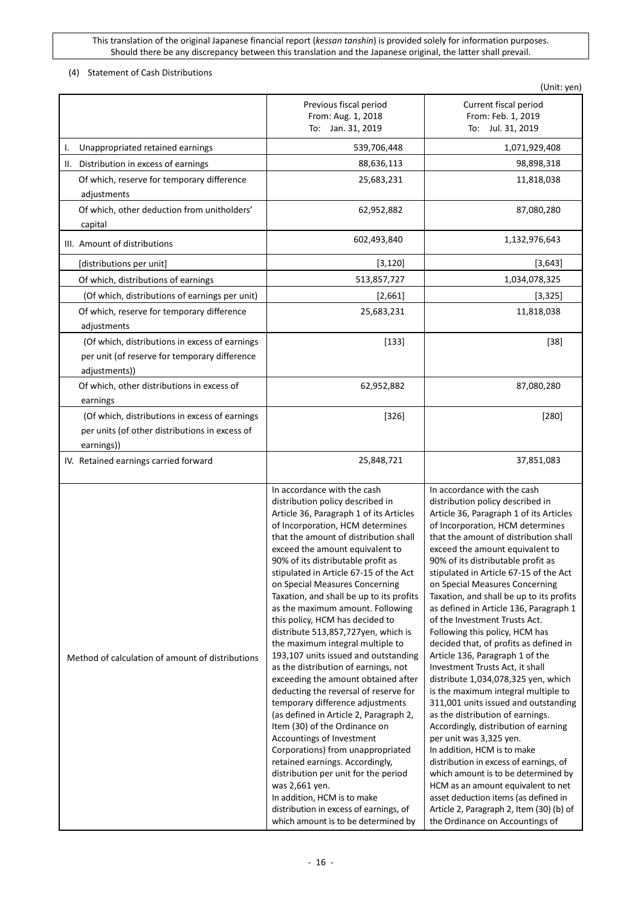## <span id="page-15-0"></span>(4) Statement of Cash Distributions

|                                                                                                                  |                                                                                                                                                                                                                                                                                                                                                                                                                                                                                                                                                                                                                                                                                                                                                                                                                                                                                                                                                                                                                                                                                                          | (Unit: yen)                                                                                                                                                                                                                                                                                                                                                                                                                                                                                                                                                                                                                                                                                                                                                                                                                                                                                                                                                                                                                                                                                                                     |
|------------------------------------------------------------------------------------------------------------------|----------------------------------------------------------------------------------------------------------------------------------------------------------------------------------------------------------------------------------------------------------------------------------------------------------------------------------------------------------------------------------------------------------------------------------------------------------------------------------------------------------------------------------------------------------------------------------------------------------------------------------------------------------------------------------------------------------------------------------------------------------------------------------------------------------------------------------------------------------------------------------------------------------------------------------------------------------------------------------------------------------------------------------------------------------------------------------------------------------|---------------------------------------------------------------------------------------------------------------------------------------------------------------------------------------------------------------------------------------------------------------------------------------------------------------------------------------------------------------------------------------------------------------------------------------------------------------------------------------------------------------------------------------------------------------------------------------------------------------------------------------------------------------------------------------------------------------------------------------------------------------------------------------------------------------------------------------------------------------------------------------------------------------------------------------------------------------------------------------------------------------------------------------------------------------------------------------------------------------------------------|
|                                                                                                                  | Previous fiscal period<br>From: Aug. 1, 2018<br>To: Jan. 31, 2019                                                                                                                                                                                                                                                                                                                                                                                                                                                                                                                                                                                                                                                                                                                                                                                                                                                                                                                                                                                                                                        | Current fiscal period<br>From: Feb. 1, 2019<br>To: Jul. 31, 2019                                                                                                                                                                                                                                                                                                                                                                                                                                                                                                                                                                                                                                                                                                                                                                                                                                                                                                                                                                                                                                                                |
| Unappropriated retained earnings<br>ı.                                                                           | 539,706,448                                                                                                                                                                                                                                                                                                                                                                                                                                                                                                                                                                                                                                                                                                                                                                                                                                                                                                                                                                                                                                                                                              | 1,071,929,408                                                                                                                                                                                                                                                                                                                                                                                                                                                                                                                                                                                                                                                                                                                                                                                                                                                                                                                                                                                                                                                                                                                   |
| II. Distribution in excess of earnings                                                                           | 88,636,113                                                                                                                                                                                                                                                                                                                                                                                                                                                                                                                                                                                                                                                                                                                                                                                                                                                                                                                                                                                                                                                                                               | 98,898,318                                                                                                                                                                                                                                                                                                                                                                                                                                                                                                                                                                                                                                                                                                                                                                                                                                                                                                                                                                                                                                                                                                                      |
| Of which, reserve for temporary difference<br>adjustments                                                        | 25,683,231                                                                                                                                                                                                                                                                                                                                                                                                                                                                                                                                                                                                                                                                                                                                                                                                                                                                                                                                                                                                                                                                                               | 11,818,038                                                                                                                                                                                                                                                                                                                                                                                                                                                                                                                                                                                                                                                                                                                                                                                                                                                                                                                                                                                                                                                                                                                      |
| Of which, other deduction from unitholders'<br>capital                                                           | 62,952,882                                                                                                                                                                                                                                                                                                                                                                                                                                                                                                                                                                                                                                                                                                                                                                                                                                                                                                                                                                                                                                                                                               | 87,080,280                                                                                                                                                                                                                                                                                                                                                                                                                                                                                                                                                                                                                                                                                                                                                                                                                                                                                                                                                                                                                                                                                                                      |
| III. Amount of distributions                                                                                     | 602,493,840                                                                                                                                                                                                                                                                                                                                                                                                                                                                                                                                                                                                                                                                                                                                                                                                                                                                                                                                                                                                                                                                                              | 1,132,976,643                                                                                                                                                                                                                                                                                                                                                                                                                                                                                                                                                                                                                                                                                                                                                                                                                                                                                                                                                                                                                                                                                                                   |
| [distributions per unit]                                                                                         | [3, 120]                                                                                                                                                                                                                                                                                                                                                                                                                                                                                                                                                                                                                                                                                                                                                                                                                                                                                                                                                                                                                                                                                                 | [3,643]                                                                                                                                                                                                                                                                                                                                                                                                                                                                                                                                                                                                                                                                                                                                                                                                                                                                                                                                                                                                                                                                                                                         |
| Of which, distributions of earnings                                                                              | 513,857,727                                                                                                                                                                                                                                                                                                                                                                                                                                                                                                                                                                                                                                                                                                                                                                                                                                                                                                                                                                                                                                                                                              | 1,034,078,325                                                                                                                                                                                                                                                                                                                                                                                                                                                                                                                                                                                                                                                                                                                                                                                                                                                                                                                                                                                                                                                                                                                   |
| (Of which, distributions of earnings per unit)                                                                   | [2,661]                                                                                                                                                                                                                                                                                                                                                                                                                                                                                                                                                                                                                                                                                                                                                                                                                                                                                                                                                                                                                                                                                                  | [3, 325]                                                                                                                                                                                                                                                                                                                                                                                                                                                                                                                                                                                                                                                                                                                                                                                                                                                                                                                                                                                                                                                                                                                        |
| Of which, reserve for temporary difference<br>adjustments                                                        | 25,683,231                                                                                                                                                                                                                                                                                                                                                                                                                                                                                                                                                                                                                                                                                                                                                                                                                                                                                                                                                                                                                                                                                               | 11,818,038                                                                                                                                                                                                                                                                                                                                                                                                                                                                                                                                                                                                                                                                                                                                                                                                                                                                                                                                                                                                                                                                                                                      |
| (Of which, distributions in excess of earnings<br>per unit (of reserve for temporary difference<br>adjustments)) | $[133]$                                                                                                                                                                                                                                                                                                                                                                                                                                                                                                                                                                                                                                                                                                                                                                                                                                                                                                                                                                                                                                                                                                  | $[38]$                                                                                                                                                                                                                                                                                                                                                                                                                                                                                                                                                                                                                                                                                                                                                                                                                                                                                                                                                                                                                                                                                                                          |
| Of which, other distributions in excess of<br>earnings                                                           | 62,952,882                                                                                                                                                                                                                                                                                                                                                                                                                                                                                                                                                                                                                                                                                                                                                                                                                                                                                                                                                                                                                                                                                               | 87,080,280                                                                                                                                                                                                                                                                                                                                                                                                                                                                                                                                                                                                                                                                                                                                                                                                                                                                                                                                                                                                                                                                                                                      |
| (Of which, distributions in excess of earnings<br>per units (of other distributions in excess of<br>earnings))   | $[326]$                                                                                                                                                                                                                                                                                                                                                                                                                                                                                                                                                                                                                                                                                                                                                                                                                                                                                                                                                                                                                                                                                                  | $[280]$                                                                                                                                                                                                                                                                                                                                                                                                                                                                                                                                                                                                                                                                                                                                                                                                                                                                                                                                                                                                                                                                                                                         |
| IV. Retained earnings carried forward                                                                            | 25,848,721                                                                                                                                                                                                                                                                                                                                                                                                                                                                                                                                                                                                                                                                                                                                                                                                                                                                                                                                                                                                                                                                                               | 37,851,083                                                                                                                                                                                                                                                                                                                                                                                                                                                                                                                                                                                                                                                                                                                                                                                                                                                                                                                                                                                                                                                                                                                      |
| Method of calculation of amount of distributions                                                                 | In accordance with the cash<br>distribution policy described in<br>Article 36, Paragraph 1 of its Articles<br>of Incorporation, HCM determines<br>that the amount of distribution shall<br>exceed the amount equivalent to<br>90% of its distributable profit as<br>stipulated in Article 67-15 of the Act<br>on Special Measures Concerning<br>Taxation, and shall be up to its profits<br>as the maximum amount. Following<br>this policy, HCM has decided to<br>distribute 513,857,727yen, which is<br>the maximum integral multiple to<br>193,107 units issued and outstanding<br>as the distribution of earnings, not<br>exceeding the amount obtained after<br>deducting the reversal of reserve for<br>temporary difference adjustments<br>(as defined in Article 2, Paragraph 2,<br>Item (30) of the Ordinance on<br>Accountings of Investment<br>Corporations) from unappropriated<br>retained earnings. Accordingly,<br>distribution per unit for the period<br>was 2,661 yen.<br>In addition, HCM is to make<br>distribution in excess of earnings, of<br>which amount is to be determined by | In accordance with the cash<br>distribution policy described in<br>Article 36, Paragraph 1 of its Articles<br>of Incorporation, HCM determines<br>that the amount of distribution shall<br>exceed the amount equivalent to<br>90% of its distributable profit as<br>stipulated in Article 67-15 of the Act<br>on Special Measures Concerning<br>Taxation, and shall be up to its profits<br>as defined in Article 136, Paragraph 1<br>of the Investment Trusts Act.<br>Following this policy, HCM has<br>decided that, of profits as defined in<br>Article 136, Paragraph 1 of the<br>Investment Trusts Act, it shall<br>distribute 1,034,078,325 yen, which<br>is the maximum integral multiple to<br>311,001 units issued and outstanding<br>as the distribution of earnings.<br>Accordingly, distribution of earning<br>per unit was 3,325 yen.<br>In addition, HCM is to make<br>distribution in excess of earnings, of<br>which amount is to be determined by<br>HCM as an amount equivalent to net<br>asset deduction items (as defined in<br>Article 2, Paragraph 2, Item (30) (b) of<br>the Ordinance on Accountings of |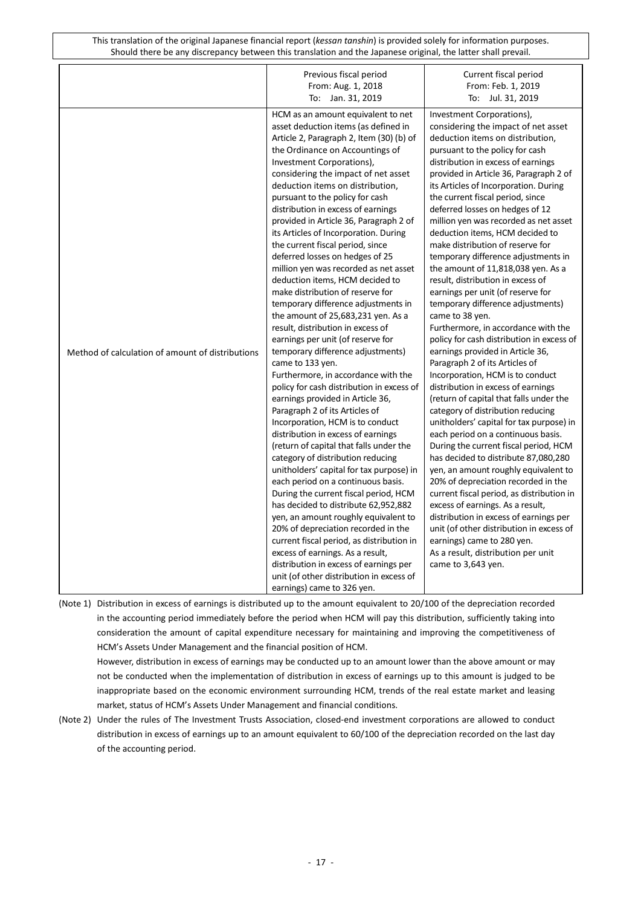|                                                  | Previous fiscal period                                                                                                                                                                                                                                                                                                                                                                                                                                                                                                                                                                                                                                                                                                                                                                                                                                                                                                                                                                                                                                                                                                                                                                                                                                                                                                      | Current fiscal period                                                                                                                                                                                                                                                                                                                                                                                                                                                                                                                                                                                                                                                                                                                                                                                                                                                                                                                                                                                                                                                                                                                                                                                                                                                                                                         |
|--------------------------------------------------|-----------------------------------------------------------------------------------------------------------------------------------------------------------------------------------------------------------------------------------------------------------------------------------------------------------------------------------------------------------------------------------------------------------------------------------------------------------------------------------------------------------------------------------------------------------------------------------------------------------------------------------------------------------------------------------------------------------------------------------------------------------------------------------------------------------------------------------------------------------------------------------------------------------------------------------------------------------------------------------------------------------------------------------------------------------------------------------------------------------------------------------------------------------------------------------------------------------------------------------------------------------------------------------------------------------------------------|-------------------------------------------------------------------------------------------------------------------------------------------------------------------------------------------------------------------------------------------------------------------------------------------------------------------------------------------------------------------------------------------------------------------------------------------------------------------------------------------------------------------------------------------------------------------------------------------------------------------------------------------------------------------------------------------------------------------------------------------------------------------------------------------------------------------------------------------------------------------------------------------------------------------------------------------------------------------------------------------------------------------------------------------------------------------------------------------------------------------------------------------------------------------------------------------------------------------------------------------------------------------------------------------------------------------------------|
|                                                  | From: Aug. 1, 2018                                                                                                                                                                                                                                                                                                                                                                                                                                                                                                                                                                                                                                                                                                                                                                                                                                                                                                                                                                                                                                                                                                                                                                                                                                                                                                          | From: Feb. 1, 2019                                                                                                                                                                                                                                                                                                                                                                                                                                                                                                                                                                                                                                                                                                                                                                                                                                                                                                                                                                                                                                                                                                                                                                                                                                                                                                            |
|                                                  | To: Jan. 31, 2019                                                                                                                                                                                                                                                                                                                                                                                                                                                                                                                                                                                                                                                                                                                                                                                                                                                                                                                                                                                                                                                                                                                                                                                                                                                                                                           | To: Jul. 31, 2019                                                                                                                                                                                                                                                                                                                                                                                                                                                                                                                                                                                                                                                                                                                                                                                                                                                                                                                                                                                                                                                                                                                                                                                                                                                                                                             |
| Method of calculation of amount of distributions | HCM as an amount equivalent to net<br>asset deduction items (as defined in<br>Article 2, Paragraph 2, Item (30) (b) of<br>the Ordinance on Accountings of<br>Investment Corporations),<br>considering the impact of net asset<br>deduction items on distribution,<br>pursuant to the policy for cash<br>distribution in excess of earnings<br>provided in Article 36, Paragraph 2 of<br>its Articles of Incorporation. During<br>the current fiscal period, since<br>deferred losses on hedges of 25<br>million yen was recorded as net asset<br>deduction items, HCM decided to<br>make distribution of reserve for<br>temporary difference adjustments in<br>the amount of 25,683,231 yen. As a<br>result, distribution in excess of<br>earnings per unit (of reserve for<br>temporary difference adjustments)<br>came to 133 yen.<br>Furthermore, in accordance with the<br>policy for cash distribution in excess of<br>earnings provided in Article 36,<br>Paragraph 2 of its Articles of<br>Incorporation, HCM is to conduct<br>distribution in excess of earnings<br>(return of capital that falls under the<br>category of distribution reducing<br>unitholders' capital for tax purpose) in<br>each period on a continuous basis.<br>During the current fiscal period, HCM<br>has decided to distribute 62,952,882 | Investment Corporations),<br>considering the impact of net asset<br>deduction items on distribution,<br>pursuant to the policy for cash<br>distribution in excess of earnings<br>provided in Article 36, Paragraph 2 of<br>its Articles of Incorporation. During<br>the current fiscal period, since<br>deferred losses on hedges of 12<br>million yen was recorded as net asset<br>deduction items, HCM decided to<br>make distribution of reserve for<br>temporary difference adjustments in<br>the amount of 11,818,038 yen. As a<br>result, distribution in excess of<br>earnings per unit (of reserve for<br>temporary difference adjustments)<br>came to 38 yen.<br>Furthermore, in accordance with the<br>policy for cash distribution in excess of<br>earnings provided in Article 36,<br>Paragraph 2 of its Articles of<br>Incorporation, HCM is to conduct<br>distribution in excess of earnings<br>(return of capital that falls under the<br>category of distribution reducing<br>unitholders' capital for tax purpose) in<br>each period on a continuous basis.<br>During the current fiscal period, HCM<br>has decided to distribute 87,080,280<br>yen, an amount roughly equivalent to<br>20% of depreciation recorded in the<br>current fiscal period, as distribution in<br>excess of earnings. As a result, |
|                                                  |                                                                                                                                                                                                                                                                                                                                                                                                                                                                                                                                                                                                                                                                                                                                                                                                                                                                                                                                                                                                                                                                                                                                                                                                                                                                                                                             |                                                                                                                                                                                                                                                                                                                                                                                                                                                                                                                                                                                                                                                                                                                                                                                                                                                                                                                                                                                                                                                                                                                                                                                                                                                                                                                               |
|                                                  |                                                                                                                                                                                                                                                                                                                                                                                                                                                                                                                                                                                                                                                                                                                                                                                                                                                                                                                                                                                                                                                                                                                                                                                                                                                                                                                             |                                                                                                                                                                                                                                                                                                                                                                                                                                                                                                                                                                                                                                                                                                                                                                                                                                                                                                                                                                                                                                                                                                                                                                                                                                                                                                                               |
|                                                  |                                                                                                                                                                                                                                                                                                                                                                                                                                                                                                                                                                                                                                                                                                                                                                                                                                                                                                                                                                                                                                                                                                                                                                                                                                                                                                                             |                                                                                                                                                                                                                                                                                                                                                                                                                                                                                                                                                                                                                                                                                                                                                                                                                                                                                                                                                                                                                                                                                                                                                                                                                                                                                                                               |
|                                                  | yen, an amount roughly equivalent to                                                                                                                                                                                                                                                                                                                                                                                                                                                                                                                                                                                                                                                                                                                                                                                                                                                                                                                                                                                                                                                                                                                                                                                                                                                                                        | distribution in excess of earnings per                                                                                                                                                                                                                                                                                                                                                                                                                                                                                                                                                                                                                                                                                                                                                                                                                                                                                                                                                                                                                                                                                                                                                                                                                                                                                        |
|                                                  | 20% of depreciation recorded in the                                                                                                                                                                                                                                                                                                                                                                                                                                                                                                                                                                                                                                                                                                                                                                                                                                                                                                                                                                                                                                                                                                                                                                                                                                                                                         | unit (of other distribution in excess of                                                                                                                                                                                                                                                                                                                                                                                                                                                                                                                                                                                                                                                                                                                                                                                                                                                                                                                                                                                                                                                                                                                                                                                                                                                                                      |
|                                                  | current fiscal period, as distribution in                                                                                                                                                                                                                                                                                                                                                                                                                                                                                                                                                                                                                                                                                                                                                                                                                                                                                                                                                                                                                                                                                                                                                                                                                                                                                   | earnings) came to 280 yen.                                                                                                                                                                                                                                                                                                                                                                                                                                                                                                                                                                                                                                                                                                                                                                                                                                                                                                                                                                                                                                                                                                                                                                                                                                                                                                    |
|                                                  | excess of earnings. As a result,                                                                                                                                                                                                                                                                                                                                                                                                                                                                                                                                                                                                                                                                                                                                                                                                                                                                                                                                                                                                                                                                                                                                                                                                                                                                                            | As a result, distribution per unit                                                                                                                                                                                                                                                                                                                                                                                                                                                                                                                                                                                                                                                                                                                                                                                                                                                                                                                                                                                                                                                                                                                                                                                                                                                                                            |
|                                                  | distribution in excess of earnings per                                                                                                                                                                                                                                                                                                                                                                                                                                                                                                                                                                                                                                                                                                                                                                                                                                                                                                                                                                                                                                                                                                                                                                                                                                                                                      | came to 3,643 yen.                                                                                                                                                                                                                                                                                                                                                                                                                                                                                                                                                                                                                                                                                                                                                                                                                                                                                                                                                                                                                                                                                                                                                                                                                                                                                                            |
|                                                  | unit (of other distribution in excess of                                                                                                                                                                                                                                                                                                                                                                                                                                                                                                                                                                                                                                                                                                                                                                                                                                                                                                                                                                                                                                                                                                                                                                                                                                                                                    |                                                                                                                                                                                                                                                                                                                                                                                                                                                                                                                                                                                                                                                                                                                                                                                                                                                                                                                                                                                                                                                                                                                                                                                                                                                                                                                               |
|                                                  | earnings) came to 326 yen.                                                                                                                                                                                                                                                                                                                                                                                                                                                                                                                                                                                                                                                                                                                                                                                                                                                                                                                                                                                                                                                                                                                                                                                                                                                                                                  |                                                                                                                                                                                                                                                                                                                                                                                                                                                                                                                                                                                                                                                                                                                                                                                                                                                                                                                                                                                                                                                                                                                                                                                                                                                                                                                               |

(Note 1) Distribution in excess of earnings is distributed up to the amount equivalent to 20/100 of the depreciation recorded in the accounting period immediately before the period when HCM will pay this distribution, sufficiently taking into consideration the amount of capital expenditure necessary for maintaining and improving the competitiveness of HCM's Assets Under Management and the financial position of HCM.

However, distribution in excess of earnings may be conducted up to an amount lower than the above amount or may not be conducted when the implementation of distribution in excess of earnings up to this amount is judged to be inappropriate based on the economic environment surrounding HCM, trends of the real estate market and leasing market, status of HCM's Assets Under Management and financial conditions.

(Note 2) Under the rules of The Investment Trusts Association, closed-end investment corporations are allowed to conduct distribution in excess of earnings up to an amount equivalent to 60/100 of the depreciation recorded on the last day of the accounting period.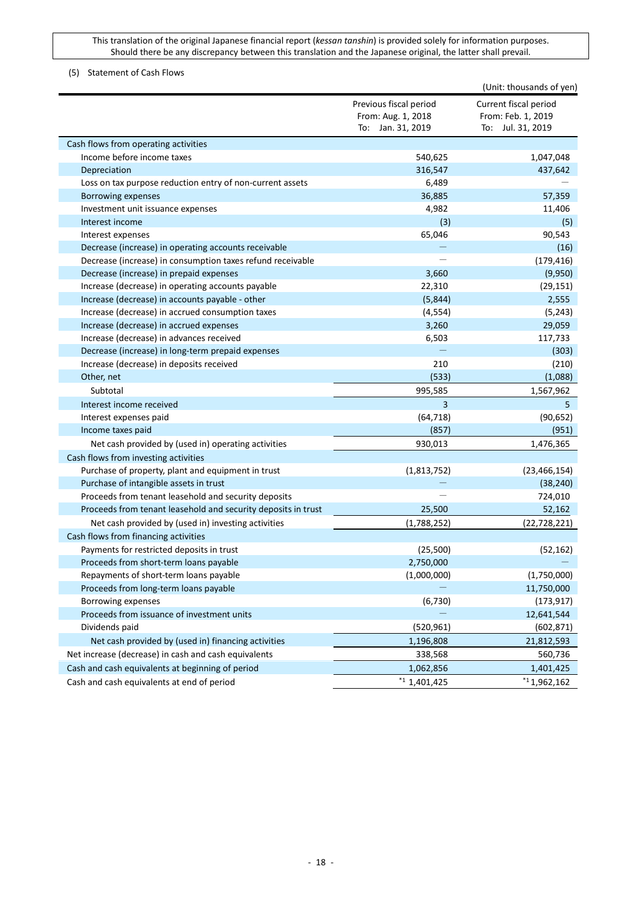## <span id="page-17-0"></span>(5) Statement of Cash Flows

|                                                               |                                                                   | (Unit: thousands of yen)                                         |
|---------------------------------------------------------------|-------------------------------------------------------------------|------------------------------------------------------------------|
|                                                               | Previous fiscal period<br>From: Aug. 1, 2018<br>To: Jan. 31, 2019 | Current fiscal period<br>From: Feb. 1, 2019<br>To: Jul. 31, 2019 |
| Cash flows from operating activities                          |                                                                   |                                                                  |
| Income before income taxes                                    | 540,625                                                           | 1,047,048                                                        |
| Depreciation                                                  | 316,547                                                           | 437,642                                                          |
| Loss on tax purpose reduction entry of non-current assets     | 6,489                                                             |                                                                  |
| Borrowing expenses                                            | 36,885                                                            | 57,359                                                           |
| Investment unit issuance expenses                             | 4,982                                                             | 11,406                                                           |
| Interest income                                               | (3)                                                               | (5)                                                              |
| Interest expenses                                             | 65,046                                                            | 90,543                                                           |
| Decrease (increase) in operating accounts receivable          |                                                                   | (16)                                                             |
| Decrease (increase) in consumption taxes refund receivable    |                                                                   | (179, 416)                                                       |
| Decrease (increase) in prepaid expenses                       | 3,660                                                             | (9,950)                                                          |
| Increase (decrease) in operating accounts payable             | 22,310                                                            | (29, 151)                                                        |
| Increase (decrease) in accounts payable - other               | (5,844)                                                           | 2,555                                                            |
| Increase (decrease) in accrued consumption taxes              | (4, 554)                                                          | (5, 243)                                                         |
| Increase (decrease) in accrued expenses                       | 3,260                                                             | 29,059                                                           |
| Increase (decrease) in advances received                      | 6,503                                                             | 117,733                                                          |
| Decrease (increase) in long-term prepaid expenses             |                                                                   | (303)                                                            |
| Increase (decrease) in deposits received                      | 210                                                               | (210)                                                            |
| Other, net                                                    | (533)                                                             | (1,088)                                                          |
| Subtotal                                                      | 995,585                                                           | 1,567,962                                                        |
| Interest income received                                      | 3                                                                 | 5                                                                |
| Interest expenses paid                                        | (64, 718)                                                         | (90, 652)                                                        |
| Income taxes paid                                             | (857)                                                             | (951)                                                            |
| Net cash provided by (used in) operating activities           | 930,013                                                           | 1,476,365                                                        |
| Cash flows from investing activities                          |                                                                   |                                                                  |
| Purchase of property, plant and equipment in trust            | (1,813,752)                                                       | (23, 466, 154)                                                   |
| Purchase of intangible assets in trust                        |                                                                   | (38, 240)                                                        |
| Proceeds from tenant leasehold and security deposits          |                                                                   | 724,010                                                          |
| Proceeds from tenant leasehold and security deposits in trust | 25,500                                                            | 52,162                                                           |
| Net cash provided by (used in) investing activities           | (1,788,252)                                                       | (22, 728, 221)                                                   |
| Cash flows from financing activities                          |                                                                   |                                                                  |
| Payments for restricted deposits in trust                     | (25, 500)                                                         | (52, 162)                                                        |
| Proceeds from short-term loans payable                        | 2,750,000                                                         |                                                                  |
| Repayments of short-term loans payable                        | (1,000,000)                                                       | (1,750,000)                                                      |
| Proceeds from long-term loans payable                         |                                                                   | 11,750,000                                                       |
| Borrowing expenses                                            | (6, 730)                                                          | (173, 917)                                                       |
| Proceeds from issuance of investment units                    |                                                                   | 12,641,544                                                       |
| Dividends paid                                                | (520, 961)                                                        | (602, 871)                                                       |
| Net cash provided by (used in) financing activities           | 1,196,808                                                         | 21,812,593                                                       |
| Net increase (decrease) in cash and cash equivalents          | 338,568                                                           | 560,736                                                          |
| Cash and cash equivalents at beginning of period              | 1,062,856                                                         | 1,401,425                                                        |
| Cash and cash equivalents at end of period                    | $*1$ ,401,425                                                     | $*1,962,162$                                                     |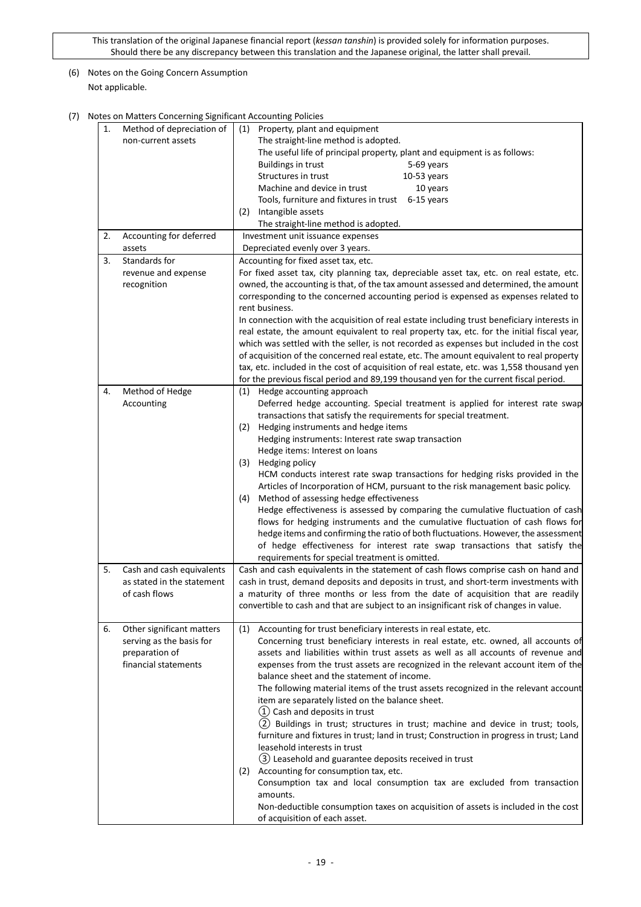## <span id="page-18-0"></span>(6) Notes on the Going Concern Assumption Not applicable.

<span id="page-18-1"></span>(7) Notes on Matters Concerning Significant Accounting Policies

|    | otes on ividiters concerning significant Accounting Folicies             |                                                                                                                                                                                                                                                                                                                                                                                                                                                                         |  |  |
|----|--------------------------------------------------------------------------|-------------------------------------------------------------------------------------------------------------------------------------------------------------------------------------------------------------------------------------------------------------------------------------------------------------------------------------------------------------------------------------------------------------------------------------------------------------------------|--|--|
| 1. | Method of depreciation of                                                | (1) Property, plant and equipment                                                                                                                                                                                                                                                                                                                                                                                                                                       |  |  |
|    | non-current assets                                                       | The straight-line method is adopted.                                                                                                                                                                                                                                                                                                                                                                                                                                    |  |  |
|    |                                                                          | The useful life of principal property, plant and equipment is as follows:                                                                                                                                                                                                                                                                                                                                                                                               |  |  |
|    |                                                                          | Buildings in trust<br>5-69 years                                                                                                                                                                                                                                                                                                                                                                                                                                        |  |  |
|    |                                                                          | Structures in trust<br>$10-53$ years                                                                                                                                                                                                                                                                                                                                                                                                                                    |  |  |
|    |                                                                          | Machine and device in trust<br>10 years                                                                                                                                                                                                                                                                                                                                                                                                                                 |  |  |
|    |                                                                          | Tools, furniture and fixtures in trust 6-15 years                                                                                                                                                                                                                                                                                                                                                                                                                       |  |  |
|    |                                                                          | (2) Intangible assets                                                                                                                                                                                                                                                                                                                                                                                                                                                   |  |  |
|    |                                                                          | The straight-line method is adopted.                                                                                                                                                                                                                                                                                                                                                                                                                                    |  |  |
| 2. | Accounting for deferred                                                  | Investment unit issuance expenses                                                                                                                                                                                                                                                                                                                                                                                                                                       |  |  |
|    | assets                                                                   | Depreciated evenly over 3 years.                                                                                                                                                                                                                                                                                                                                                                                                                                        |  |  |
| 3. | Standards for                                                            | Accounting for fixed asset tax, etc.                                                                                                                                                                                                                                                                                                                                                                                                                                    |  |  |
|    | revenue and expense                                                      | For fixed asset tax, city planning tax, depreciable asset tax, etc. on real estate, etc.                                                                                                                                                                                                                                                                                                                                                                                |  |  |
|    | recognition                                                              | owned, the accounting is that, of the tax amount assessed and determined, the amount<br>corresponding to the concerned accounting period is expensed as expenses related to<br>rent business.<br>In connection with the acquisition of real estate including trust beneficiary interests in                                                                                                                                                                             |  |  |
|    |                                                                          | real estate, the amount equivalent to real property tax, etc. for the initial fiscal year,<br>which was settled with the seller, is not recorded as expenses but included in the cost<br>of acquisition of the concerned real estate, etc. The amount equivalent to real property<br>tax, etc. included in the cost of acquisition of real estate, etc. was 1,558 thousand yen<br>for the previous fiscal period and 89,199 thousand yen for the current fiscal period. |  |  |
| 4. | Method of Hedge                                                          | Hedge accounting approach<br>(1)                                                                                                                                                                                                                                                                                                                                                                                                                                        |  |  |
|    | Accounting                                                               | Deferred hedge accounting. Special treatment is applied for interest rate swap<br>transactions that satisfy the requirements for special treatment.                                                                                                                                                                                                                                                                                                                     |  |  |
|    |                                                                          | Hedging instruments and hedge items<br>(2)                                                                                                                                                                                                                                                                                                                                                                                                                              |  |  |
|    |                                                                          | Hedging instruments: Interest rate swap transaction                                                                                                                                                                                                                                                                                                                                                                                                                     |  |  |
|    |                                                                          | Hedge items: Interest on loans                                                                                                                                                                                                                                                                                                                                                                                                                                          |  |  |
|    |                                                                          | Hedging policy<br>(3)                                                                                                                                                                                                                                                                                                                                                                                                                                                   |  |  |
|    |                                                                          | HCM conducts interest rate swap transactions for hedging risks provided in the<br>Articles of Incorporation of HCM, pursuant to the risk management basic policy.<br>Method of assessing hedge effectiveness<br>(4)                                                                                                                                                                                                                                                     |  |  |
|    |                                                                          | Hedge effectiveness is assessed by comparing the cumulative fluctuation of cash<br>flows for hedging instruments and the cumulative fluctuation of cash flows for<br>hedge items and confirming the ratio of both fluctuations. However, the assessment<br>of hedge effectiveness for interest rate swap transactions that satisfy the<br>requirements for special treatment is omitted.                                                                                |  |  |
| 5. | Cash and cash equivalents<br>as stated in the statement<br>of cash flows | Cash and cash equivalents in the statement of cash flows comprise cash on hand and<br>cash in trust, demand deposits and deposits in trust, and short-term investments with<br>a maturity of three months or less from the date of acquisition that are readily<br>convertible to cash and that are subject to an insignificant risk of changes in value.                                                                                                               |  |  |
| 6. | Other significant matters<br>serving as the basis for                    | Accounting for trust beneficiary interests in real estate, etc.<br>(1)<br>Concerning trust beneficiary interests in real estate, etc. owned, all accounts of                                                                                                                                                                                                                                                                                                            |  |  |
|    | preparation of<br>financial statements                                   | assets and liabilities within trust assets as well as all accounts of revenue and<br>expenses from the trust assets are recognized in the relevant account item of the<br>balance sheet and the statement of income.                                                                                                                                                                                                                                                    |  |  |
|    |                                                                          | The following material items of the trust assets recognized in the relevant account<br>item are separately listed on the balance sheet.                                                                                                                                                                                                                                                                                                                                 |  |  |
|    |                                                                          | (1) Cash and deposits in trust<br>Buildings in trust; structures in trust; machine and device in trust; tools,<br>(2)                                                                                                                                                                                                                                                                                                                                                   |  |  |
|    |                                                                          | furniture and fixtures in trust; land in trust; Construction in progress in trust; Land<br>leasehold interests in trust                                                                                                                                                                                                                                                                                                                                                 |  |  |
|    |                                                                          | (3) Leasehold and guarantee deposits received in trust                                                                                                                                                                                                                                                                                                                                                                                                                  |  |  |
|    |                                                                          | (2) Accounting for consumption tax, etc.<br>Consumption tax and local consumption tax are excluded from transaction                                                                                                                                                                                                                                                                                                                                                     |  |  |
|    |                                                                          | amounts.                                                                                                                                                                                                                                                                                                                                                                                                                                                                |  |  |
|    |                                                                          | Non-deductible consumption taxes on acquisition of assets is included in the cost<br>of acquisition of each asset.                                                                                                                                                                                                                                                                                                                                                      |  |  |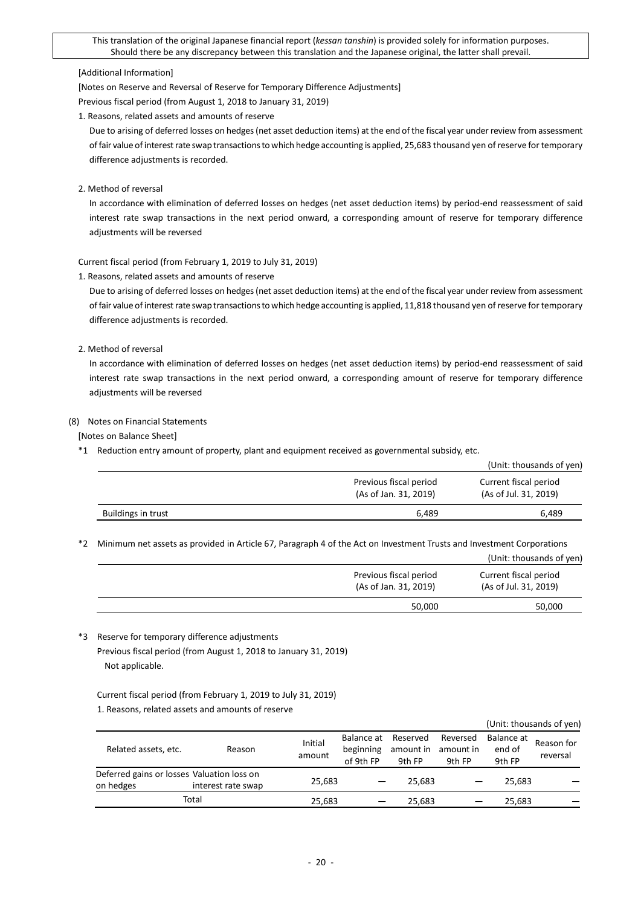#### [Additional Information]

[Notes on Reserve and Reversal of Reserve for Temporary Difference Adjustments]

Previous fiscal period (from August 1, 2018 to January 31, 2019)

1. Reasons, related assets and amounts of reserve

Due to arising of deferred losses on hedges (net asset deduction items) at the end of the fiscal year under review from assessment of fair value of interest rate swap transactions to which hedge accounting is applied, 25,683 thousand yen of reserve for temporary difference adjustments is recorded.

2. Method of reversal

In accordance with elimination of deferred losses on hedges (net asset deduction items) by period-end reassessment of said interest rate swap transactions in the next period onward, a corresponding amount of reserve for temporary difference adjustments will be reversed

Current fiscal period (from February 1, 2019 to July 31, 2019)

1. Reasons, related assets and amounts of reserve

Due to arising of deferred losses on hedges (net asset deduction items) at the end of the fiscal year under review from assessment of fair value of interest rate swap transactions to which hedge accounting is applied, 11,818 thousand yen of reserve for temporary difference adjustments is recorded.

## 2. Method of reversal

In accordance with elimination of deferred losses on hedges (net asset deduction items) by period-end reassessment of said interest rate swap transactions in the next period onward, a corresponding amount of reserve for temporary difference adjustments will be reversed

### <span id="page-19-0"></span>(8) Notes on Financial Statements

[Notes on Balance Sheet]

\*1 Reduction entry amount of property, plant and equipment received as governmental subsidy, etc.

|                    |                                                 | (Unit: thousands of yen)                       |
|--------------------|-------------------------------------------------|------------------------------------------------|
|                    | Previous fiscal period<br>(As of Jan. 31, 2019) | Current fiscal period<br>(As of Jul. 31, 2019) |
| Buildings in trust | 6.489                                           | 6.489                                          |

\*2 Minimum net assets as provided in Article 67, Paragraph 4 of the Act on Investment Trusts and Investment Corporations

|                                                 | (Unit: thousands of yen)                       |
|-------------------------------------------------|------------------------------------------------|
| Previous fiscal period<br>(As of Jan. 31, 2019) | Current fiscal period<br>(As of Jul. 31, 2019) |
| 50,000                                          | 50,000                                         |
|                                                 |                                                |

\*3 Reserve for temporary difference adjustments Previous fiscal period (from August 1, 2018 to January 31, 2019) Not applicable.

Current fiscal period (from February 1, 2019 to July 31, 2019) 1. Reasons, related assets and amounts of reserve

|                      |                                                                  |                   |                                      |                                 |                                 |                                | (Unit: thousands of yen) |
|----------------------|------------------------------------------------------------------|-------------------|--------------------------------------|---------------------------------|---------------------------------|--------------------------------|--------------------------|
| Related assets, etc. | Reason                                                           | Initial<br>amount | Balance at<br>beginning<br>of 9th FP | Reserved<br>amount in<br>9th FP | Reversed<br>amount in<br>9th FP | Balance at<br>end of<br>9th FP | Reason for<br>reversal   |
| on hedges            | Deferred gains or losses Valuation loss on<br>interest rate swap | 25,683            |                                      | 25.683                          |                                 | 25.683                         |                          |
|                      | Total                                                            | 25,683            |                                      | 25.683                          |                                 | 25.683                         |                          |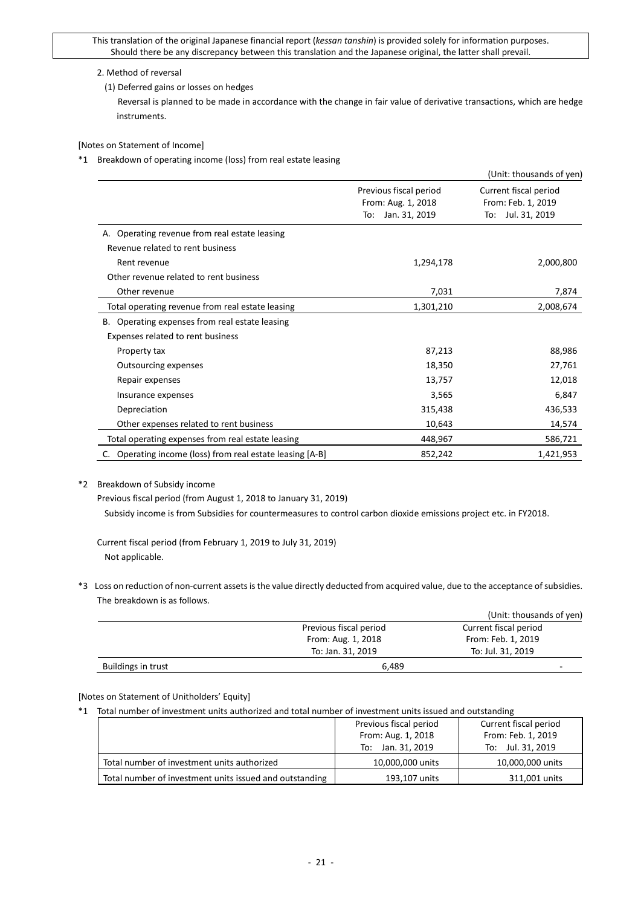## 2. Method of reversal

(1) Deferred gains or losses on hedges

Reversal is planned to be made in accordance with the change in fair value of derivative transactions, which are hedge instruments.

### [Notes on Statement of Income]

\*1 Breakdown of operating income (loss) from real estate leasing

|                                                           |                                                                      | (Unit: thousands of yen)                                            |
|-----------------------------------------------------------|----------------------------------------------------------------------|---------------------------------------------------------------------|
|                                                           | Previous fiscal period<br>From: Aug. 1, 2018<br>Jan. 31, 2019<br>To: | Current fiscal period<br>From: Feb. 1, 2019<br>Jul. 31, 2019<br>To: |
| A. Operating revenue from real estate leasing             |                                                                      |                                                                     |
| Revenue related to rent business                          |                                                                      |                                                                     |
| Rent revenue                                              | 1,294,178                                                            | 2,000,800                                                           |
| Other revenue related to rent business                    |                                                                      |                                                                     |
| Other revenue                                             | 7,031                                                                | 7,874                                                               |
| Total operating revenue from real estate leasing          | 1,301,210                                                            | 2,008,674                                                           |
| Operating expenses from real estate leasing<br>В.         |                                                                      |                                                                     |
| Expenses related to rent business                         |                                                                      |                                                                     |
| Property tax                                              | 87,213                                                               | 88,986                                                              |
| <b>Outsourcing expenses</b>                               | 18,350                                                               | 27,761                                                              |
| Repair expenses                                           | 13,757                                                               | 12,018                                                              |
| Insurance expenses                                        | 3,565                                                                | 6,847                                                               |
| Depreciation                                              | 315,438                                                              | 436,533                                                             |
| Other expenses related to rent business                   | 10,643                                                               | 14,574                                                              |
| Total operating expenses from real estate leasing         | 448,967                                                              | 586,721                                                             |
| C. Operating income (loss) from real estate leasing [A-B] | 852,242                                                              | 1,421,953                                                           |

#### \*2 Breakdown of Subsidy income

Previous fiscal period (from August 1, 2018 to January 31, 2019)

Subsidy income is from Subsidies for countermeasures to control carbon dioxide emissions project etc. in FY2018.

Current fiscal period (from February 1, 2019 to July 31, 2019) Not applicable.

\*3 Loss on reduction of non-current assets is the value directly deducted from acquired value, due to the acceptance of subsidies. The breakdown is as follows.

|                    |                        | (Unit: thousands of yen) |
|--------------------|------------------------|--------------------------|
|                    | Previous fiscal period | Current fiscal period    |
|                    | From: Aug. 1, 2018     | From: Feb. 1, 2019       |
|                    | To: Jan. 31, 2019      | To: Jul. 31, 2019        |
| Buildings in trust | 6.489                  | -                        |

## [Notes on Statement of Unitholders' Equity]

\*1 Total number of investment units authorized and total number of investment units issued and outstanding

|                                                         | Previous fiscal period | Current fiscal period |  |
|---------------------------------------------------------|------------------------|-----------------------|--|
|                                                         | From: Aug. 1, 2018     | From: Feb. 1, 2019    |  |
|                                                         | To: Jan. 31, 2019      | To: Jul. 31, 2019     |  |
| Total number of investment units authorized             | 10,000,000 units       | 10,000,000 units      |  |
| Total number of investment units issued and outstanding | 193,107 units          | 311,001 units         |  |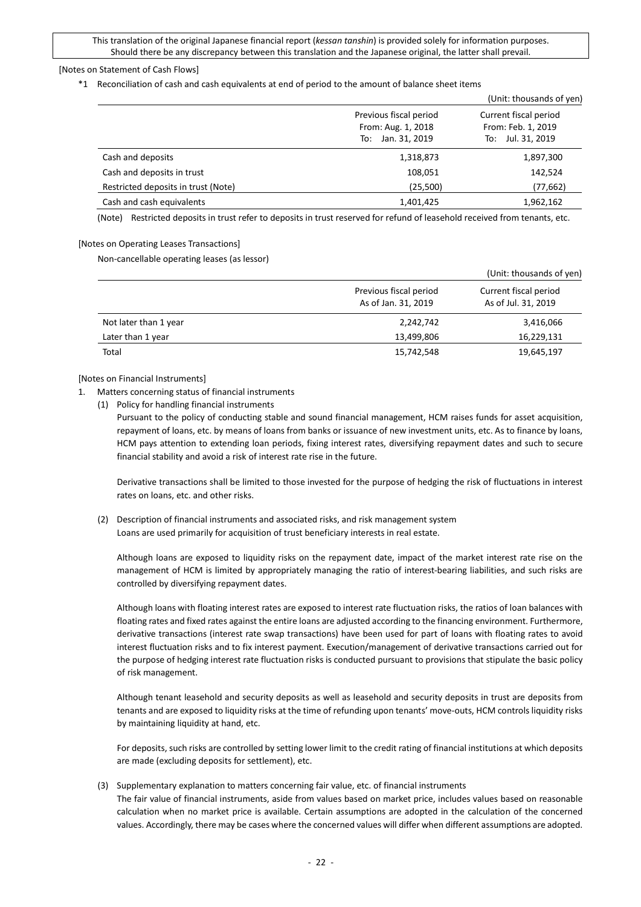### [Notes on Statement of Cash Flows]

\*1 Reconciliation of cash and cash equivalents at end of period to the amount of balance sheet items

|                                     |                                                                   | (Unit: thousands of yen)                                         |
|-------------------------------------|-------------------------------------------------------------------|------------------------------------------------------------------|
|                                     | Previous fiscal period<br>From: Aug. 1, 2018<br>To: Jan. 31, 2019 | Current fiscal period<br>From: Feb. 1, 2019<br>To: Jul. 31, 2019 |
| Cash and deposits                   | 1,318,873                                                         | 1,897,300                                                        |
| Cash and deposits in trust          | 108,051                                                           | 142,524                                                          |
| Restricted deposits in trust (Note) | (25,500)                                                          | (77, 662)                                                        |
| Cash and cash equivalents           | 1,401,425                                                         | 1,962,162                                                        |

(Note) Restricted deposits in trust refer to deposits in trust reserved for refund of leasehold received from tenants, etc.

#### [Notes on Operating Leases Transactions]

Non-cancellable operating leases (as lessor)

|                       |                                               | (Unit: thousands of yen)                     |
|-----------------------|-----------------------------------------------|----------------------------------------------|
|                       | Previous fiscal period<br>As of Jan. 31, 2019 | Current fiscal period<br>As of Jul. 31, 2019 |
| Not later than 1 year | 2,242,742                                     | 3,416,066                                    |
| Later than 1 year     | 13,499,806                                    | 16,229,131                                   |
| Total                 | 15,742,548                                    | 19,645,197                                   |

#### [Notes on Financial Instruments]

- 1. Matters concerning status of financial instruments
	- (1) Policy for handling financial instruments

Pursuant to the policy of conducting stable and sound financial management, HCM raises funds for asset acquisition, repayment of loans, etc. by means of loans from banks or issuance of new investment units, etc. As to finance by loans, HCM pays attention to extending loan periods, fixing interest rates, diversifying repayment dates and such to secure financial stability and avoid a risk of interest rate rise in the future.

Derivative transactions shall be limited to those invested for the purpose of hedging the risk of fluctuations in interest rates on loans, etc. and other risks.

(2) Description of financial instruments and associated risks, and risk management system Loans are used primarily for acquisition of trust beneficiary interests in real estate.

Although loans are exposed to liquidity risks on the repayment date, impact of the market interest rate rise on the management of HCM is limited by appropriately managing the ratio of interest-bearing liabilities, and such risks are controlled by diversifying repayment dates.

Although loans with floating interest rates are exposed to interest rate fluctuation risks, the ratios of loan balances with floating rates and fixed rates against the entire loans are adjusted according to the financing environment. Furthermore, derivative transactions (interest rate swap transactions) have been used for part of loans with floating rates to avoid interest fluctuation risks and to fix interest payment. Execution/management of derivative transactions carried out for the purpose of hedging interest rate fluctuation risks is conducted pursuant to provisions that stipulate the basic policy of risk management.

Although tenant leasehold and security deposits as well as leasehold and security deposits in trust are deposits from tenants and are exposed to liquidity risks at the time of refunding upon tenants' move-outs, HCM controls liquidity risks by maintaining liquidity at hand, etc.

For deposits, such risks are controlled by setting lower limit to the credit rating of financial institutions at which deposits are made (excluding deposits for settlement), etc.

(3) Supplementary explanation to matters concerning fair value, etc. of financial instruments

The fair value of financial instruments, aside from values based on market price, includes values based on reasonable calculation when no market price is available. Certain assumptions are adopted in the calculation of the concerned values. Accordingly, there may be cases where the concerned values will differ when different assumptions are adopted.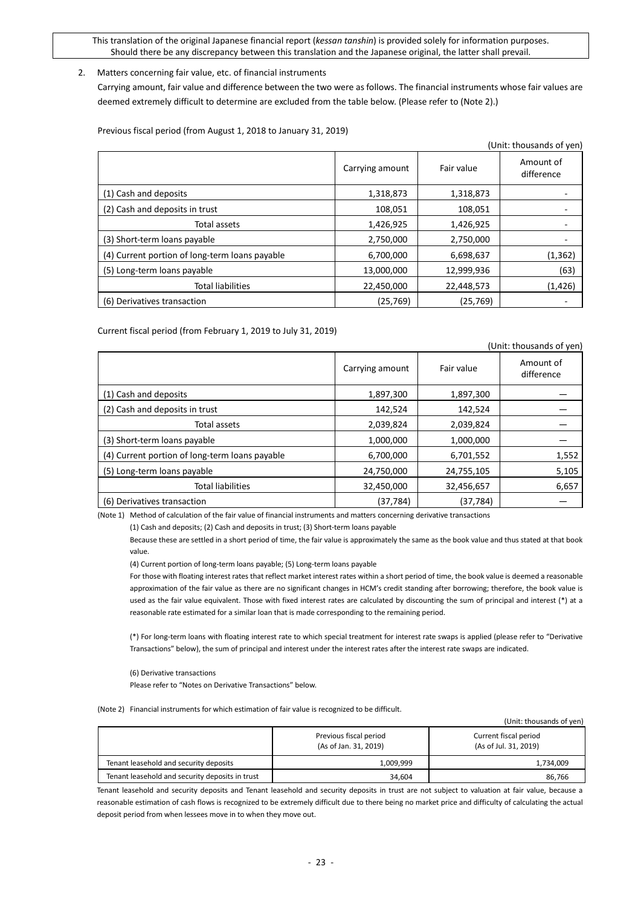#### 2. Matters concerning fair value, etc. of financial instruments

Carrying amount, fair value and difference between the two were as follows. The financial instruments whose fair values are deemed extremely difficult to determine are excluded from the table below. (Please refer to (Note 2).)

Previous fiscal period (from August 1, 2018 to January 31, 2019)

| (Unit: thousands of yen)                       |                 |            |                         |  |
|------------------------------------------------|-----------------|------------|-------------------------|--|
|                                                | Carrying amount | Fair value | Amount of<br>difference |  |
| (1) Cash and deposits                          | 1,318,873       | 1,318,873  |                         |  |
| (2) Cash and deposits in trust                 | 108,051         | 108,051    |                         |  |
| Total assets                                   | 1,426,925       | 1,426,925  |                         |  |
| (3) Short-term loans payable                   | 2,750,000       | 2,750,000  |                         |  |
| (4) Current portion of long-term loans payable | 6,700,000       | 6,698,637  | (1, 362)                |  |
| (5) Long-term loans payable                    | 13,000,000      | 12,999,936 | (63)                    |  |
| <b>Total liabilities</b>                       | 22,450,000      | 22,448,573 | (1, 426)                |  |
| (6) Derivatives transaction                    | (25, 769)       | (25, 769)  |                         |  |

Current fiscal period (from February 1, 2019 to July 31, 2019)

| (Unit: thousands of yen)                       |                 |            |                         |  |
|------------------------------------------------|-----------------|------------|-------------------------|--|
|                                                | Carrying amount | Fair value | Amount of<br>difference |  |
| (1) Cash and deposits                          | 1,897,300       | 1,897,300  |                         |  |
| (2) Cash and deposits in trust                 | 142,524         | 142,524    |                         |  |
| Total assets                                   | 2,039,824       | 2,039,824  |                         |  |
| (3) Short-term loans payable                   | 1,000,000       | 1,000,000  |                         |  |
| (4) Current portion of long-term loans payable | 6,700,000       | 6,701,552  | 1,552                   |  |
| (5) Long-term loans payable                    | 24,750,000      | 24,755,105 | 5,105                   |  |
| <b>Total liabilities</b>                       | 32,450,000      | 32,456,657 | 6,657                   |  |
| (6) Derivatives transaction                    | (37, 784)       | (37,784)   |                         |  |

(Note 1) Method of calculation of the fair value of financial instruments and matters concerning derivative transactions

(1) Cash and deposits; (2) Cash and deposits in trust; (3) Short-term loans payable

Because these are settled in a short period of time, the fair value is approximately the same as the book value and thus stated at that book value.

(4) Current portion of long-term loans payable; (5) Long-term loans payable

For those with floating interest rates that reflect market interest rates within a short period of time, the book value is deemed a reasonable approximation of the fair value as there are no significant changes in HCM's credit standing after borrowing; therefore, the book value is used as the fair value equivalent. Those with fixed interest rates are calculated by discounting the sum of principal and interest (\*) at a reasonable rate estimated for a similar loan that is made corresponding to the remaining period.

(\*) For long-term loans with floating interest rate to which special treatment for interest rate swaps is applied (please refer to "Derivative Transactions" below), the sum of principal and interest under the interest rates after the interest rate swaps are indicated.

(6) Derivative transactions

Please refer to "Notes on Derivative Transactions" below.

(Note 2) Financial instruments for which estimation of fair value is recognized to be difficult.

(Unit: thousands of yen)

|                                                 | Previous fiscal period<br>(As of Jan. 31, 2019) | Current fiscal period<br>(As of Jul. 31, 2019) |  |
|-------------------------------------------------|-------------------------------------------------|------------------------------------------------|--|
| Tenant leasehold and security deposits          | 1.009.999                                       | 1,734,009                                      |  |
| Tenant leasehold and security deposits in trust | 34,604                                          | 86,766                                         |  |

Tenant leasehold and security deposits and Tenant leasehold and security deposits in trust are not subject to valuation at fair value, because a reasonable estimation of cash flows is recognized to be extremely difficult due to there being no market price and difficulty of calculating the actual deposit period from when lessees move in to when they move out.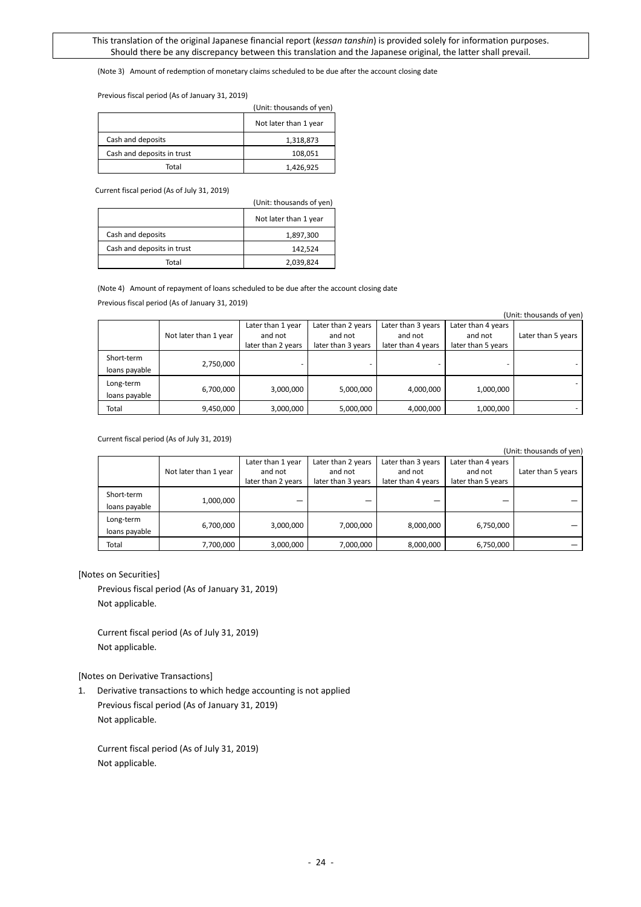(Note 3) Amount of redemption of monetary claims scheduled to be due after the account closing date

Previous fiscal period (As of January 31, 2019)

|                            | (Unit: thousands of yen) |
|----------------------------|--------------------------|
|                            | Not later than 1 year    |
| Cash and deposits          | 1,318,873                |
| Cash and deposits in trust | 108,051                  |
| Total                      | 1,426,925                |

Current fiscal period (As of July 31, 2019)

|                            | (Unit: thousands of yen) |
|----------------------------|--------------------------|
|                            | Not later than 1 year    |
| Cash and deposits          | 1,897,300                |
| Cash and deposits in trust | 142,524                  |
| Total                      | 2,039,824                |

(Note 4) Amount of repayment of loans scheduled to be due after the account closing date

Previous fiscal period (As of January 31, 2019)

|                             |                       |                                                    |                                                     |                                                     |                                                     | (Unit: thousands of yen) |
|-----------------------------|-----------------------|----------------------------------------------------|-----------------------------------------------------|-----------------------------------------------------|-----------------------------------------------------|--------------------------|
|                             | Not later than 1 year | Later than 1 year<br>and not<br>later than 2 years | Later than 2 years<br>and not<br>later than 3 years | Later than 3 years<br>and not<br>later than 4 years | Later than 4 years<br>and not<br>later than 5 years | Later than 5 years       |
| Short-term<br>loans payable | 2,750,000             |                                                    |                                                     |                                                     |                                                     |                          |
| Long-term<br>loans payable  | 6,700,000             | 3,000,000                                          | 5,000,000                                           | 4,000,000                                           | 1,000,000                                           |                          |
| Total                       | 9,450,000             | 3,000,000                                          | 5,000,000                                           | 4,000,000                                           | 1,000,000                                           |                          |

Current fiscal period (As of July 31, 2019)

|                             |                       |                               |                               |                               |                               | (Unit: thousands of yen) |
|-----------------------------|-----------------------|-------------------------------|-------------------------------|-------------------------------|-------------------------------|--------------------------|
|                             |                       | Later than 1 year             | Later than 2 years            | Later than 3 years            | Later than 4 years            |                          |
|                             | Not later than 1 year | and not<br>later than 2 years | and not<br>later than 3 years | and not<br>later than 4 years | and not<br>later than 5 years | Later than 5 years       |
| Short-term<br>loans payable | 1,000,000             |                               |                               | –                             |                               |                          |
| Long-term<br>loans payable  | 6,700,000             | 3,000,000                     | 7,000,000                     | 8,000,000                     | 6,750,000                     |                          |
| Total                       | 7,700,000             | 3,000,000                     | 7,000,000                     | 8,000,000                     | 6,750,000                     |                          |

#### [Notes on Securities]

Previous fiscal period (As of January 31, 2019) Not applicable.

Current fiscal period (As of July 31, 2019) Not applicable.

[Notes on Derivative Transactions]

1. Derivative transactions to which hedge accounting is not applied Previous fiscal period (As of January 31, 2019) Not applicable.

Current fiscal period (As of July 31, 2019) Not applicable.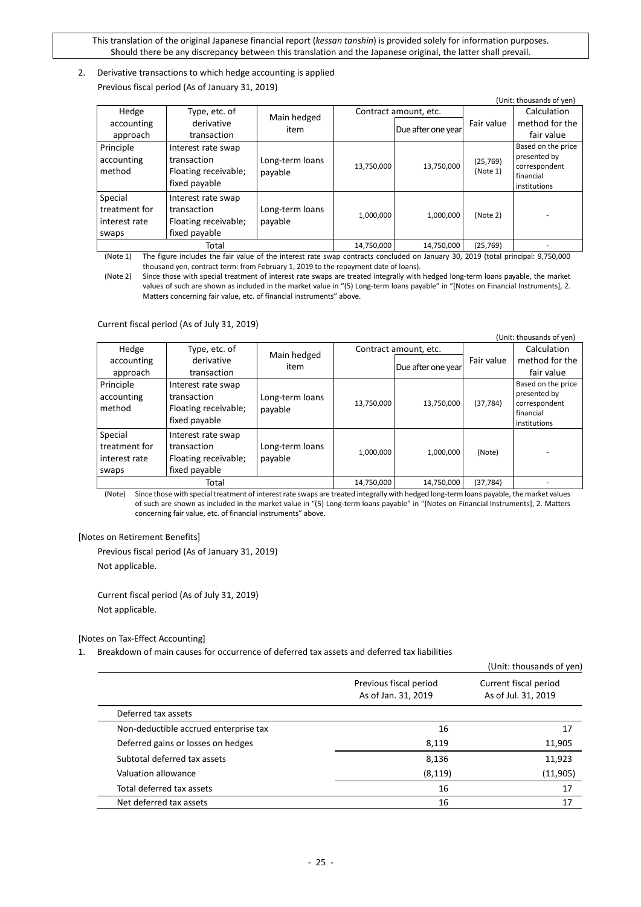## 2. Derivative transactions to which hedge accounting is applied Previous fiscal period (As of January 31, 2019)

| (Unit: thousands of yen)                           |                                                                            |                            |            |                       |                       |                                                                                  |  |  |  |
|----------------------------------------------------|----------------------------------------------------------------------------|----------------------------|------------|-----------------------|-----------------------|----------------------------------------------------------------------------------|--|--|--|
| Hedge                                              | Type, etc. of                                                              | Main hedged                |            | Contract amount, etc. |                       | Calculation                                                                      |  |  |  |
| accounting                                         | derivative                                                                 | item                       |            |                       | Fair value            | method for the                                                                   |  |  |  |
| approach                                           | transaction                                                                |                            |            | Due after one year    |                       | fair value                                                                       |  |  |  |
| Principle<br>accounting<br>method                  | Interest rate swap<br>transaction<br>Floating receivable;<br>fixed payable | Long-term loans<br>payable | 13,750,000 | 13,750,000            | (25, 769)<br>(Note 1) | Based on the price<br>presented by<br>correspondent<br>financial<br>institutions |  |  |  |
| Special<br>treatment for<br>interest rate<br>swaps | Interest rate swap<br>transaction<br>Floating receivable;<br>fixed payable | Long-term loans<br>payable | 1,000,000  | 1,000,000             | (Note 2)              |                                                                                  |  |  |  |
|                                                    | Total                                                                      |                            | 14,750,000 | 14,750,000            | (25, 769)             |                                                                                  |  |  |  |

(Note 1) The figure includes the fair value of the interest rate swap contracts concluded on January 30, 2019 (total principal: 9,750,000 thousand yen, contract term: from February 1, 2019 to the repayment date of loans).

(Note 2) Since those with special treatment of interest rate swaps are treated integrally with hedged long-term loans payable, the market values of such are shown as included in the market value in "(5) Long-term loans payable" in "[Notes on Financial Instruments], 2. Matters concerning fair value, etc. of financial instruments" above.

Current fiscal period (As of July 31, 2019)

|                                                    |                                                                            |                            |            |                       |            | (Unit: thousands of yen)                                                         |
|----------------------------------------------------|----------------------------------------------------------------------------|----------------------------|------------|-----------------------|------------|----------------------------------------------------------------------------------|
| Hedge                                              | Type, etc. of                                                              | Main hedged                |            | Contract amount, etc. |            | Calculation                                                                      |
| accounting                                         | derivative                                                                 | item                       |            | Due after one year    | Fair value | method for the                                                                   |
| approach                                           | transaction                                                                |                            |            |                       |            | fair value                                                                       |
| Principle<br>accounting<br>method                  | Interest rate swap<br>transaction<br>Floating receivable;<br>fixed payable | Long-term loans<br>payable | 13,750,000 | 13,750,000            | (37, 784)  | Based on the price<br>presented by<br>correspondent<br>financial<br>institutions |
| Special<br>treatment for<br>interest rate<br>swaps | Interest rate swap<br>transaction<br>Floating receivable;<br>fixed payable | Long-term loans<br>payable | 1,000,000  | 1,000,000             | (Note)     |                                                                                  |
|                                                    | Total                                                                      |                            | 14,750,000 | 14,750,000            | (37, 784)  |                                                                                  |

(Note) Since those with special treatment of interestrate swaps are treated integrally with hedged long-term loans payable, the market values of such are shown as included in the market value in "(5) Long-term loans payable" in "[Notes on Financial Instruments], 2. Matters concerning fair value, etc. of financial instruments" above.

[Notes on Retirement Benefits]

Previous fiscal period (As of January 31, 2019) Not applicable.

Current fiscal period (As of July 31, 2019) Not applicable.

[Notes on Tax-Effect Accounting]

1. Breakdown of main causes for occurrence of deferred tax assets and deferred tax liabilities

|                                       |                                               | (Unit: thousands of yen)                     |  |
|---------------------------------------|-----------------------------------------------|----------------------------------------------|--|
|                                       | Previous fiscal period<br>As of Jan. 31, 2019 | Current fiscal period<br>As of Jul. 31, 2019 |  |
| Deferred tax assets                   |                                               |                                              |  |
| Non-deductible accrued enterprise tax | 16                                            | 17                                           |  |
| Deferred gains or losses on hedges    | 8,119                                         | 11,905                                       |  |
| Subtotal deferred tax assets          | 8,136                                         | 11,923                                       |  |
| Valuation allowance                   | (8, 119)                                      | (11,905)                                     |  |
| Total deferred tax assets             | 16                                            | 17                                           |  |
| Net deferred tax assets               | 16                                            | 17                                           |  |
|                                       |                                               |                                              |  |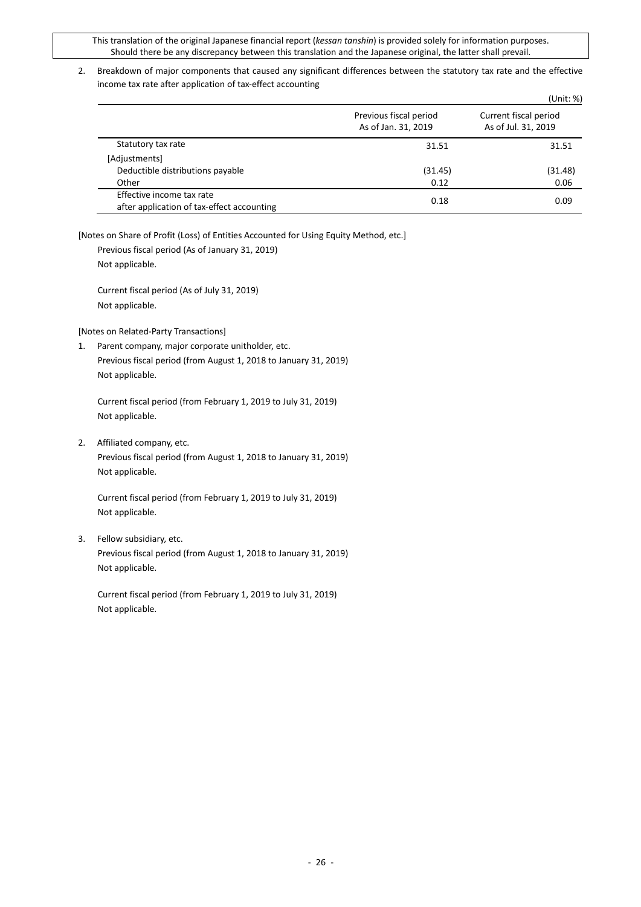## 2. Breakdown of major components that caused any significant differences between the statutory tax rate and the effective income tax rate after application of tax-effect accounting

|                                                                         |                                               | (Unit: %)                                    |
|-------------------------------------------------------------------------|-----------------------------------------------|----------------------------------------------|
|                                                                         | Previous fiscal period<br>As of Jan. 31, 2019 | Current fiscal period<br>As of Jul. 31, 2019 |
| Statutory tax rate                                                      | 31.51                                         | 31.51                                        |
| [Adjustments]                                                           |                                               |                                              |
| Deductible distributions payable                                        | (31.45)                                       | (31.48)                                      |
| Other                                                                   | 0.12                                          | 0.06                                         |
| Effective income tax rate<br>after application of tax-effect accounting | 0.18                                          | 0.09                                         |

[Notes on Share of Profit (Loss) of Entities Accounted for Using Equity Method, etc.]

Previous fiscal period (As of January 31, 2019) Not applicable.

Current fiscal period (As of July 31, 2019) Not applicable.

[Notes on Related-Party Transactions]

1. Parent company, major corporate unitholder, etc. Previous fiscal period (from August 1, 2018 to January 31, 2019) Not applicable.

Current fiscal period (from February 1, 2019 to July 31, 2019) Not applicable.

2. Affiliated company, etc.

Previous fiscal period (from August 1, 2018 to January 31, 2019) Not applicable.

Current fiscal period (from February 1, 2019 to July 31, 2019) Not applicable.

3. Fellow subsidiary, etc. Previous fiscal period (from August 1, 2018 to January 31, 2019) Not applicable.

Current fiscal period (from February 1, 2019 to July 31, 2019) Not applicable.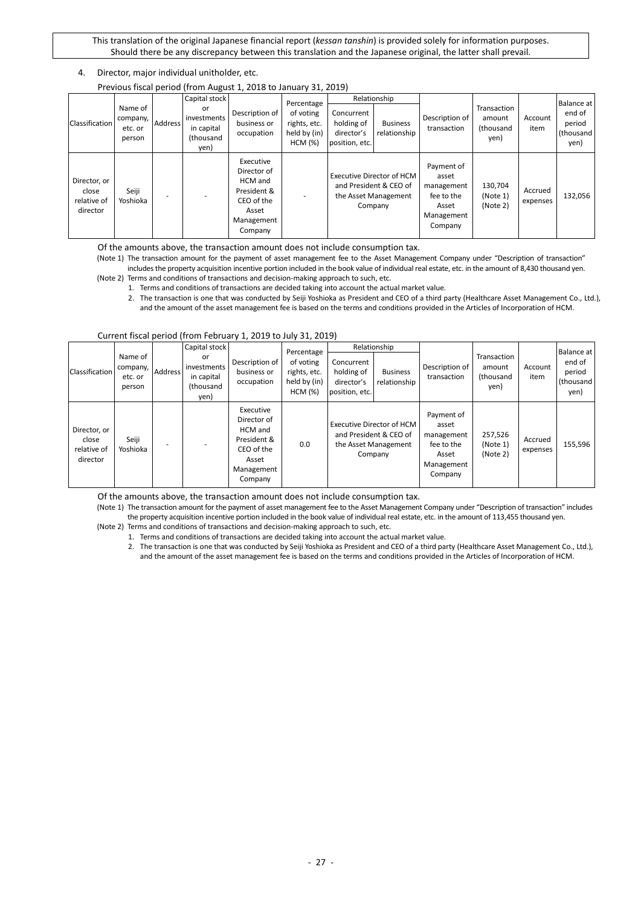## 4. Director, major individual unitholder, etc.

|  |  | Previous fiscal period (from August 1, 2018 to January 31, 2019) |  |
|--|--|------------------------------------------------------------------|--|
|  |  |                                                                  |  |

|                                                  |                                          |                | Capital stock                                        |                                                                                                    | Percentage                                           |                                                          | Relationship                                                                           |                                                                                   |                                            |                     | <b>Balance at</b>                     |
|--------------------------------------------------|------------------------------------------|----------------|------------------------------------------------------|----------------------------------------------------------------------------------------------------|------------------------------------------------------|----------------------------------------------------------|----------------------------------------------------------------------------------------|-----------------------------------------------------------------------------------|--------------------------------------------|---------------------|---------------------------------------|
| Classification                                   | Name of<br>company,<br>etc. or<br>person | <b>Address</b> | or<br>investments<br>in capital<br>(thousand<br>yen) | Description of<br>business or<br>occupation                                                        | of voting<br>rights, etc.<br>held by (in)<br>HCM (%) | Concurrent<br>holding of<br>director's<br>position, etc. | <b>Business</b><br>relationship                                                        | Description of<br>transaction                                                     | Transaction<br>amount<br>(thousand<br>yen) | Account<br>item     | end of<br>period<br>(thousand<br>yen) |
| Director, or<br>close<br>relative of<br>director | Seiji<br>Yoshioka                        |                |                                                      | Executive<br>Director of<br>HCM and<br>President &<br>CEO of the<br>Asset<br>Management<br>Company |                                                      |                                                          | Executive Director of HCM<br>and President & CEO of<br>the Asset Management<br>Company | Payment of<br>asset<br>management<br>fee to the<br>Asset<br>Management<br>Company | 130,704<br>(Note 1)<br>(Note 2)            | Accrued<br>expenses | 132,056                               |

Of the amounts above, the transaction amount does not include consumption tax.

(Note 1) The transaction amount for the payment of asset management fee to the Asset Management Company under "Description of transaction" includes the property acquisition incentive portion included in the book value of individual real estate, etc. in the amount of 8,430 thousand yen. (Note 2) Terms and conditions of transactions and decision-making approach to such, etc.

- 
- 1. Terms and conditions of transactions are decided taking into account the actual market value.
- 2. The transaction is one that was conducted by Seiji Yoshioka as President and CEO of a third party (Healthcare Asset Management Co., Ltd.), and the amount of the asset management fee is based on the terms and conditions provided in the Articles of Incorporation of HCM.

#### Current fiscal period (from February 1, 2019 to July 31, 2019)

|                                                  |                                          |                | Capital stock                                        |                                                                                                    | Percentage                                           |                                                          | Relationship                                                                           |                                                                                   |                                            |                     | <b>Balance</b> at                     |
|--------------------------------------------------|------------------------------------------|----------------|------------------------------------------------------|----------------------------------------------------------------------------------------------------|------------------------------------------------------|----------------------------------------------------------|----------------------------------------------------------------------------------------|-----------------------------------------------------------------------------------|--------------------------------------------|---------------------|---------------------------------------|
| <b>Classification</b>                            | Name of<br>company,<br>etc. or<br>person | <b>Address</b> | or<br>investments<br>in capital<br>(thousand<br>yen) | Description of<br>business or<br>occupation                                                        | of voting<br>rights, etc.<br>held by (in)<br>HCM (%) | Concurrent<br>holding of<br>director's<br>position, etc. | <b>Business</b><br>relationship                                                        | Description of<br>transaction                                                     | Transaction<br>amount<br>(thousand<br>yen) | Account<br>item     | end of<br>period<br>(thousand<br>yen) |
| Director, or<br>close<br>relative of<br>director | Seiji<br>Yoshioka                        |                |                                                      | Executive<br>Director of<br>HCM and<br>President &<br>CEO of the<br>Asset<br>Management<br>Company | 0.0                                                  |                                                          | Executive Director of HCM<br>and President & CEO of<br>the Asset Management<br>Company | Payment of<br>asset<br>management<br>fee to the<br>Asset<br>Management<br>Company | 257,526<br>(Note 1)<br>(Note 2)            | Accrued<br>expenses | 155,596                               |

Of the amounts above, the transaction amount does not include consumption tax.

(Note 1) The transaction amount for the payment of asset management fee to the Asset Management Company under "Description of transaction" includes the property acquisition incentive portion included in the book value of individual real estate, etc. in the amount of 113,455 thousand yen.

(Note 2) Terms and conditions of transactions and decision-making approach to such, etc.

1. Terms and conditions of transactions are decided taking into account the actual market value.

2. The transaction is one that was conducted by Seiji Yoshioka as President and CEO of a third party (Healthcare Asset Management Co., Ltd.), and the amount of the asset management fee is based on the terms and conditions provided in the Articles of Incorporation of HCM.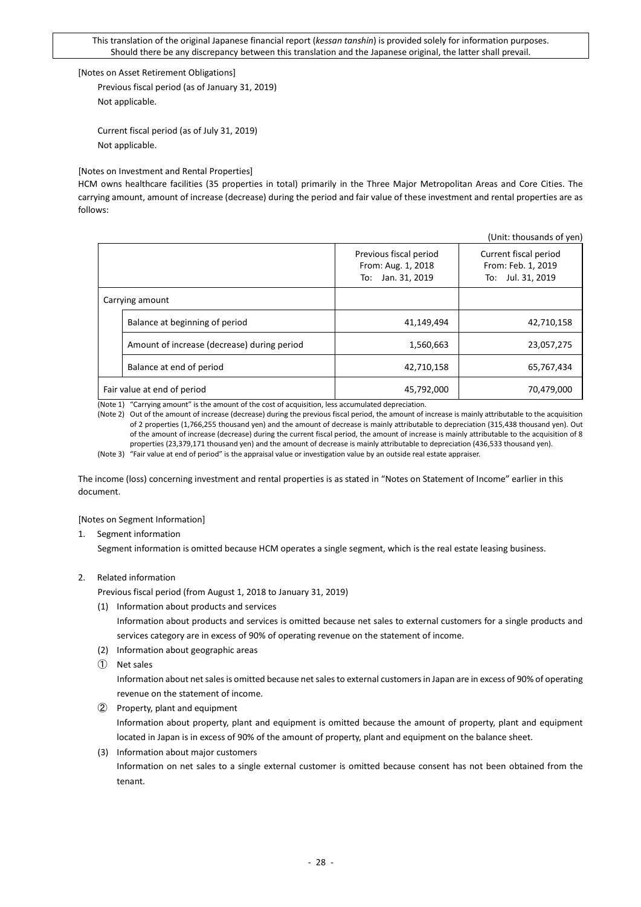[Notes on Asset Retirement Obligations]

Previous fiscal period (as of January 31, 2019) Not applicable.

Current fiscal period (as of July 31, 2019) Not applicable.

[Notes on Investment and Rental Properties]

HCM owns healthcare facilities (35 properties in total) primarily in the Three Major Metropolitan Areas and Core Cities. The carrying amount, amount of increase (decrease) during the period and fair value of these investment and rental properties are as follows:

|                                             |                                                                   | (Unit: thousands of yen)                                         |
|---------------------------------------------|-------------------------------------------------------------------|------------------------------------------------------------------|
|                                             | Previous fiscal period<br>From: Aug. 1, 2018<br>To: Jan. 31, 2019 | Current fiscal period<br>From: Feb. 1, 2019<br>To: Jul. 31, 2019 |
| Carrying amount                             |                                                                   |                                                                  |
| Balance at beginning of period              | 41,149,494                                                        | 42,710,158                                                       |
| Amount of increase (decrease) during period | 1,560,663                                                         | 23,057,275                                                       |
| Balance at end of period                    | 42,710,158                                                        | 65,767,434                                                       |
| Fair value at end of period                 | 45,792,000                                                        | 70,479,000                                                       |

(Note 1) "Carrying amount" is the amount of the cost of acquisition, less accumulated depreciation.

(Note 2) Out of the amount of increase (decrease) during the previous fiscal period, the amount of increase is mainly attributable to the acquisition of 2 properties (1,766,255 thousand yen) and the amount of decrease is mainly attributable to depreciation (315,438 thousand yen). Out of the amount of increase (decrease) during the current fiscal period, the amount of increase is mainly attributable to the acquisition of 8 properties (23,379,171 thousand yen) and the amount of decrease is mainly attributable to depreciation (436,533 thousand yen).

(Note 3) "Fair value at end of period" is the appraisal value or investigation value by an outside real estate appraiser.

The income (loss) concerning investment and rental properties is as stated in "Notes on Statement of Income" earlier in this document.

[Notes on Segment Information]

1. Segment information

Segment information is omitted because HCM operates a single segment, which is the real estate leasing business.

2. Related information

Previous fiscal period (from August 1, 2018 to January 31, 2019)

- (1) Information about products and services Information about products and services is omitted because net sales to external customers for a single products and services category are in excess of 90% of operating revenue on the statement of income.
- (2) Information about geographic areas
- ➀ Net sales

Information about net sales is omitted because net sales to external customers in Japan are in excess of 90% of operating revenue on the statement of income.

- ➁ Property, plant and equipment Information about property, plant and equipment is omitted because the amount of property, plant and equipment located in Japan is in excess of 90% of the amount of property, plant and equipment on the balance sheet.
- (3) Information about major customers Information on net sales to a single external customer is omitted because consent has not been obtained from the tenant.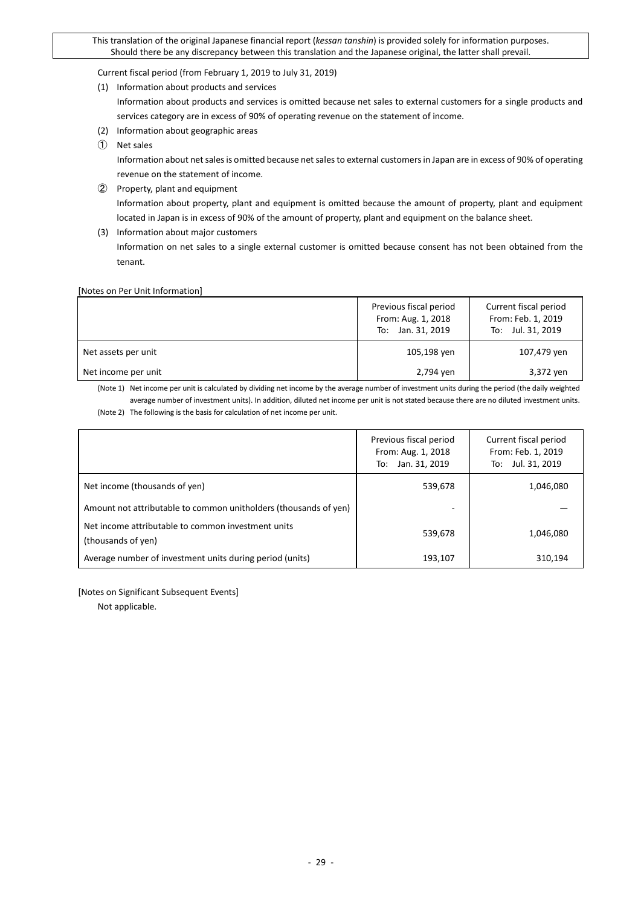Current fiscal period (from February 1, 2019 to July 31, 2019)

(1) Information about products and services

Information about products and services is omitted because net sales to external customers for a single products and services category are in excess of 90% of operating revenue on the statement of income.

- (2) Information about geographic areas
- ➀ Net sales

Information about net sales is omitted because net sales to external customers in Japan are in excess of 90% of operating revenue on the statement of income.

- ➁ Property, plant and equipment Information about property, plant and equipment is omitted because the amount of property, plant and equipment located in Japan is in excess of 90% of the amount of property, plant and equipment on the balance sheet.
- (3) Information about major customers Information on net sales to a single external customer is omitted because consent has not been obtained from the tenant.

#### [Notes on Per Unit Information]

|                     | Previous fiscal period<br>From: Aug. 1, 2018<br>To: Jan. 31, 2019 | Current fiscal period<br>From: Feb. 1, 2019<br>To: Jul. 31, 2019 |
|---------------------|-------------------------------------------------------------------|------------------------------------------------------------------|
| Net assets per unit | 105,198 yen                                                       | 107,479 yen                                                      |
| Net income per unit | 2,794 yen                                                         | 3,372 yen                                                        |

(Note 1) Net income per unit is calculated by dividing net income by the average number of investment units during the period (the daily weighted average number of investment units). In addition, diluted net income per unit is not stated because there are no diluted investment units.

<sup>(</sup>Note 2) The following is the basis for calculation of net income per unit.

|                                                                          | Previous fiscal period<br>From: Aug. 1, 2018<br>Jan. 31, 2019<br>To: | Current fiscal period<br>From: Feb. 1, 2019<br>To: Jul. 31, 2019 |
|--------------------------------------------------------------------------|----------------------------------------------------------------------|------------------------------------------------------------------|
| Net income (thousands of yen)                                            | 539,678                                                              | 1,046,080                                                        |
| Amount not attributable to common unitholders (thousands of yen)         |                                                                      |                                                                  |
| Net income attributable to common investment units<br>(thousands of yen) | 539,678                                                              | 1,046,080                                                        |
| Average number of investment units during period (units)                 | 193,107                                                              | 310,194                                                          |

[Notes on Significant Subsequent Events]

Not applicable.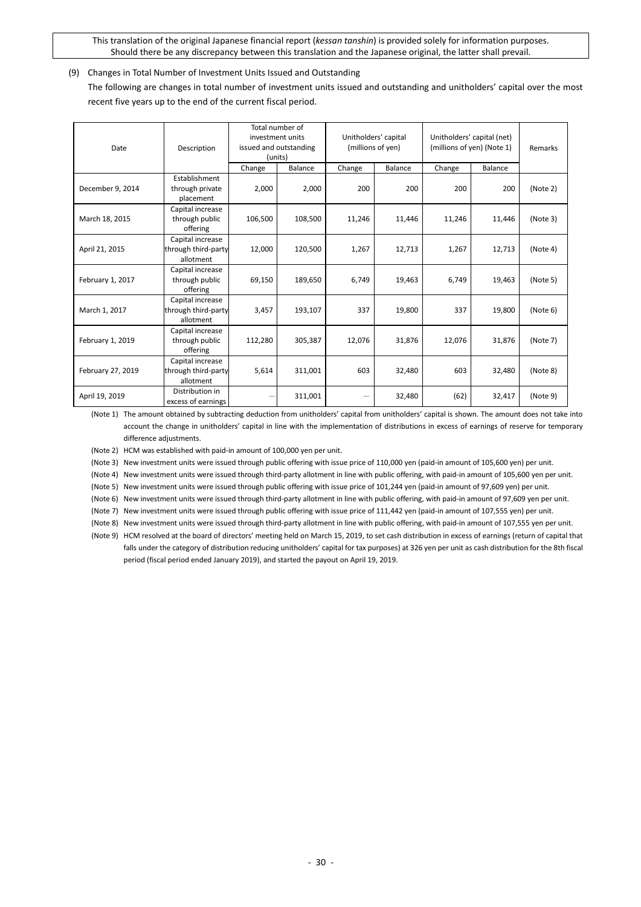## <span id="page-29-0"></span>(9) Changes in Total Number of Investment Units Issued and Outstanding

The following are changes in total number of investment units issued and outstanding and unitholders' capital over the most recent five years up to the end of the current fiscal period.

| Date              | Description                                          | Total number of<br>investment units<br>issued and outstanding<br>(units) |         | Unitholders' capital<br>(millions of yen) |         | Unitholders' capital (net)<br>(millions of yen) (Note 1) |         | Remarks  |
|-------------------|------------------------------------------------------|--------------------------------------------------------------------------|---------|-------------------------------------------|---------|----------------------------------------------------------|---------|----------|
|                   |                                                      | Change                                                                   | Balance | Change                                    | Balance | Change                                                   | Balance |          |
| December 9, 2014  | Establishment<br>through private<br>placement        | 2,000                                                                    | 2,000   | 200                                       | 200     | 200                                                      | 200     | (Note 2) |
| March 18, 2015    | Capital increase<br>through public<br>offering       | 106,500                                                                  | 108,500 | 11,246                                    | 11,446  | 11,246                                                   | 11,446  | (Note 3) |
| April 21, 2015    | Capital increase<br>through third-party<br>allotment | 12,000                                                                   | 120,500 | 1,267                                     | 12,713  | 1,267                                                    | 12,713  | (Note 4) |
| February 1, 2017  | Capital increase<br>through public<br>offering       | 69,150                                                                   | 189,650 | 6,749                                     | 19,463  | 6,749                                                    | 19,463  | (Note 5) |
| March 1, 2017     | Capital increase<br>through third-party<br>allotment | 3,457                                                                    | 193,107 | 337                                       | 19,800  | 337                                                      | 19,800  | (Note 6) |
| February 1, 2019  | Capital increase<br>through public<br>offering       | 112,280                                                                  | 305,387 | 12,076                                    | 31,876  | 12,076                                                   | 31,876  | (Note 7) |
| February 27, 2019 | Capital increase<br>through third-party<br>allotment | 5,614                                                                    | 311,001 | 603                                       | 32,480  | 603                                                      | 32,480  | (Note 8) |
| April 19, 2019    | Distribution in<br>excess of earnings                |                                                                          | 311,001 |                                           | 32,480  | (62)                                                     | 32,417  | (Note 9) |

(Note 1) The amount obtained by subtracting deduction from unitholders' capital from unitholders' capital is shown. The amount does not take into account the change in unitholders' capital in line with the implementation of distributions in excess of earnings of reserve for temporary difference adjustments.

(Note 2) HCM was established with paid-in amount of 100,000 yen per unit.

(Note 3) New investment units were issued through public offering with issue price of 110,000 yen (paid-in amount of 105,600 yen) per unit.

(Note 4) New investment units were issued through third-party allotment in line with public offering, with paid-in amount of 105,600 yen per unit.

(Note 5) New investment units were issued through public offering with issue price of 101,244 yen (paid-in amount of 97,609 yen) per unit.

(Note 6) New investment units were issued through third-party allotment in line with public offering, with paid-in amount of 97,609 yen per unit.

(Note 7) New investment units were issued through public offering with issue price of 111,442 yen (paid-in amount of 107,555 yen) per unit.

(Note 8) New investment units were issued through third-party allotment in line with public offering, with paid-in amount of 107,555 yen per unit.

(Note 9) HCM resolved at the board of directors' meeting held on March 15, 2019, to set cash distribution in excess of earnings (return of capital that falls under the category of distribution reducing unitholders' capital for tax purposes) at 326 yen per unit as cash distribution for the 8th fiscal period (fiscal period ended January 2019), and started the payout on April 19, 2019.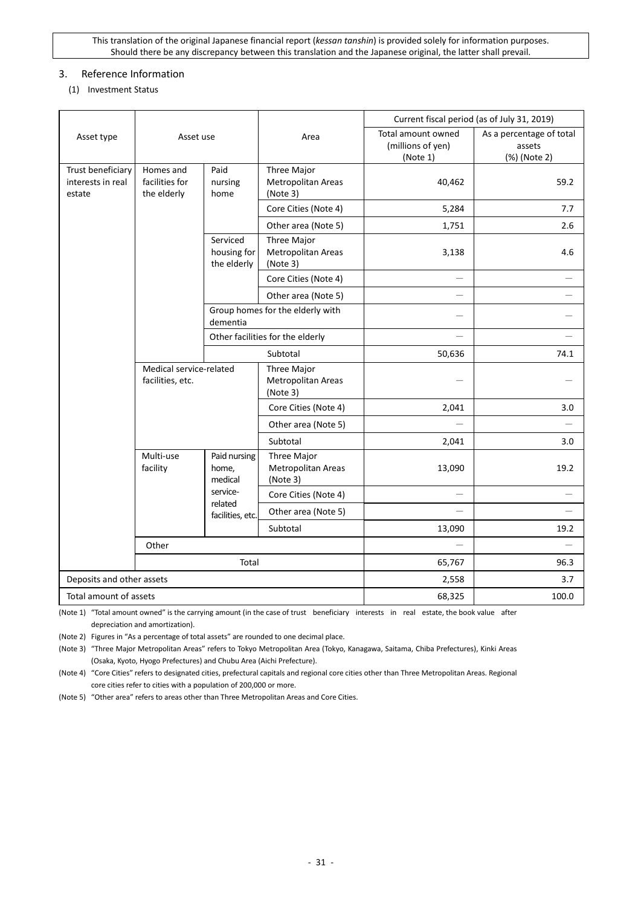## <span id="page-30-0"></span>3. Reference Information

## <span id="page-30-1"></span>(1) Investment Status

|                                                  | Asset use                                   |                                        |                                               |                                                     | Current fiscal period (as of July 31, 2019)        |
|--------------------------------------------------|---------------------------------------------|----------------------------------------|-----------------------------------------------|-----------------------------------------------------|----------------------------------------------------|
| Asset type                                       |                                             |                                        | Area                                          | Total amount owned<br>(millions of yen)<br>(Note 1) | As a percentage of total<br>assets<br>(%) (Note 2) |
| Trust beneficiary<br>interests in real<br>estate | Homes and<br>facilities for<br>the elderly  | Paid<br>nursing<br>home                | Three Major<br>Metropolitan Areas<br>(Note 3) | 40,462                                              | 59.2                                               |
|                                                  |                                             |                                        | Core Cities (Note 4)                          | 5,284                                               | 7.7                                                |
|                                                  |                                             |                                        | Other area (Note 5)                           | 1,751                                               | 2.6                                                |
|                                                  |                                             | Serviced<br>housing for<br>the elderly | Three Major<br>Metropolitan Areas<br>(Note 3) | 3,138                                               | 4.6                                                |
|                                                  |                                             |                                        | Core Cities (Note 4)                          |                                                     |                                                    |
|                                                  |                                             |                                        | Other area (Note 5)                           |                                                     |                                                    |
|                                                  |                                             | dementia                               | Group homes for the elderly with              |                                                     |                                                    |
|                                                  |                                             |                                        | Other facilities for the elderly              |                                                     |                                                    |
|                                                  |                                             |                                        | Subtotal                                      | 50,636                                              | 74.1                                               |
|                                                  | Medical service-related<br>facilities, etc. |                                        | Three Major<br>Metropolitan Areas<br>(Note 3) |                                                     |                                                    |
|                                                  |                                             |                                        | Core Cities (Note 4)                          | 2,041                                               | 3.0                                                |
|                                                  |                                             |                                        | Other area (Note 5)                           |                                                     |                                                    |
|                                                  |                                             |                                        | Subtotal                                      | 2,041                                               | 3.0                                                |
|                                                  | Multi-use<br>facility                       | Paid nursing<br>home,<br>medical       | Three Major<br>Metropolitan Areas<br>(Note 3) | 13,090                                              | 19.2                                               |
|                                                  |                                             | service-                               | Core Cities (Note 4)                          |                                                     |                                                    |
|                                                  |                                             | related<br>facilities, etc.            | Other area (Note 5)                           | $\equiv$                                            | L.                                                 |
|                                                  |                                             |                                        | Subtotal                                      | 13,090                                              | 19.2                                               |
|                                                  | Other                                       |                                        |                                               |                                                     |                                                    |
|                                                  |                                             | Total                                  |                                               | 65,767                                              | 96.3                                               |
| Deposits and other assets                        |                                             |                                        | 2,558                                         | 3.7                                                 |                                                    |
| Total amount of assets                           |                                             |                                        |                                               | 68,325                                              | 100.0                                              |

(Note 1) "Total amount owned" is the carrying amount (in the case of trust beneficiary interests in real estate, the book value after depreciation and amortization).

(Note 2) Figures in "As a percentage of total assets" are rounded to one decimal place.

(Note 3) "Three Major Metropolitan Areas" refers to Tokyo Metropolitan Area (Tokyo, Kanagawa, Saitama, Chiba Prefectures), Kinki Areas (Osaka, Kyoto, Hyogo Prefectures) and Chubu Area (Aichi Prefecture).

(Note 4) "Core Cities" refers to designated cities, prefectural capitals and regional core cities other than Three Metropolitan Areas. Regional core cities refer to cities with a population of 200,000 or more.

(Note 5) "Other area" refers to areas other than Three Metropolitan Areas and Core Cities.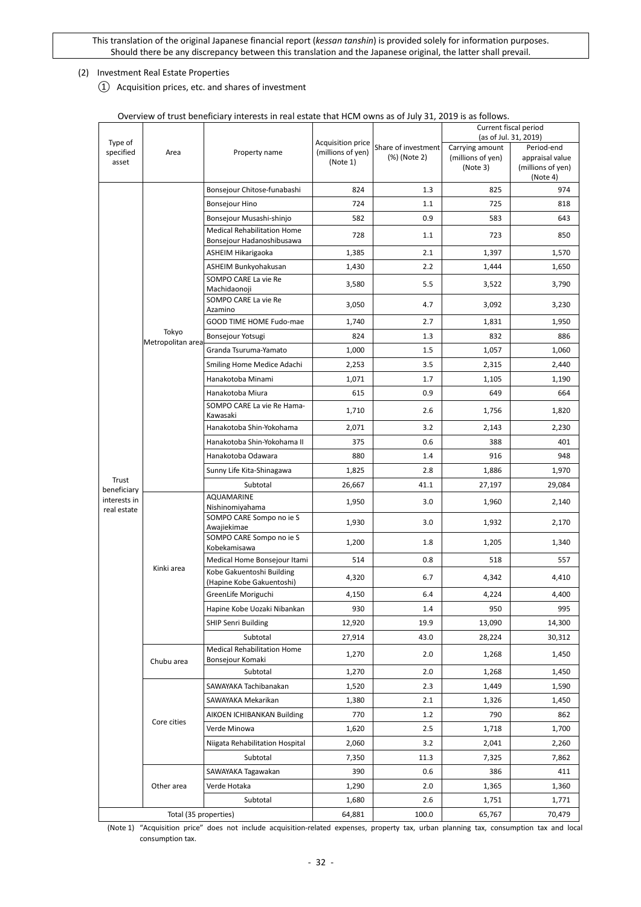## <span id="page-31-0"></span>(2) Investment Real Estate Properties

① Acquisition prices, etc. and shares of investment

|                             |                       |                                                                 |                          |                                     |                                      | Current fiscal period                |
|-----------------------------|-----------------------|-----------------------------------------------------------------|--------------------------|-------------------------------------|--------------------------------------|--------------------------------------|
| Type of                     | Area                  |                                                                 | <b>Acquisition price</b> |                                     | (as of Jul. 31, 2019)                |                                      |
| specified                   |                       | Property name                                                   | (millions of yen)        | Share of investment<br>(%) (Note 2) | Carrying amount<br>(millions of yen) | Period-end                           |
| asset                       |                       |                                                                 | (Note 1)                 |                                     | (Note 3)                             | appraisal value<br>(millions of yen) |
|                             |                       |                                                                 |                          |                                     |                                      | (Note 4)                             |
|                             |                       | Bonsejour Chitose-funabashi                                     | 824                      | 1.3                                 | 825                                  | 974                                  |
|                             |                       | <b>Bonsejour Hino</b>                                           | 724                      | 1.1                                 | 725                                  | 818                                  |
|                             |                       | Bonsejour Musashi-shinjo                                        | 582                      | 0.9                                 | 583                                  | 643                                  |
|                             |                       | <b>Medical Rehabilitation Home</b><br>Bonsejour Hadanoshibusawa | 728                      | 1.1                                 | 723                                  | 850                                  |
|                             |                       | ASHEIM Hikarigaoka                                              | 1,385                    | 2.1                                 | 1,397                                | 1,570                                |
|                             |                       | ASHEIM Bunkyohakusan                                            | 1,430                    | 2.2                                 | 1,444                                | 1,650                                |
|                             |                       | SOMPO CARE La vie Re<br>Machidaonoji                            | 3,580                    | 5.5                                 | 3,522                                | 3,790                                |
|                             |                       | SOMPO CARE La vie Re<br>Azamino                                 | 3,050                    | 4.7                                 | 3,092                                | 3,230                                |
|                             |                       | GOOD TIME HOME Fudo-mae                                         | 1,740                    | 2.7                                 | 1,831                                | 1,950                                |
|                             | Tokyo                 | Bonsejour Yotsugi                                               | 824                      | 1.3                                 | 832                                  | 886                                  |
|                             | Metropolitan area     | Granda Tsuruma-Yamato                                           | 1,000                    | 1.5                                 | 1,057                                | 1,060                                |
|                             |                       | Smiling Home Medice Adachi                                      | 2,253                    | 3.5                                 | 2,315                                | 2,440                                |
|                             |                       | Hanakotoba Minami                                               | 1,071                    | 1.7                                 | 1,105                                | 1,190                                |
|                             |                       | Hanakotoba Miura                                                | 615                      | 0.9                                 | 649                                  | 664                                  |
|                             |                       | SOMPO CARE La vie Re Hama-                                      |                          |                                     |                                      |                                      |
|                             |                       | Kawasaki                                                        | 1,710                    | 2.6                                 | 1,756                                | 1,820                                |
|                             |                       | Hanakotoba Shin-Yokohama                                        | 2,071                    | 3.2                                 | 2,143                                | 2,230                                |
|                             |                       | Hanakotoba Shin-Yokohama II                                     | 375                      | 0.6                                 | 388                                  | 401                                  |
|                             |                       | Hanakotoba Odawara                                              | 880                      | 1.4                                 | 916                                  | 948                                  |
| Trust                       |                       | Sunny Life Kita-Shinagawa                                       | 1,825                    | 2.8                                 | 1,886                                | 1,970                                |
| beneficiary                 |                       | Subtotal                                                        | 26,667                   | 41.1                                | 27,197                               | 29,084                               |
| interests in<br>real estate |                       | AQUAMARINE<br>Nishinomiyahama                                   | 1,950                    | 3.0                                 | 1,960                                | 2,140                                |
|                             |                       | SOMPO CARE Sompo no ie S<br>Awajiekimae                         | 1,930                    | 3.0                                 | 1,932                                | 2,170                                |
|                             |                       | SOMPO CARE Sompo no ie S<br>Kobekamisawa                        | 1,200                    | 1.8                                 | 1,205                                | 1,340                                |
|                             |                       | Medical Home Bonsejour Itami                                    | 514                      | 0.8                                 | 518                                  | 557                                  |
|                             | Kinki area            | Kobe Gakuentoshi Building<br>(Hapine Kobe Gakuentoshi)          | 4,320                    | 6.7                                 | 4,342                                | 4,410                                |
|                             |                       | GreenLife Moriguchi                                             | 4,150                    | 6.4                                 | 4,224                                | 4,400                                |
|                             |                       | Hapine Kobe Uozaki Nibankan                                     | 930                      | 1.4                                 | 950                                  | 995                                  |
|                             |                       | <b>SHIP Senri Building</b>                                      | 12,920                   | 19.9                                | 13,090                               | 14,300                               |
|                             |                       | Subtotal                                                        | 27,914                   | 43.0                                | 28,224                               | 30,312                               |
|                             | Chubu area            | Medical Rehabilitation Home<br>Bonsejour Komaki                 | 1,270                    | 2.0                                 | 1,268                                | 1,450                                |
|                             |                       | Subtotal                                                        | 1,270                    | 2.0                                 | 1,268                                | 1,450                                |
|                             |                       | SAWAYAKA Tachibanakan                                           | 1,520                    | 2.3                                 | 1,449                                | 1,590                                |
|                             |                       | SAWAYAKA Mekarikan                                              | 1,380                    | 2.1                                 | 1,326                                | 1,450                                |
|                             |                       | AIKOEN ICHIBANKAN Building                                      | 770                      | 1.2                                 | 790                                  | 862                                  |
|                             | Core cities           | Verde Minowa                                                    | 1,620                    | 2.5                                 | 1,718                                | 1,700                                |
|                             |                       | Niigata Rehabilitation Hospital                                 | 2,060                    | 3.2                                 | 2,041                                | 2,260                                |
|                             |                       | Subtotal                                                        | 7,350                    | 11.3                                | 7,325                                | 7,862                                |
|                             |                       | SAWAYAKA Tagawakan                                              | 390                      | 0.6                                 | 386                                  | 411                                  |
|                             | Other area            | Verde Hotaka                                                    | 1,290                    | 2.0                                 | 1,365                                | 1,360                                |
|                             |                       | Subtotal                                                        | 1,680                    | 2.6                                 | 1,751                                | 1,771                                |
|                             | Total (35 properties) |                                                                 | 64,881                   | 100.0                               | 65,767                               | 70,479                               |

#### Overview of trust beneficiary interests in real estate that HCM owns as of July 31, 2019 is as follows.

(Note 1) "Acquisition price" does not include acquisition-related expenses, property tax, urban planning tax, consumption tax and local consumption tax.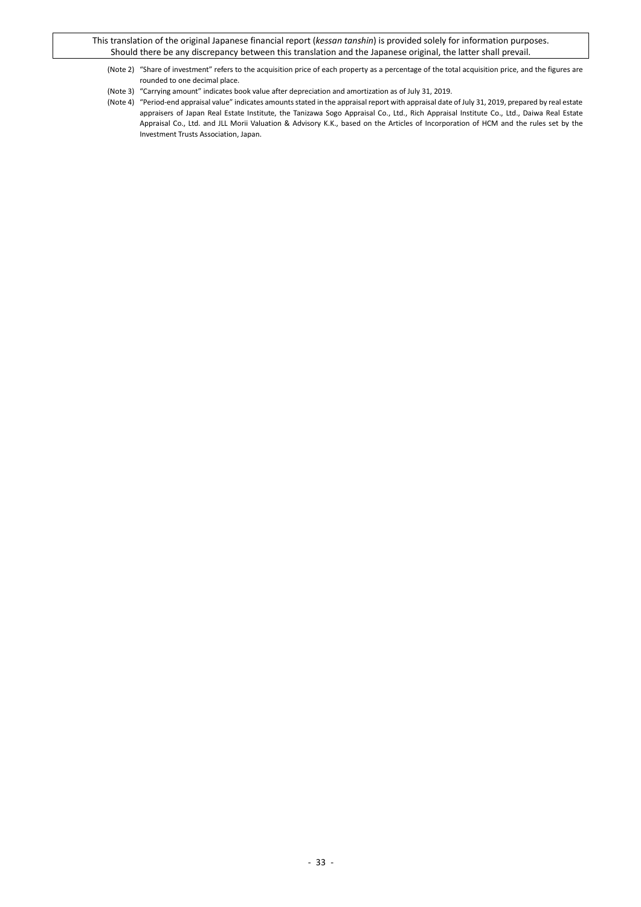- (Note 2) "Share of investment" refers to the acquisition price of each property as a percentage of the total acquisition price, and the figures are rounded to one decimal place.
- (Note 3) "Carrying amount" indicates book value after depreciation and amortization as of July 31, 2019.
- (Note 4) "Period-end appraisal value" indicates amounts stated in the appraisal report with appraisal date of July 31, 2019, prepared by real estate appraisers of Japan Real Estate Institute, the Tanizawa Sogo Appraisal Co., Ltd., Rich Appraisal Institute Co., Ltd., Daiwa Real Estate Appraisal Co., Ltd. and JLL Morii Valuation & Advisory K.K., based on the Articles of Incorporation of HCM and the rules set by the Investment Trusts Association, Japan.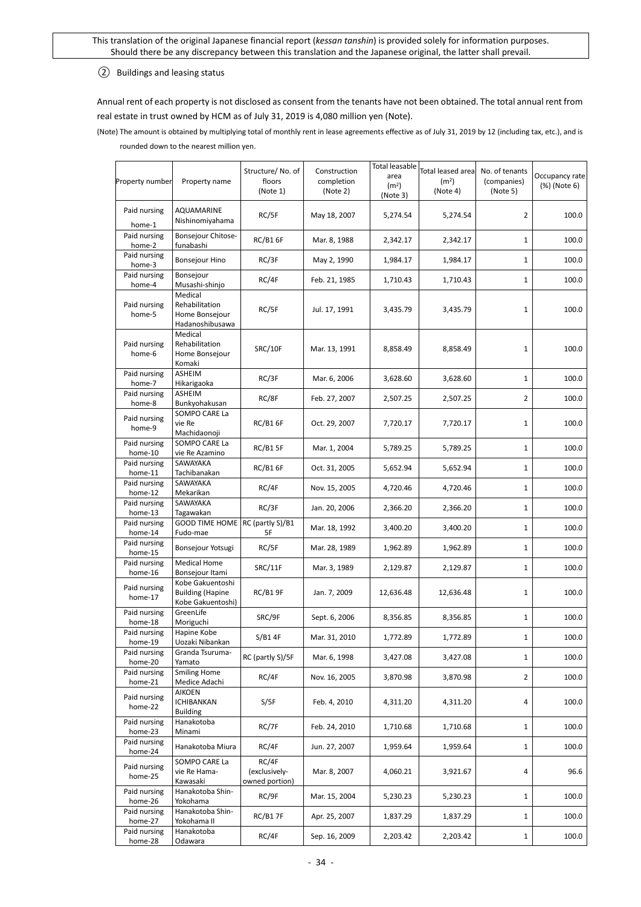## ② Buildings and leasing status

Annual rent of each property is not disclosed as consent from the tenants have not been obtained. The total annual rent from real estate in trust owned by HCM as of July 31, 2019 is 4,080 million yen (Note).

(Note) The amount is obtained by multiplying total of monthly rent in lease agreements effective as of July 31, 2019 by 12 (including tax, etc.), and is rounded down to the nearest million yen.

| Property number                    | Property name                                                    | Structure/No. of<br>floors<br>(Note 1)   | Construction<br>completion<br>(Note 2) | Total leasable<br>area<br>(m <sup>2</sup> )<br>(Note 3) | Total leased area<br>(m <sup>2</sup> )<br>(Note 4) | No. of tenants<br>(companies)<br>(Note 5) | Occupancy rate<br>(%) (Note 6) |
|------------------------------------|------------------------------------------------------------------|------------------------------------------|----------------------------------------|---------------------------------------------------------|----------------------------------------------------|-------------------------------------------|--------------------------------|
| Paid nursing<br>home-1             | AQUAMARINE<br>Nishinomiyahama                                    | RC/5F                                    | May 18, 2007                           | 5,274.54                                                | 5,274.54                                           | 2                                         | 100.0                          |
| Paid nursing<br>home-2             | Bonsejour Chitose-<br>funabashi                                  | <b>RC/B1 6F</b>                          | Mar. 8, 1988                           | 2,342.17                                                | 2,342.17                                           | 1                                         | 100.0                          |
| Paid nursing<br>home-3             | <b>Bonsejour Hino</b>                                            | RC/3F                                    | May 2, 1990                            | 1,984.17                                                | 1,984.17                                           | 1                                         | 100.0                          |
| Paid nursing<br>home-4             | Bonsejour<br>Musashi-shinjo                                      | RC/4F                                    | Feb. 21, 1985                          | 1,710.43                                                | 1,710.43                                           | 1                                         | 100.0                          |
| Paid nursing<br>home-5             | Medical<br>Rehabilitation<br>Home Bonsejour<br>Hadanoshibusawa   | RC/5F                                    | Jul. 17, 1991                          | 3,435.79                                                | 3,435.79                                           | $\mathbf{1}$                              | 100.0                          |
| Paid nursing<br>home-6             | Medical<br>Rehabilitation<br>Home Bonsejour<br>Komaki            | SRC/10F                                  | Mar. 13, 1991                          | 8,858.49                                                | 8,858.49                                           | $\mathbf{1}$                              | 100.0                          |
| Paid nursing<br>home-7             | ASHEIM<br>Hikarigaoka                                            | RC/3F                                    | Mar. 6, 2006                           | 3,628.60                                                | 3,628.60                                           | 1                                         | 100.0                          |
| Paid nursing<br>home-8             | ASHEIM<br>Bunkyohakusan                                          | RC/8F                                    | Feb. 27, 2007                          | 2,507.25                                                | 2,507.25                                           | 2                                         | 100.0                          |
| Paid nursing<br>home-9             | SOMPO CARE La<br>vie Re<br>Machidaonoji                          | RC/B16F                                  | Oct. 29, 2007                          | 7,720.17                                                | 7,720.17                                           | 1                                         | 100.0                          |
| Paid nursing<br>home-10            | SOMPO CARE La<br>vie Re Azamino                                  | <b>RC/B1 5F</b>                          | Mar. 1, 2004                           | 5,789.25                                                | 5,789.25                                           | 1                                         | 100.0                          |
| Paid nursing<br>home-11            | SAWAYAKA<br>Tachibanakan                                         | <b>RC/B1 6F</b>                          | Oct. 31, 2005                          | 5,652.94                                                | 5,652.94                                           | 1                                         | 100.0                          |
| Paid nursing                       | SAWAYAKA                                                         | RC/4F                                    | Nov. 15, 2005                          | 4,720.46                                                | 4,720.46                                           | 1                                         | 100.0                          |
| home-12<br>Paid nursing            | Mekarikan<br>SAWAYAKA                                            | RC/3F                                    | Jan. 20, 2006                          | 2,366.20                                                | 2,366.20                                           | 1                                         | 100.0                          |
| home-13<br>Paid nursing            | Tagawakan<br>GOOD TIME HOME RC (partly S)/B1                     |                                          |                                        |                                                         |                                                    |                                           |                                |
| home-14<br>Paid nursing            | Fudo-mae                                                         | 5F                                       | Mar. 18, 1992                          | 3,400.20                                                | 3,400.20                                           | $\mathbf{1}$                              | 100.0                          |
| home-15                            | Bonsejour Yotsugi                                                | RC/5F                                    | Mar. 28, 1989                          | 1,962.89                                                | 1,962.89                                           | 1                                         | 100.0                          |
| Paid nursing<br>home-16            | <b>Medical Home</b><br>Bonsejour Itami                           | SRC/11F                                  | Mar. 3, 1989                           | 2,129.87                                                | 2,129.87                                           | 1                                         | 100.0                          |
| Paid nursing<br>home-17            | Kobe Gakuentoshi<br><b>Building (Hapine</b><br>Kobe Gakuentoshi) | RC/B1 9F                                 | Jan. 7, 2009                           | 12,636.48                                               | 12,636.48                                          | 1                                         | 100.0                          |
| Paid nursing<br>home-18            | GreenLife<br>Moriguchi                                           | SRC/9F                                   | Sept. 6, 2006                          | 8,356.85                                                | 8,356.85                                           | 1                                         | 100.0                          |
| Paid nursing<br>home-19            | Hapine Kobe<br>Uozaki Nibankan                                   | S/B14F                                   | Mar. 31, 2010                          | 1,772.89                                                | 1,772.89                                           | $\mathbf{1}$                              | 100.0                          |
| Paid nursing<br>home-20            | Granda Tsuruma-<br>Yamato                                        | RC (partly S)/5F                         | Mar. 6, 1998                           | 3,427.08                                                | 3,427.08                                           | 1                                         | 100.0                          |
| Paid nursing                       | <b>Smiling Home</b>                                              | RC/4F                                    | Nov. 16, 2005                          | 3,870.98                                                | 3,870.98                                           | 2                                         | 100.0                          |
| home-21<br>Paid nursing<br>home-22 | Medice Adachi<br>AIKOEN<br><b>ICHIBANKAN</b><br><b>Building</b>  | S/5F                                     | Feb. 4, 2010                           | 4,311.20                                                | 4,311.20                                           | 4                                         | 100.0                          |
| Paid nursing<br>home-23            | Hanakotoba<br>Minami                                             | RC/7F                                    | Feb. 24, 2010                          | 1,710.68                                                | 1,710.68                                           | $\mathbf{1}$                              | 100.0                          |
| Paid nursing<br>home-24            | Hanakotoba Miura                                                 | RC/4F                                    | Jun. 27, 2007                          | 1,959.64                                                | 1,959.64                                           | $\mathbf{1}$                              | 100.0                          |
| Paid nursing<br>home-25            | SOMPO CARE La<br>vie Re Hama-<br>Kawasaki                        | RC/4F<br>(exclusively-<br>owned portion) | Mar. 8, 2007                           | 4,060.21                                                | 3,921.67                                           | 4                                         | 96.6                           |
| Paid nursing<br>home-26            | Hanakotoba Shin-<br>Yokohama                                     | RC/9F                                    | Mar. 15, 2004                          | 5,230.23                                                | 5,230.23                                           | $\mathbf{1}$                              | 100.0                          |
| Paid nursing<br>home-27            | Hanakotoba Shin-<br>Yokohama II                                  | <b>RC/B17F</b>                           | Apr. 25, 2007                          | 1,837.29                                                | 1,837.29                                           | $\mathbf{1}$                              | 100.0                          |
| Paid nursing<br>home-28            | Hanakotoba<br>Odawara                                            | RC/4F                                    | Sep. 16, 2009                          | 2,203.42                                                | 2,203.42                                           | 1                                         | 100.0                          |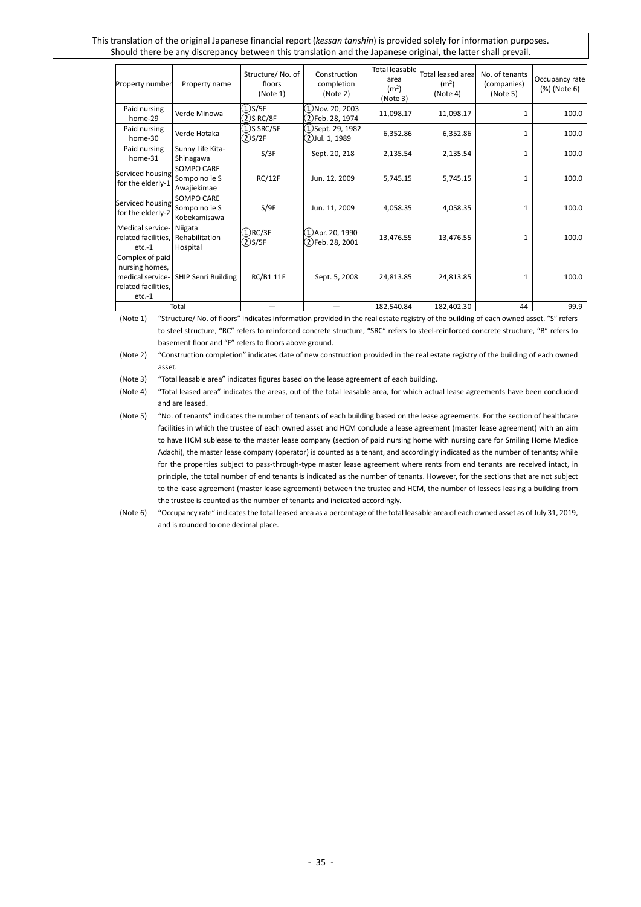| Property number                                                                          | Property name                                      | Structure/No. of<br>floors<br>(Note 1) | Construction<br>completion<br>(Note 2)  | <b>Total leasable</b><br>area<br>(m <sup>2</sup> )<br>(Note 3) | Total leased area<br>(m <sup>2</sup> )<br>(Note 4) | No. of tenants<br>(companies)<br>(Note 5) | Occupancy rate<br>(%) (Note 6) |
|------------------------------------------------------------------------------------------|----------------------------------------------------|----------------------------------------|-----------------------------------------|----------------------------------------------------------------|----------------------------------------------------|-------------------------------------------|--------------------------------|
| Paid nursing<br>home-29                                                                  | Verde Minowa                                       | $(1)$ S/5F<br>(2)S RC/8F               | $(1)$ Nov. 20, 2003<br>(2)Feb. 28, 1974 | 11,098.17                                                      | 11,098.17                                          | 1                                         | 100.0                          |
| Paid nursing<br>home-30                                                                  | Verde Hotaka                                       | $(1)$ S SRC/5F<br>$(2)$ S/2F           | (1)Sept. 29, 1982<br>(2)Jul. 1, 1989    | 6,352.86                                                       | 6,352.86                                           | 1                                         | 100.0                          |
| Paid nursing<br>home-31                                                                  | Sunny Life Kita-<br>Shinagawa                      | S/3F                                   | Sept. 20, 218                           | 2,135.54                                                       | 2,135.54                                           | 1                                         | 100.0                          |
| Serviced housing<br>for the elderly-1                                                    | SOMPO CARE<br>Sompo no ie S<br>Awajiekimae         | RC/12F                                 | Jun. 12, 2009                           | 5,745.15                                                       | 5,745.15                                           | 1                                         | 100.0                          |
| Serviced housing<br>for the elderly-2                                                    | <b>SOMPO CARE</b><br>Sompo no ie S<br>Kobekamisawa | S/9F                                   | Jun. 11, 2009                           | 4,058.35                                                       | 4,058.35                                           | 1                                         | 100.0                          |
| Medical service-<br>related facilities,<br>$etc.-1$                                      | Niigata<br>Rehabilitation<br>Hospital              | $(1)$ RC/3F<br>$(2)$ S/5F              | (1)Apr. 20, 1990<br>(2)Feb. 28, 2001    | 13,476.55                                                      | 13,476.55                                          | 1                                         | 100.0                          |
| Complex of paid<br>nursing homes,<br>medical service-<br>related facilities,<br>$etc.-1$ | SHIP Senri Building                                | RC/B1 11F                              | Sept. 5, 2008                           | 24,813.85                                                      | 24,813.85                                          | $\mathbf{1}$                              | 100.0                          |
|                                                                                          | Total                                              |                                        |                                         | 182,540.84                                                     | 182,402.30                                         | 44                                        | 99.9                           |

(Note 1) "Structure/ No. of floors" indicates information provided in the real estate registry of the building of each owned asset. "S" refers to steel structure, "RC" refers to reinforced concrete structure, "SRC" refers to steel-reinforced concrete structure, "B" refers to basement floor and "F" refers to floors above ground.

(Note 2) "Construction completion" indicates date of new construction provided in the real estate registry of the building of each owned asset.

(Note 3) "Total leasable area" indicates figures based on the lease agreement of each building.

(Note 4) "Total leased area" indicates the areas, out of the total leasable area, for which actual lease agreements have been concluded and are leased.

(Note 5) "No. of tenants" indicates the number of tenants of each building based on the lease agreements. For the section of healthcare facilities in which the trustee of each owned asset and HCM conclude a lease agreement (master lease agreement) with an aim to have HCM sublease to the master lease company (section of paid nursing home with nursing care for Smiling Home Medice Adachi), the master lease company (operator) is counted as a tenant, and accordingly indicated as the number of tenants; while for the properties subject to pass-through-type master lease agreement where rents from end tenants are received intact, in principle, the total number of end tenants is indicated as the number of tenants. However, for the sections that are not subject to the lease agreement (master lease agreement) between the trustee and HCM, the number of lessees leasing a building from the trustee is counted as the number of tenants and indicated accordingly.

(Note 6) "Occupancy rate" indicates the total leased area as a percentage of the total leasable area of each owned asset as of July 31, 2019, and is rounded to one decimal place.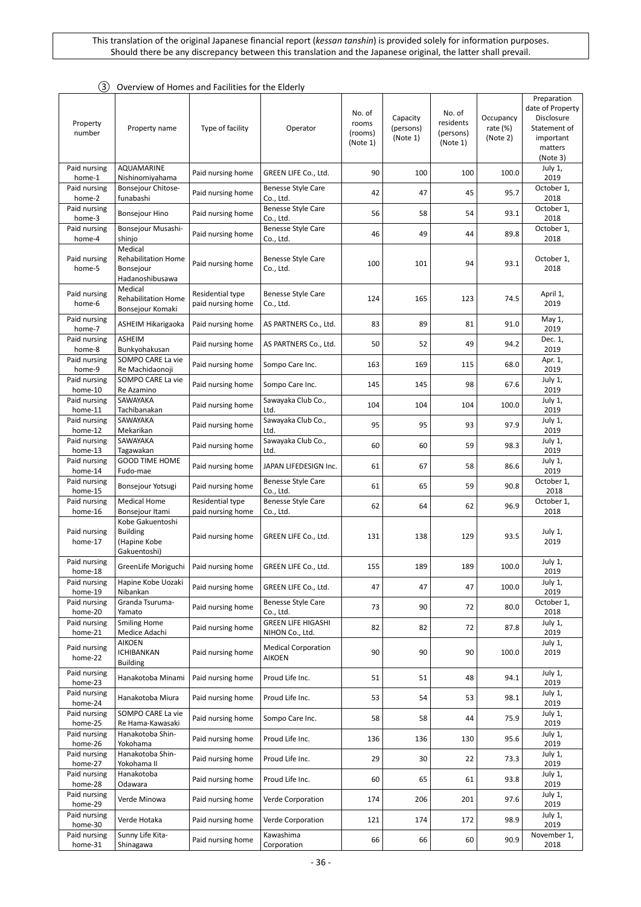|  | 3 Overview of Homes and Facilities for the Elderly |  |  |
|--|----------------------------------------------------|--|--|
|--|----------------------------------------------------|--|--|

| Property<br>number      | Property name                                                         | Type of facility                      | Operator                                     | No. of<br>rooms<br>(rooms)<br>(Note 1) | Capacity<br>(persons)<br>(Note 1) | No. of<br>residents<br>(persons)<br>(Note 1) | Occupancy<br>rate (%)<br>(Note 2) | Preparation<br>date of Property<br>Disclosure<br>Statement of<br>important<br>matters<br>(Note 3) |
|-------------------------|-----------------------------------------------------------------------|---------------------------------------|----------------------------------------------|----------------------------------------|-----------------------------------|----------------------------------------------|-----------------------------------|---------------------------------------------------------------------------------------------------|
| Paid nursing<br>home-1  | <b>AQUAMARINE</b><br>Nishinomiyahama                                  | Paid nursing home                     | GREEN LIFE Co., Ltd.                         | 90                                     | 100                               | 100                                          | 100.0                             | July 1,<br>2019                                                                                   |
| Paid nursing<br>home-2  | Bonsejour Chitose-<br>funabashi                                       | Paid nursing home                     | <b>Benesse Style Care</b><br>Co., Ltd.       | 42                                     | 47                                | 45                                           | 95.7                              | October 1,<br>2018                                                                                |
| Paid nursing<br>home-3  | <b>Bonsejour Hino</b>                                                 | Paid nursing home                     | <b>Benesse Style Care</b><br>Co., Ltd.       | 56                                     | 58                                | 54                                           | 93.1                              | October 1,<br>2018                                                                                |
| Paid nursing<br>home-4  | Bonsejour Musashi-<br>shinjo                                          | Paid nursing home                     | Benesse Style Care<br>Co., Ltd.              | 46                                     | 49                                | 44                                           | 89.8                              | October 1,<br>2018                                                                                |
| Paid nursing<br>home-5  | Medical<br><b>Rehabilitation Home</b><br>Bonsejour<br>Hadanoshibusawa | Paid nursing home                     | Benesse Style Care<br>Co., Ltd.              | 100                                    | 101                               | 94                                           | 93.1                              | October 1,<br>2018                                                                                |
| Paid nursing<br>home-6  | Medical<br><b>Rehabilitation Home</b><br>Bonsejour Komaki             | Residential type<br>paid nursing home | <b>Benesse Style Care</b><br>Co., Ltd.       | 124                                    | 165                               | 123                                          | 74.5                              | April 1,<br>2019                                                                                  |
| Paid nursing<br>home-7  | ASHEIM Hikarigaoka                                                    | Paid nursing home                     | AS PARTNERS Co., Ltd.                        | 83                                     | 89                                | 81                                           | 91.0                              | May 1,<br>2019                                                                                    |
| Paid nursing<br>home-8  | ASHEIM<br>Bunkyohakusan                                               | Paid nursing home                     | AS PARTNERS Co., Ltd.                        | 50                                     | 52                                | 49                                           | 94.2                              | Dec. 1,<br>2019                                                                                   |
| Paid nursing<br>home-9  | SOMPO CARE La vie<br>Re Machidaonoji                                  | Paid nursing home                     | Sompo Care Inc.                              | 163                                    | 169                               | 115                                          | 68.0                              | Apr. 1,<br>2019                                                                                   |
| Paid nursing<br>home-10 | SOMPO CARE La vie<br>Re Azamino                                       | Paid nursing home                     | Sompo Care Inc.                              | 145                                    | 145                               | 98                                           | 67.6                              | July 1,<br>2019                                                                                   |
| Paid nursing<br>home-11 | SAWAYAKA<br>Tachibanakan                                              | Paid nursing home                     | Sawayaka Club Co.,<br>Ltd.                   | 104                                    | 104                               | 104                                          | 100.0                             | July 1,<br>2019                                                                                   |
| Paid nursing<br>home-12 | SAWAYAKA<br>Mekarikan                                                 | Paid nursing home                     | Sawayaka Club Co.,<br>Ltd.                   | 95                                     | 95                                | 93                                           | 97.9                              | July 1,<br>2019                                                                                   |
| Paid nursing<br>home-13 | SAWAYAKA<br>Tagawakan                                                 | Paid nursing home                     | Sawayaka Club Co.,<br>Ltd.                   | 60                                     | 60                                | 59                                           | 98.3                              | July 1,<br>2019                                                                                   |
| Paid nursing<br>home-14 | <b>GOOD TIME HOME</b><br>Fudo-mae                                     | Paid nursing home                     | JAPAN LIFEDESIGN Inc.                        | 61                                     | 67                                | 58                                           | 86.6                              | July 1,<br>2019                                                                                   |
| Paid nursing<br>home-15 | Bonsejour Yotsugi                                                     | Paid nursing home                     | <b>Benesse Style Care</b><br>Co., Ltd.       | 61                                     | 65                                | 59                                           | 90.8                              | October 1,<br>2018                                                                                |
| Paid nursing<br>home-16 | <b>Medical Home</b><br>Bonsejour Itami                                | Residential type<br>paid nursing home | Benesse Style Care<br>Co., Ltd.              | 62                                     | 64                                | 62                                           | 96.9                              | October 1,<br>2018                                                                                |
| Paid nursing<br>home-17 | Kobe Gakuentoshi<br><b>Building</b><br>(Hapine Kobe<br>Gakuentoshi)   | Paid nursing home                     | GREEN LIFE Co., Ltd.                         | 131                                    | 138                               | 129                                          | 93.5                              | July 1,<br>2019                                                                                   |
| Paid nursing<br>home-18 | GreenLife Moriguchi                                                   | Paid nursing home                     | GREEN LIFE Co., Ltd.                         | 155                                    | 189                               | 189                                          | 100.0                             | July 1,<br>2019                                                                                   |
| Paid nursing<br>home-19 | Hapine Kobe Uozaki<br>Nibankan                                        | Paid nursing home                     | GREEN LIFE Co., Ltd.                         | 47                                     | 47                                | 47                                           | 100.0                             | July 1,<br>2019                                                                                   |
| Paid nursing<br>home-20 | Granda Tsuruma-<br>Yamato                                             | Paid nursing home                     | Benesse Style Care<br>Co., Ltd.              | 73                                     | 90                                | 72                                           | 80.0                              | October 1,<br>2018                                                                                |
| Paid nursing<br>home-21 | <b>Smiling Home</b><br>Medice Adachi                                  | Paid nursing home                     | <b>GREEN LIFE HIGASHI</b><br>NIHON Co., Ltd. | 82                                     | 82                                | 72                                           | 87.8                              | July 1,<br>2019                                                                                   |
| Paid nursing<br>home-22 | <b>AIKOEN</b><br><b>ICHIBANKAN</b><br><b>Building</b>                 | Paid nursing home                     | <b>Medical Corporation</b><br><b>AIKOEN</b>  | 90                                     | 90                                | 90                                           | 100.0                             | July 1,<br>2019                                                                                   |
| Paid nursing<br>home-23 | Hanakotoba Minami                                                     | Paid nursing home                     | Proud Life Inc.                              | 51                                     | 51                                | 48                                           | 94.1                              | July 1,<br>2019                                                                                   |
| Paid nursing<br>home-24 | Hanakotoba Miura                                                      | Paid nursing home                     | Proud Life Inc.                              | 53                                     | 54                                | 53                                           | 98.1                              | July 1,<br>2019                                                                                   |
| Paid nursing<br>home-25 | SOMPO CARE La vie<br>Re Hama-Kawasaki                                 | Paid nursing home                     | Sompo Care Inc.                              | 58                                     | 58                                | 44                                           | 75.9                              | July 1,<br>2019                                                                                   |
| Paid nursing<br>home-26 | Hanakotoba Shin-<br>Yokohama                                          | Paid nursing home                     | Proud Life Inc.                              | 136                                    | 136                               | 130                                          | 95.6                              | July 1,<br>2019                                                                                   |
| Paid nursing<br>home-27 | Hanakotoba Shin-<br>Yokohama II                                       | Paid nursing home                     | Proud Life Inc.                              | 29                                     | 30                                | 22                                           | 73.3                              | July 1,<br>2019                                                                                   |
| Paid nursing<br>home-28 | Hanakotoba<br>Odawara                                                 | Paid nursing home                     | Proud Life Inc.                              | 60                                     | 65                                | 61                                           | 93.8                              | July 1,<br>2019                                                                                   |
| Paid nursing<br>home-29 | Verde Minowa                                                          | Paid nursing home                     | Verde Corporation                            | 174                                    | 206                               | 201                                          | 97.6                              | July 1,<br>2019                                                                                   |
| Paid nursing<br>home-30 | Verde Hotaka                                                          | Paid nursing home                     | Verde Corporation                            | 121                                    | 174                               | 172                                          | 98.9                              | July 1,<br>2019                                                                                   |
| Paid nursing<br>home-31 | Sunny Life Kita-<br>Shinagawa                                         | Paid nursing home                     | Kawashima<br>Corporation                     | 66                                     | 66                                | 60                                           | 90.9                              | November 1,<br>2018                                                                               |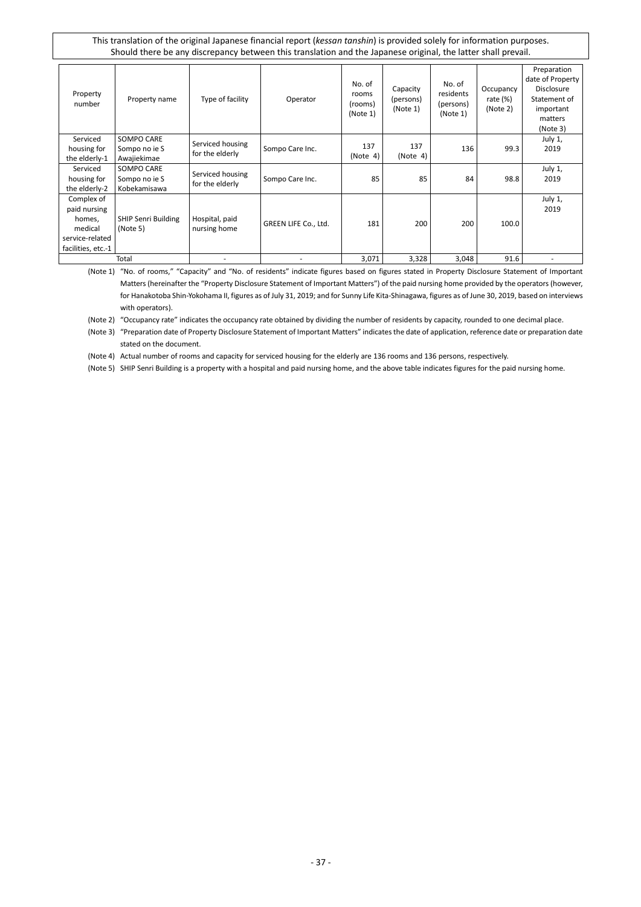| Property<br>number                                                                       | Property name                               | Type of facility                    | Operator             | No. of<br>rooms<br>(rooms)<br>(Note 1) | Capacity<br>(persons)<br>(Note 1) | No. of<br>residents<br>(persons)<br>(Note 1) | Occupancy<br>rate $(%)$<br>(Note 2) | Preparation<br>date of Property<br>Disclosure<br>Statement of<br>important<br>matters<br>(Note 3) |
|------------------------------------------------------------------------------------------|---------------------------------------------|-------------------------------------|----------------------|----------------------------------------|-----------------------------------|----------------------------------------------|-------------------------------------|---------------------------------------------------------------------------------------------------|
| Serviced<br>housing for<br>the elderly-1                                                 | SOMPO CARE<br>Sompo no ie S<br>Awajiekimae  | Serviced housing<br>for the elderly | Sompo Care Inc.      | 137<br>(Note 4)                        | 137<br>(Note 4)                   | 136                                          | 99.3                                | July 1,<br>2019                                                                                   |
| Serviced<br>housing for<br>the elderly-2                                                 | SOMPO CARE<br>Sompo no ie S<br>Kobekamisawa | Serviced housing<br>for the elderly | Sompo Care Inc.      | 85                                     | 85                                | 84                                           | 98.8                                | July 1,<br>2019                                                                                   |
| Complex of<br>paid nursing<br>homes,<br>medical<br>service-related<br>facilities, etc.-1 | <b>SHIP Senri Building</b><br>(Note 5)      | Hospital, paid<br>nursing home      | GREEN LIFE Co., Ltd. | 181                                    | 200                               | 200                                          | 100.0                               | July 1,<br>2019                                                                                   |
|                                                                                          | Total                                       |                                     |                      | 3,071                                  | 3,328                             | 3,048                                        | 91.6                                |                                                                                                   |

(Note 1) "No. of rooms," "Capacity" and "No. of residents" indicate figures based on figures stated in Property Disclosure Statement of Important Matters (hereinafter the "Property Disclosure Statement of Important Matters") of the paid nursing home provided by the operators (however, for Hanakotoba Shin-Yokohama II, figures as of July 31, 2019; and for Sunny Life Kita-Shinagawa, figures as of June 30, 2019, based on interviews with operators).

(Note 2) "Occupancy rate" indicates the occupancy rate obtained by dividing the number of residents by capacity, rounded to one decimal place.

(Note 3) "Preparation date of Property Disclosure Statement of Important Matters" indicates the date of application, reference date or preparation date stated on the document.

(Note 4) Actual number of rooms and capacity for serviced housing for the elderly are 136 rooms and 136 persons, respectively.

(Note 5) SHIP Senri Building is a property with a hospital and paid nursing home, and the above table indicates figures for the paid nursing home.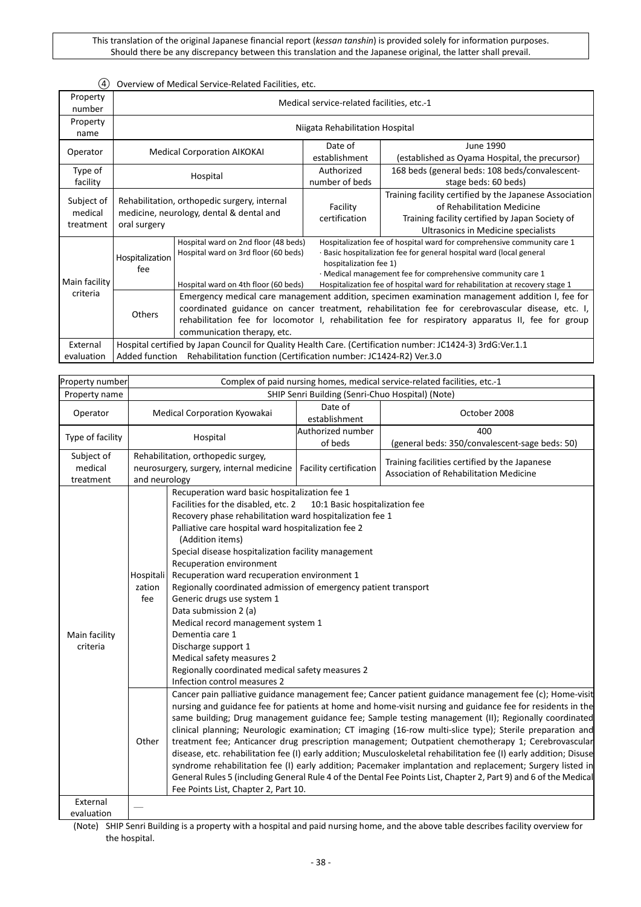## ④ Overview of Medical Service-Related Facilities, etc.

| Property<br>number                 |                                                                                                                                                                                                                                                                                                                                                            | Medical service-related facilities, etc.-1                                                                           |                              |                                                                                                                                                                                                                                                                                               |  |  |  |  |
|------------------------------------|------------------------------------------------------------------------------------------------------------------------------------------------------------------------------------------------------------------------------------------------------------------------------------------------------------------------------------------------------------|----------------------------------------------------------------------------------------------------------------------|------------------------------|-----------------------------------------------------------------------------------------------------------------------------------------------------------------------------------------------------------------------------------------------------------------------------------------------|--|--|--|--|
| Property<br>name                   | Niigata Rehabilitation Hospital                                                                                                                                                                                                                                                                                                                            |                                                                                                                      |                              |                                                                                                                                                                                                                                                                                               |  |  |  |  |
| Operator                           |                                                                                                                                                                                                                                                                                                                                                            | <b>Medical Corporation AIKOKAI</b>                                                                                   | Date of<br>establishment     | June 1990<br>(established as Oyama Hospital, the precursor)                                                                                                                                                                                                                                   |  |  |  |  |
| Type of<br>facility                |                                                                                                                                                                                                                                                                                                                                                            | Hospital                                                                                                             | Authorized<br>number of beds | 168 beds (general beds: 108 beds/convalescent-<br>stage beds: 60 beds)                                                                                                                                                                                                                        |  |  |  |  |
| Subject of<br>medical<br>treatment | oral surgery                                                                                                                                                                                                                                                                                                                                               | Rehabilitation, orthopedic surgery, internal<br>medicine, neurology, dental & dental and                             | Facility<br>certification    | Training facility certified by the Japanese Association<br>of Rehabilitation Medicine<br>Training facility certified by Japan Society of<br>Ultrasonics in Medicine specialists                                                                                                               |  |  |  |  |
| Main facility                      | Hospitalization<br>fee                                                                                                                                                                                                                                                                                                                                     | Hospital ward on 2nd floor (48 beds)<br>Hospital ward on 3rd floor (60 beds)<br>Hospital ward on 4th floor (60 beds) | hospitalization fee 1)       | Hospitalization fee of hospital ward for comprehensive community care 1<br>· Basic hospitalization fee for general hospital ward (local general<br>· Medical management fee for comprehensive community care 1<br>Hospitalization fee of hospital ward for rehabilitation at recovery stage 1 |  |  |  |  |
| criteria                           | Emergency medical care management addition, specimen examination management addition I, fee for<br>coordinated guidance on cancer treatment, rehabilitation fee for cerebrovascular disease, etc. I,<br><b>Others</b><br>rehabilitation fee for locomotor I, rehabilitation fee for respiratory apparatus II, fee for group<br>communication therapy, etc. |                                                                                                                      |                              |                                                                                                                                                                                                                                                                                               |  |  |  |  |
| External<br>evaluation             |                                                                                                                                                                                                                                                                                                                                                            | Added function Rehabilitation function (Certification number: JC1424-R2) Ver.3.0                                     |                              | Hospital certified by Japan Council for Quality Health Care. (Certification number: JC1424-3) 3rdG:Ver.1.1                                                                                                                                                                                    |  |  |  |  |

| Property number                    |                                     |                                                                                                                                                                                                                                                                                                                                                                                                                                                                                                                                                                                                                                                                                                                                   | Complex of paid nursing homes, medical service-related facilities, etc.-1 |                                                                                                                                                                                                                                                                                                                                                                                                                                                                                                                                                                                                                                                                                                                                                                                                                                                                                                      |  |  |  |  |  |
|------------------------------------|-------------------------------------|-----------------------------------------------------------------------------------------------------------------------------------------------------------------------------------------------------------------------------------------------------------------------------------------------------------------------------------------------------------------------------------------------------------------------------------------------------------------------------------------------------------------------------------------------------------------------------------------------------------------------------------------------------------------------------------------------------------------------------------|---------------------------------------------------------------------------|------------------------------------------------------------------------------------------------------------------------------------------------------------------------------------------------------------------------------------------------------------------------------------------------------------------------------------------------------------------------------------------------------------------------------------------------------------------------------------------------------------------------------------------------------------------------------------------------------------------------------------------------------------------------------------------------------------------------------------------------------------------------------------------------------------------------------------------------------------------------------------------------------|--|--|--|--|--|
| Property name                      |                                     |                                                                                                                                                                                                                                                                                                                                                                                                                                                                                                                                                                                                                                                                                                                                   | SHIP Senri Building (Senri-Chuo Hospital) (Note)                          |                                                                                                                                                                                                                                                                                                                                                                                                                                                                                                                                                                                                                                                                                                                                                                                                                                                                                                      |  |  |  |  |  |
| Operator                           |                                     | Medical Corporation Kyowakai                                                                                                                                                                                                                                                                                                                                                                                                                                                                                                                                                                                                                                                                                                      | Date of<br>establishment                                                  | October 2008                                                                                                                                                                                                                                                                                                                                                                                                                                                                                                                                                                                                                                                                                                                                                                                                                                                                                         |  |  |  |  |  |
| Type of facility                   |                                     | Hospital                                                                                                                                                                                                                                                                                                                                                                                                                                                                                                                                                                                                                                                                                                                          | Authorized number<br>of beds                                              | 400<br>(general beds: 350/convalescent-sage beds: 50)                                                                                                                                                                                                                                                                                                                                                                                                                                                                                                                                                                                                                                                                                                                                                                                                                                                |  |  |  |  |  |
| Subject of<br>medical<br>treatment | and neurology                       | Rehabilitation, orthopedic surgey,<br>neurosurgery, surgery, internal medicine                                                                                                                                                                                                                                                                                                                                                                                                                                                                                                                                                                                                                                                    | Facility certification                                                    | Training facilities certified by the Japanese<br>Association of Rehabilitation Medicine                                                                                                                                                                                                                                                                                                                                                                                                                                                                                                                                                                                                                                                                                                                                                                                                              |  |  |  |  |  |
| Main facility<br>criteria          | Hospitali<br>zation<br>fee<br>Other | Recuperation ward basic hospitalization fee 1<br>Facilities for the disabled, etc. 2<br>Recovery phase rehabilitation ward hospitalization fee 1<br>Palliative care hospital ward hospitalization fee 2<br>(Addition items)<br>Special disease hospitalization facility management<br>Recuperation environment<br>Recuperation ward recuperation environment 1<br>Regionally coordinated admission of emergency patient transport<br>Generic drugs use system 1<br>Data submission 2 (a)<br>Medical record management system 1<br>Dementia care 1<br>Discharge support 1<br>Medical safety measures 2<br>Regionally coordinated medical safety measures 2<br>Infection control measures 2<br>Fee Points List, Chapter 2, Part 10. | 10:1 Basic hospitalization fee                                            | Cancer pain palliative guidance management fee; Cancer patient guidance management fee (c); Home-visit<br>nursing and guidance fee for patients at home and home-visit nursing and guidance fee for residents in the<br>same building; Drug management guidance fee; Sample testing management (II); Regionally coordinated<br>clinical planning; Neurologic examination; CT imaging (16-row multi-slice type); Sterile preparation and<br>treatment fee; Anticancer drug prescription management; Outpatient chemotherapy 1; Cerebrovascular<br>disease, etc. rehabilitation fee (I) early addition; Musculoskeletal rehabilitation fee (I) early addition; Disuse<br>syndrome rehabilitation fee (I) early addition; Pacemaker implantation and replacement; Surgery listed in<br>General Rules 5 (including General Rule 4 of the Dental Fee Points List, Chapter 2, Part 9) and 6 of the Medical |  |  |  |  |  |
| External<br>evaluation             |                                     |                                                                                                                                                                                                                                                                                                                                                                                                                                                                                                                                                                                                                                                                                                                                   |                                                                           |                                                                                                                                                                                                                                                                                                                                                                                                                                                                                                                                                                                                                                                                                                                                                                                                                                                                                                      |  |  |  |  |  |

(Note) SHIP Senri Building is a property with a hospital and paid nursing home, and the above table describes facility overview for the hospital.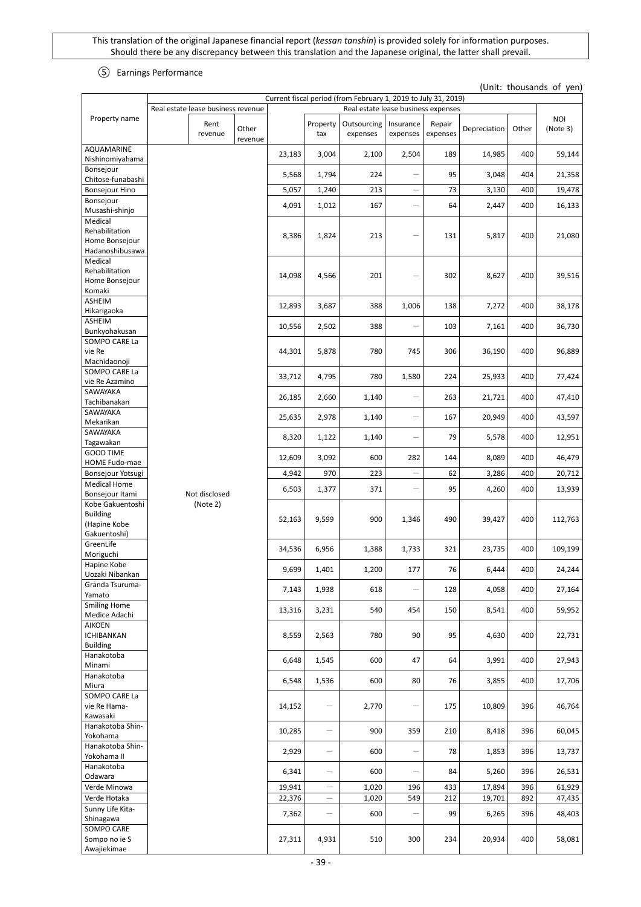## ⑤ Earnings Performance

(Unit: thousands of yen)

|                                                     |                                    |                  |        |                          | Current fiscal period (from February 1, 2019 to July 31, 2019) |                          |                    |              |       |                        |
|-----------------------------------------------------|------------------------------------|------------------|--------|--------------------------|----------------------------------------------------------------|--------------------------|--------------------|--------------|-------|------------------------|
|                                                     | Real estate lease business revenue |                  |        |                          | Real estate lease business expenses                            |                          |                    |              |       |                        |
| Property name                                       | Rent<br>revenue                    | Other<br>revenue |        | Property<br>tax          | Outsourcing<br>expenses                                        | Insurance<br>expenses    | Repair<br>expenses | Depreciation | Other | <b>NOI</b><br>(Note 3) |
| AQUAMARINE<br>Nishinomiyahama                       |                                    |                  | 23,183 | 3,004                    | 2,100                                                          | 2,504                    | 189                | 14,985       | 400   | 59,144                 |
| Bonsejour<br>Chitose-funabashi                      |                                    |                  | 5,568  | 1,794                    | 224                                                            |                          | 95                 | 3,048        | 404   | 21,358                 |
| <b>Bonsejour Hino</b>                               |                                    |                  | 5,057  | 1,240                    | 213                                                            | $\qquad \qquad -$        | 73                 | 3,130        | 400   | 19,478                 |
| Bonsejour                                           |                                    |                  |        |                          |                                                                |                          |                    |              |       |                        |
| Musashi-shinjo<br>Medical                           |                                    |                  | 4,091  | 1,012                    | 167                                                            | -                        | 64                 | 2,447        | 400   | 16,133                 |
| Rehabilitation<br>Home Bonsejour<br>Hadanoshibusawa |                                    |                  | 8,386  | 1,824                    | 213                                                            |                          | 131                | 5,817        | 400   | 21,080                 |
| Medical<br>Rehabilitation<br>Home Bonsejour         |                                    |                  | 14,098 | 4,566                    | 201                                                            |                          | 302                | 8,627        | 400   | 39,516                 |
| Komaki<br><b>ASHEIM</b>                             |                                    |                  | 12,893 | 3,687                    | 388                                                            | 1,006                    | 138                | 7,272        | 400   | 38,178                 |
| Hikarigaoka<br><b>ASHEIM</b>                        |                                    |                  |        |                          |                                                                |                          |                    |              |       |                        |
| Bunkyohakusan<br>SOMPO CARE La                      |                                    |                  | 10,556 | 2,502                    | 388                                                            |                          | 103                | 7,161        | 400   | 36,730                 |
| vie Re<br>Machidaonoji                              |                                    |                  | 44,301 | 5,878                    | 780                                                            | 745                      | 306                | 36,190       | 400   | 96,889                 |
| SOMPO CARE La<br>vie Re Azamino                     |                                    |                  | 33,712 | 4,795                    | 780                                                            | 1,580                    | 224                | 25,933       | 400   | 77,424                 |
| SAWAYAKA<br>Tachibanakan                            |                                    |                  | 26,185 | 2,660                    | 1,140                                                          |                          | 263                | 21,721       | 400   | 47,410                 |
| SAWAYAKA<br>Mekarikan                               |                                    |                  | 25,635 | 2,978                    | 1,140                                                          | $\overline{\phantom{0}}$ | 167                | 20,949       | 400   | 43,597                 |
| SAWAYAKA<br>Tagawakan                               |                                    |                  | 8,320  | 1,122                    | 1,140                                                          | —                        | 79                 | 5,578        | 400   | 12,951                 |
| <b>GOOD TIME</b><br><b>HOME Fudo-mae</b>            |                                    |                  | 12,609 | 3,092                    | 600                                                            | 282                      | 144                | 8,089        | 400   | 46,479                 |
| Bonsejour Yotsugi                                   |                                    |                  | 4,942  | 970                      | 223                                                            | $\overline{\phantom{0}}$ | 62                 | 3,286        | 400   | 20,712                 |
| <b>Medical Home</b><br>Bonsejour Itami              | Not disclosed                      |                  | 6,503  | 1,377                    | 371                                                            | -                        | 95                 | 4,260        | 400   | 13,939                 |
| Kobe Gakuentoshi<br><b>Building</b><br>(Hapine Kobe | (Note 2)                           |                  | 52,163 | 9,599                    | 900                                                            | 1,346                    | 490                | 39,427       | 400   | 112,763                |
| Gakuentoshi)<br>GreenLife<br>Moriguchi              |                                    |                  | 34,536 | 6,956                    | 1,388                                                          | 1,733                    | 321                | 23,735       | 400   | 109,199                |
| Hapine Kobe<br>Uozaki Nibankan                      |                                    |                  | 9,699  | 1,401                    | 1,200                                                          | 177                      | 76                 | 6,444        | 400   | 24,244                 |
| Granda Tsuruma-<br>Yamato                           |                                    |                  | 7,143  | 1,938                    | 618                                                            | $\overline{\phantom{0}}$ | 128                | 4,058        | 400   | 27,164                 |
| <b>Smiling Home</b><br>Medice Adachi                |                                    |                  | 13,316 | 3,231                    | 540                                                            | 454                      | 150                | 8,541        | 400   | 59,952                 |
| <b>AIKOEN</b><br>ICHIBANKAN<br><b>Building</b>      |                                    |                  | 8,559  | 2,563                    | 780                                                            | 90                       | 95                 | 4,630        | 400   | 22,731                 |
| Hanakotoba<br>Minami                                |                                    |                  | 6,648  | 1,545                    | 600                                                            | 47                       | 64                 | 3,991        | 400   | 27,943                 |
| Hanakotoba<br>Miura                                 |                                    |                  | 6,548  | 1,536                    | 600                                                            | 80                       | 76                 | 3,855        | 400   | 17,706                 |
| SOMPO CARE La<br>vie Re Hama-                       |                                    |                  | 14,152 |                          | 2,770                                                          |                          | 175                | 10,809       | 396   | 46,764                 |
| Kawasaki<br>Hanakotoba Shin-                        |                                    |                  | 10,285 | $\overline{\phantom{m}}$ | 900                                                            | 359                      | 210                | 8,418        | 396   | 60,045                 |
| Yokohama<br>Hanakotoba Shin-                        |                                    |                  | 2,929  | $\qquad \qquad -$        | 600                                                            | -                        | 78                 | 1,853        | 396   | 13,737                 |
| Yokohama II<br>Hanakotoba                           |                                    |                  | 6,341  | $\qquad \qquad -$        | 600                                                            | $\overline{\phantom{0}}$ | 84                 | 5,260        | 396   | 26,531                 |
| Odawara<br>Verde Minowa                             |                                    |                  | 19,941 | $\overline{\phantom{m}}$ | 1,020                                                          | 196                      | 433                | 17,894       | 396   | 61,929                 |
| Verde Hotaka                                        |                                    |                  | 22,376 | $\overline{\phantom{m}}$ | 1,020                                                          | 549                      | 212                | 19,701       | 892   | 47,435                 |
| Sunny Life Kita-<br>Shinagawa                       |                                    |                  | 7,362  | $\qquad \qquad -$        | 600                                                            |                          | 99                 | 6,265        | 396   | 48,403                 |
| SOMPO CARE<br>Sompo no ie S<br>Awajiekimae          |                                    |                  | 27,311 | 4,931                    | 510                                                            | 300                      | 234                | 20,934       | 400   | 58,081                 |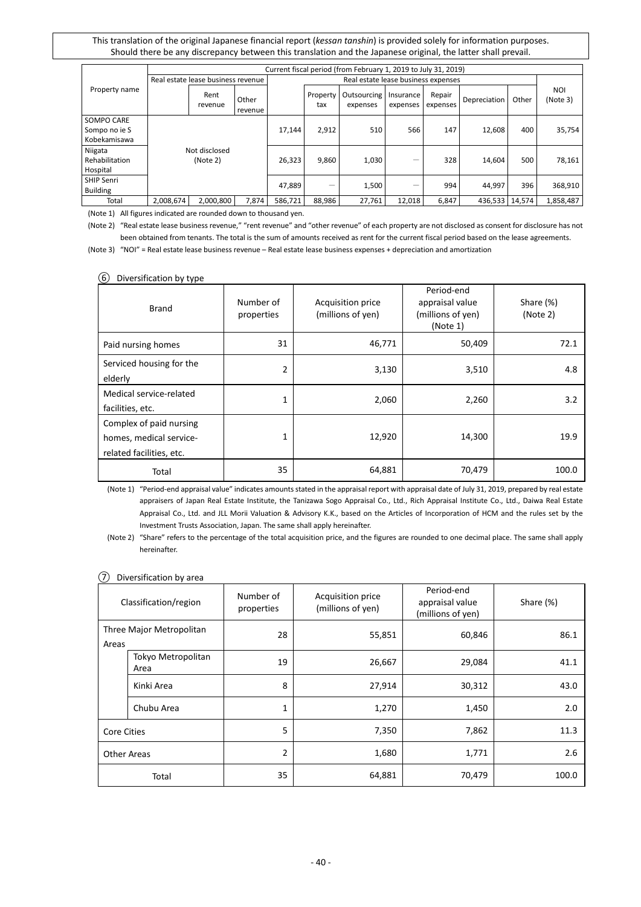|                     | Current fiscal period (from February 1, 2019 to July 31, 2019) |                                    |                  |         |                                     |                         |                       |                    |                |       |                 |
|---------------------|----------------------------------------------------------------|------------------------------------|------------------|---------|-------------------------------------|-------------------------|-----------------------|--------------------|----------------|-------|-----------------|
|                     |                                                                | Real estate lease business revenue |                  |         | Real estate lease business expenses |                         |                       |                    |                |       |                 |
| Property name       |                                                                | Rent<br>revenue                    | Other<br>revenue |         | Property<br>tax                     | Outsourcing<br>expenses | Insurance<br>expenses | Repair<br>expenses | Depreciation   | Other | NOI<br>(Note 3) |
| <b>SOMPO CARE</b>   |                                                                |                                    |                  |         |                                     |                         |                       |                    |                |       |                 |
| Sompo no ie S       |                                                                |                                    |                  | 17,144  | 2,912                               | 510                     | 566                   | 147                | 12,608         | 400   | 35,754          |
| <b>Kobekamisawa</b> |                                                                |                                    |                  |         |                                     |                         |                       |                    |                |       |                 |
| Niigata             |                                                                | Not disclosed                      |                  |         |                                     |                         |                       |                    |                |       |                 |
| Rehabilitation      |                                                                | (Note 2)                           |                  | 26,323  | 9,860                               | 1,030                   |                       | 328                | 14,604         | 500   | 78,161          |
| Hospital            |                                                                |                                    |                  |         |                                     |                         |                       |                    |                |       |                 |
| <b>SHIP Senri</b>   |                                                                |                                    |                  | 47,889  |                                     | 1,500                   | _                     | 994                | 44,997         | 396   | 368,910         |
| <b>Building</b>     |                                                                |                                    |                  |         |                                     |                         |                       |                    |                |       |                 |
| Total               | 2,008,674                                                      | 2,000,800                          | 7,874            | 586,721 | 88,986                              | 27,761                  | 12,018                | 6,847              | 436,533 14,574 |       | 1,858,487       |

(Note 1) All figures indicated are rounded down to thousand yen.

(Note 2) "Real estate lease business revenue," "rent revenue" and "other revenue" of each property are not disclosed as consent for disclosure has not been obtained from tenants. The total is the sum of amounts received as rent for the current fiscal period based on the lease agreements.

(Note 3) "NOI" = Real estate lease business revenue – Real estate lease business expenses + depreciation and amortization

|  | 6 Diversification by type |  |
|--|---------------------------|--|
|--|---------------------------|--|

| ∽<br>. .<br><b>Brand</b>                                                       | Number of<br>properties | Acquisition price<br>(millions of yen) | Period-end<br>appraisal value<br>(millions of yen)<br>(Note 1) | Share (%)<br>(Note 2) |
|--------------------------------------------------------------------------------|-------------------------|----------------------------------------|----------------------------------------------------------------|-----------------------|
| Paid nursing homes                                                             | 31                      | 46,771                                 | 50,409                                                         | 72.1                  |
| Serviced housing for the<br>elderly                                            | 2                       | 3,130                                  | 3,510                                                          | 4.8                   |
| Medical service-related<br>facilities, etc.                                    | 1                       | 2,060                                  | 2,260                                                          | 3.2                   |
| Complex of paid nursing<br>homes, medical service-<br>related facilities, etc. | 1                       | 12,920                                 | 14,300                                                         | 19.9                  |
| Total                                                                          | 35                      | 64,881                                 | 70,479                                                         | 100.0                 |

(Note 1) "Period-end appraisal value" indicates amounts stated in the appraisal report with appraisal date of July 31, 2019, prepared by real estate appraisers of Japan Real Estate Institute, the Tanizawa Sogo Appraisal Co., Ltd., Rich Appraisal Institute Co., Ltd., Daiwa Real Estate Appraisal Co., Ltd. and JLL Morii Valuation & Advisory K.K., based on the Articles of Incorporation of HCM and the rules set by the Investment Trusts Association, Japan. The same shall apply hereinafter.

(Note 2) "Share" refers to the percentage of the total acquisition price, and the figures are rounded to one decimal place. The same shall apply hereinafter.

#### ⑦ Diversification by area

|                                   | Classification/region      | Number of<br>properties | Acquisition price<br>(millions of yen) | Period-end<br>appraisal value<br>(millions of yen) | Share (%) |
|-----------------------------------|----------------------------|-------------------------|----------------------------------------|----------------------------------------------------|-----------|
| Three Major Metropolitan<br>Areas |                            | 28                      | 55,851                                 | 60,846                                             | 86.1      |
|                                   | Tokyo Metropolitan<br>Area | 19                      | 26,667                                 | 29,084                                             | 41.1      |
|                                   | Kinki Area                 | 8                       | 27,914                                 | 30,312                                             | 43.0      |
|                                   | Chubu Area                 | 1                       | 1,270                                  | 1,450                                              | 2.0       |
| <b>Core Cities</b>                |                            | 5                       | 7,350                                  | 7,862                                              | 11.3      |
| Other Areas                       |                            | $\overline{2}$          | 1,680                                  | 1,771                                              | 2.6       |
|                                   | Total                      | 35                      | 64,881                                 | 70,479                                             | 100.0     |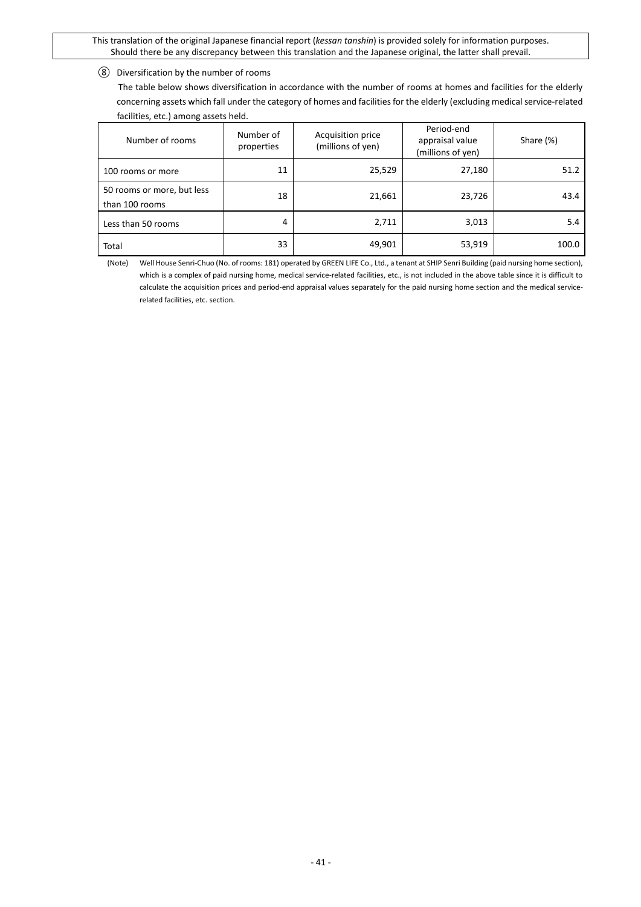#### ⑧ Diversification by the number of rooms

The table below shows diversification in accordance with the number of rooms at homes and facilities for the elderly concerning assets which fall under the category of homes and facilities for the elderly (excluding medical service-related facilities, etc.) among assets held.

| Number of rooms                              | Number of<br>properties | Acquisition price<br>(millions of yen) | Period-end<br>appraisal value<br>(millions of yen) | Share (%) |
|----------------------------------------------|-------------------------|----------------------------------------|----------------------------------------------------|-----------|
| 100 rooms or more                            | 11                      | 25,529                                 | 27,180                                             | 51.2      |
| 50 rooms or more, but less<br>than 100 rooms | 18                      | 21,661                                 | 23,726                                             | 43.4      |
| Less than 50 rooms                           | 4                       | 2,711                                  | 3,013                                              | 5.4       |
| Total                                        | 33                      | 49,901                                 | 53,919                                             | 100.0     |

(Note) Well House Senri-Chuo (No. of rooms: 181) operated by GREEN LIFE Co., Ltd., a tenant at SHIP Senri Building (paid nursing home section), which is a complex of paid nursing home, medical service-related facilities, etc., is not included in the above table since it is difficult to calculate the acquisition prices and period-end appraisal values separately for the paid nursing home section and the medical servicerelated facilities, etc. section.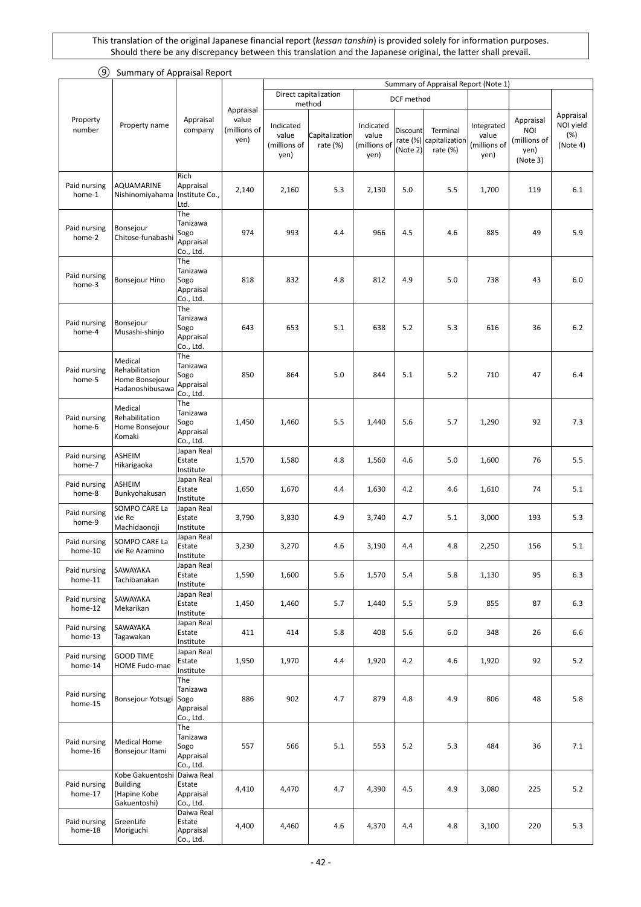|                         | (9)<br>Summary of Appraisal Report                                  |                                                   |                                            |                                            |                               |                                            |                                     |                                           |                                             |                                                             |                                              |
|-------------------------|---------------------------------------------------------------------|---------------------------------------------------|--------------------------------------------|--------------------------------------------|-------------------------------|--------------------------------------------|-------------------------------------|-------------------------------------------|---------------------------------------------|-------------------------------------------------------------|----------------------------------------------|
|                         |                                                                     |                                                   |                                            |                                            |                               |                                            |                                     | Summary of Appraisal Report (Note 1)      |                                             |                                                             |                                              |
|                         |                                                                     |                                                   |                                            | Direct capitalization<br>method            |                               |                                            | DCF method                          |                                           |                                             |                                                             |                                              |
| Property<br>number      | Property name                                                       | Appraisal<br>company                              | Appraisal<br>value<br>(millions of<br>yen) | Indicated<br>value<br>(millions of<br>yen) | Capitalization<br>rate $(\%)$ | Indicated<br>value<br>(millions of<br>yen) | Discount<br>rate $(\%)$<br>(Note 2) | Terminal<br>capitalization<br>rate $(\%)$ | Integrated<br>value<br>(millions of<br>yen) | Appraisal<br><b>NOI</b><br>(millions of<br>yen)<br>(Note 3) | Appraisal<br>NOI yield<br>$(\%)$<br>(Note 4) |
| Paid nursing<br>home-1  | AQUAMARINE<br>Nishinomiyahama                                       | Rich<br>Appraisal<br>Institute Co.,<br>Ltd.       | 2,140                                      | 2,160                                      | 5.3                           | 2,130                                      | 5.0                                 | 5.5                                       | 1,700                                       | 119                                                         | 6.1                                          |
| Paid nursing<br>home-2  | Bonsejour<br>Chitose-funabashi                                      | The<br>Tanizawa<br>Sogo<br>Appraisal<br>Co., Ltd. | 974                                        | 993                                        | 4.4                           | 966                                        | 4.5                                 | 4.6                                       | 885                                         | 49                                                          | 5.9                                          |
| Paid nursing<br>home-3  | <b>Bonsejour Hino</b>                                               | The<br>Tanizawa<br>Sogo<br>Appraisal<br>Co., Ltd. | 818                                        | 832                                        | 4.8                           | 812                                        | 4.9                                 | 5.0                                       | 738                                         | 43                                                          | 6.0                                          |
| Paid nursing<br>home-4  | Bonsejour<br>Musashi-shinjo                                         | The<br>Tanizawa<br>Sogo<br>Appraisal<br>Co., Ltd. | 643                                        | 653                                        | 5.1                           | 638                                        | 5.2                                 | 5.3                                       | 616                                         | 36                                                          | 6.2                                          |
| Paid nursing<br>home-5  | Medical<br>Rehabilitation<br>Home Bonsejour<br>Hadanoshibusawa      | The<br>Tanizawa<br>Sogo<br>Appraisal<br>Co., Ltd. | 850                                        | 864                                        | 5.0                           | 844                                        | 5.1                                 | 5.2                                       | 710                                         | 47                                                          | 6.4                                          |
| Paid nursing<br>home-6  | Medical<br>Rehabilitation<br>Home Bonsejour<br>Komaki               | The<br>Tanizawa<br>Sogo<br>Appraisal<br>Co., Ltd. | 1,450                                      | 1,460                                      | 5.5                           | 1,440                                      | 5.6                                 | 5.7                                       | 1,290                                       | 92                                                          | 7.3                                          |
| Paid nursing<br>home-7  | ASHEIM<br>Hikarigaoka                                               | Japan Real<br>Estate<br>Institute                 | 1,570                                      | 1,580                                      | 4.8                           | 1,560                                      | 4.6                                 | 5.0                                       | 1,600                                       | 76                                                          | 5.5                                          |
| Paid nursing<br>home-8  | ASHEIM<br>Bunkyohakusan                                             | Japan Real<br>Estate<br>Institute                 | 1,650                                      | 1,670                                      | 4.4                           | 1,630                                      | 4.2                                 | 4.6                                       | 1,610                                       | 74                                                          | 5.1                                          |
| Paid nursing<br>home-9  | SOMPO CARE La<br>vie Re<br>Machidaonoji                             | Japan Real<br>Estate<br>Institute                 | 3,790                                      | 3,830                                      | 4.9                           | 3,740                                      | 4.7                                 | 5.1                                       | 3,000                                       | 193                                                         | 5.3                                          |
| Paid nursing<br>home-10 | SOMPO CARE La<br>vie Re Azamino                                     | Japan Real<br>Estate<br>Institute                 | 3,230                                      | 3,270                                      | 4.6                           | 3,190                                      | 4.4                                 | 4.8                                       | 2,250                                       | 156                                                         | 5.1                                          |
| Paid nursing<br>home-11 | SAWAYAKA<br>Tachibanakan                                            | Japan Real<br>Estate<br>Institute                 | 1,590                                      | 1,600                                      | 5.6                           | 1,570                                      | 5.4                                 | 5.8                                       | 1,130                                       | 95                                                          | 6.3                                          |
| Paid nursing<br>home-12 | SAWAYAKA<br>Mekarikan                                               | Japan Real<br>Estate<br>Institute                 | 1,450                                      | 1,460                                      | 5.7                           | 1,440                                      | 5.5                                 | 5.9                                       | 855                                         | 87                                                          | 6.3                                          |
| Paid nursing<br>home-13 | SAWAYAKA<br>Tagawakan                                               | Japan Real<br>Estate<br>Institute                 | 411                                        | 414                                        | 5.8                           | 408                                        | 5.6                                 | 6.0                                       | 348                                         | 26                                                          | 6.6                                          |
| Paid nursing<br>home-14 | <b>GOOD TIME</b><br>HOME Fudo-mae                                   | Japan Real<br>Estate<br>Institute                 | 1,950                                      | 1,970                                      | 4.4                           | 1,920                                      | 4.2                                 | 4.6                                       | 1,920                                       | 92                                                          | 5.2                                          |
| Paid nursing<br>home-15 | Bonsejour Yotsugi                                                   | The<br>Tanizawa<br>Sogo<br>Appraisal<br>Co., Ltd. | 886                                        | 902                                        | 4.7                           | 879                                        | 4.8                                 | 4.9                                       | 806                                         | 48                                                          | 5.8                                          |
| Paid nursing<br>home-16 | <b>Medical Home</b><br>Bonsejour Itami                              | The<br>Tanizawa<br>Sogo<br>Appraisal<br>Co., Ltd. | 557                                        | 566                                        | 5.1                           | 553                                        | 5.2                                 | 5.3                                       | 484                                         | 36                                                          | 7.1                                          |
| Paid nursing<br>home-17 | Kobe Gakuentoshi<br><b>Building</b><br>(Hapine Kobe<br>Gakuentoshi) | Daiwa Real<br>Estate<br>Appraisal<br>Co., Ltd.    | 4,410                                      | 4,470                                      | 4.7                           | 4,390                                      | 4.5                                 | 4.9                                       | 3,080                                       | 225                                                         | 5.2                                          |
| Paid nursing<br>home-18 | GreenLife<br>Moriguchi                                              | Daiwa Real<br>Estate<br>Appraisal<br>Co., Ltd.    | 4,400                                      | 4,460                                      | 4.6                           | 4,370                                      | 4.4                                 | 4.8                                       | 3,100                                       | 220                                                         | 5.3                                          |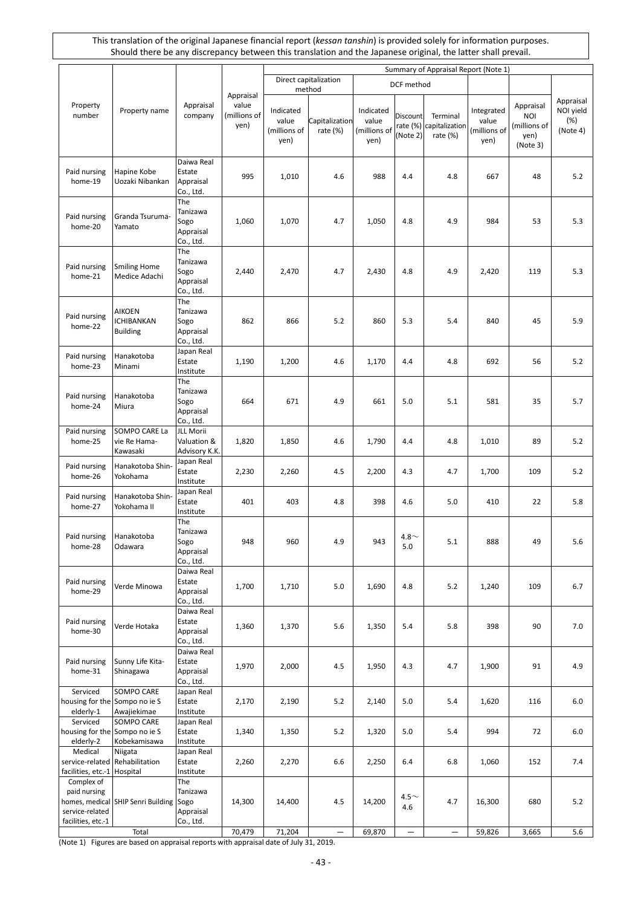|                                                                     |                                                |                                                   |                                            | Summary of Appraisal Report (Note 1)       |                                         |                                            |                                  |                                           |                                             |                                                             |                                           |
|---------------------------------------------------------------------|------------------------------------------------|---------------------------------------------------|--------------------------------------------|--------------------------------------------|-----------------------------------------|--------------------------------------------|----------------------------------|-------------------------------------------|---------------------------------------------|-------------------------------------------------------------|-------------------------------------------|
|                                                                     |                                                |                                                   |                                            |                                            | Direct capitalization                   |                                            | DCF method                       |                                           |                                             |                                                             |                                           |
| Property<br>number                                                  | Property name                                  | Appraisal<br>company                              | Appraisal<br>value<br>(millions of<br>yen) | Indicated<br>value<br>(millions of<br>yen) | method<br>Capitalization<br>rate $(\%)$ | Indicated<br>value<br>(millions of<br>yen) | Discount<br>rate (%)<br>(Note 2) | Terminal<br>capitalization<br>rate $(\%)$ | Integrated<br>value<br>(millions of<br>yen) | Appraisal<br><b>NOI</b><br>(millions of<br>yen)<br>(Note 3) | Appraisal<br>NOI yield<br>(%)<br>(Note 4) |
| Paid nursing<br>home-19                                             | Hapine Kobe<br>Uozaki Nibankan                 | Daiwa Real<br>Estate<br>Appraisal<br>Co., Ltd.    | 995                                        | 1,010                                      | 4.6                                     | 988                                        | 4.4                              | 4.8                                       | 667                                         | 48                                                          | 5.2                                       |
| Paid nursing<br>home-20                                             | Granda Tsuruma-<br>Yamato                      | The<br>Tanizawa<br>Sogo<br>Appraisal<br>Co., Ltd. | 1,060                                      | 1,070                                      | 4.7                                     | 1,050                                      | 4.8                              | 4.9                                       | 984                                         | 53                                                          | 5.3                                       |
| Paid nursing<br>home-21                                             | <b>Smiling Home</b><br>Medice Adachi           | The<br>Tanizawa<br>Sogo<br>Appraisal<br>Co., Ltd. | 2,440                                      | 2,470                                      | 4.7                                     | 2,430                                      | 4.8                              | 4.9                                       | 2,420                                       | 119                                                         | 5.3                                       |
| Paid nursing<br>home-22                                             | AIKOEN<br><b>ICHIBANKAN</b><br><b>Building</b> | The<br>Tanizawa<br>Sogo<br>Appraisal<br>Co., Ltd. | 862                                        | 866                                        | 5.2                                     | 860                                        | 5.3                              | 5.4                                       | 840                                         | 45                                                          | 5.9                                       |
| Paid nursing<br>home-23                                             | Hanakotoba<br>Minami                           | Japan Real<br>Estate<br>Institute                 | 1,190                                      | 1,200                                      | 4.6                                     | 1,170                                      | 4.4                              | 4.8                                       | 692                                         | 56                                                          | 5.2                                       |
| Paid nursing<br>home-24                                             | Hanakotoba<br>Miura                            | The<br>Tanizawa<br>Sogo<br>Appraisal<br>Co., Ltd. | 664                                        | 671                                        | 4.9                                     | 661                                        | 5.0                              | 5.1                                       | 581                                         | 35                                                          | 5.7                                       |
| Paid nursing<br>home-25                                             | SOMPO CARE La<br>vie Re Hama-<br>Kawasaki      | <b>JLL Morii</b><br>Valuation &<br>Advisory K.K.  | 1,820                                      | 1,850                                      | 4.6                                     | 1,790                                      | 4.4                              | 4.8                                       | 1,010                                       | 89                                                          | 5.2                                       |
| Paid nursing<br>home-26                                             | Hanakotoba Shin-<br>Yokohama                   | Japan Real<br>Estate<br>Institute                 | 2,230                                      | 2,260                                      | 4.5                                     | 2,200                                      | 4.3                              | 4.7                                       | 1,700                                       | 109                                                         | 5.2                                       |
| Paid nursing<br>home-27                                             | Hanakotoba Shin-<br>Yokohama II                | Japan Real<br>Estate<br>Institute                 | 401                                        | 403                                        | 4.8                                     | 398                                        | 4.6                              | 5.0                                       | 410                                         | 22                                                          | 5.8                                       |
| Paid nursing<br>home-28                                             | Hanakotoba<br>Odawara                          | The<br>Tanizawa<br>Sogo<br>Appraisal<br>Co., Ltd. | 948                                        | 960                                        | 4.9                                     | 943                                        | $4.8^\sim$<br>$5.0\,$            | 5.1                                       | 888                                         | 49                                                          | 5.6                                       |
| Paid nursing<br>home-29                                             | Verde Minowa                                   | Daiwa Real<br>Estate<br>Appraisal<br>Co., Ltd.    | 1,700                                      | 1,710                                      | 5.0                                     | 1,690                                      | 4.8                              | 5.2                                       | 1,240                                       | 109                                                         | 6.7                                       |
| Paid nursing<br>home-30                                             | Verde Hotaka                                   | Daiwa Real<br>Estate<br>Appraisal<br>Co., Ltd.    | 1,360                                      | 1,370                                      | 5.6                                     | 1,350                                      | 5.4                              | 5.8                                       | 398                                         | 90                                                          | 7.0                                       |
| Paid nursing<br>home-31                                             | Sunny Life Kita-<br>Shinagawa                  | Daiwa Real<br>Estate<br>Appraisal<br>Co., Ltd.    | 1,970                                      | 2,000                                      | 4.5                                     | 1,950                                      | 4.3                              | 4.7                                       | 1,900                                       | 91                                                          | 4.9                                       |
| Serviced<br>housing for the Sompo no ie S<br>elderly-1              | SOMPO CARE<br>Awajiekimae                      | Japan Real<br>Estate<br>Institute                 | 2,170                                      | 2,190                                      | 5.2                                     | 2,140                                      | 5.0                              | 5.4                                       | 1,620                                       | 116                                                         | 6.0                                       |
| Serviced<br>housing for the Sompo no ie S<br>elderly-2              | SOMPO CARE<br>Kobekamisawa                     | Japan Real<br>Estate<br>Institute                 | 1,340                                      | 1,350                                      | 5.2                                     | 1,320                                      | 5.0                              | 5.4                                       | 994                                         | 72                                                          | 6.0                                       |
| Medical<br>service-related Rehabilitation<br>facilities, etc.-1     | Niigata<br>Hospital                            | Japan Real<br>Estate<br>Institute                 | 2,260                                      | 2,270                                      | 6.6                                     | 2,250                                      | 6.4                              | 6.8                                       | 1,060                                       | 152                                                         | 7.4                                       |
| Complex of<br>paid nursing<br>service-related<br>facilities, etc.-1 | homes, medical SHIP Senri Building             | The<br>Tanizawa<br>Sogo<br>Appraisal<br>Co., Ltd. | 14,300                                     | 14,400                                     | 4.5                                     | 14,200                                     | $4.5\sim$<br>4.6                 | 4.7                                       | 16,300                                      | 680                                                         | 5.2                                       |
|                                                                     | Total                                          |                                                   | 70,479                                     | 71,204                                     | $\qquad \qquad -$                       | 69,870                                     | $\overline{\phantom{0}}$         | $\qquad \qquad -$                         | 59,826                                      | 3,665                                                       | 5.6                                       |

(Note 1) Figures are based on appraisal reports with appraisal date of July 31, 2019.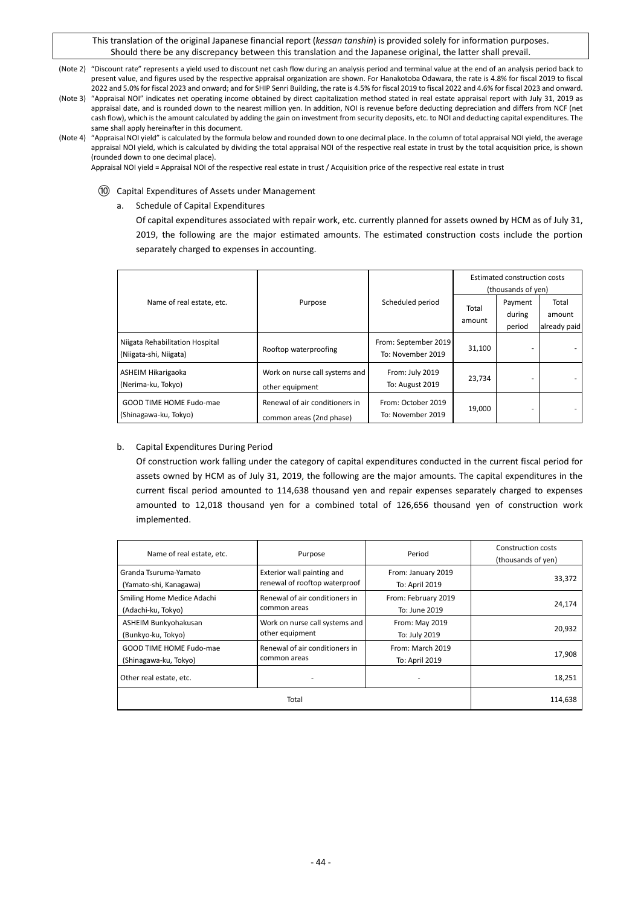- (Note 2) "Discount rate" represents a yield used to discount net cash flow during an analysis period and terminal value at the end of an analysis period back to present value, and figures used by the respective appraisal organization are shown. For Hanakotoba Odawara, the rate is 4.8% for fiscal 2019 to fiscal 2022 and 5.0% for fiscal 2023 and onward; and for SHIP Senri Building, the rate is 4.5% for fiscal 2019 to fiscal 2022 and 4.6% for fiscal 2023 and onward.
- (Note 3) "Appraisal NOI" indicates net operating income obtained by direct capitalization method stated in real estate appraisal report with July 31, 2019 as appraisal date, and is rounded down to the nearest million yen. In addition, NOI is revenue before deducting depreciation and differs from NCF (net cash flow), which is the amount calculated by adding the gain on investment from security deposits, etc. to NOI and deducting capital expenditures. The same shall apply hereinafter in this document.
- (Note 4) "Appraisal NOI yield" is calculated by the formula below and rounded down to one decimal place. In the column of total appraisal NOI yield, the average appraisal NOI yield, which is calculated by dividing the total appraisal NOI of the respective real estate in trust by the total acquisition price, is shown (rounded down to one decimal place).

Appraisal NOI yield = Appraisal NOI of the respective real estate in trust / Acquisition price of the respective real estate in trust

- ⑩ Capital Expenditures of Assets under Management
	- a. Schedule of Capital Expenditures

Of capital expenditures associated with repair work, etc. currently planned for assets owned by HCM as of July 31, 2019, the following are the major estimated amounts. The estimated construction costs include the portion separately charged to expenses in accounting.

|                                                           |                                                            |                                           | Estimated construction costs<br>(thousands of yen) |                             |                                 |  |
|-----------------------------------------------------------|------------------------------------------------------------|-------------------------------------------|----------------------------------------------------|-----------------------------|---------------------------------|--|
| Name of real estate, etc.                                 | Purpose                                                    | Scheduled period                          | Total<br>amount                                    | Payment<br>during<br>period | Total<br>amount<br>already paid |  |
| Niigata Rehabilitation Hospital<br>(Niigata-shi, Niigata) | Rooftop waterproofing                                      | From: September 2019<br>To: November 2019 | 31,100                                             |                             |                                 |  |
| ASHEIM Hikarigaoka<br>(Nerima-ku, Tokyo)                  | Work on nurse call systems and<br>other equipment          | From: July 2019<br>To: August 2019        | 23,734                                             |                             |                                 |  |
| <b>GOOD TIME HOME Fudo-mae</b><br>(Shinagawa-ku, Tokyo)   | Renewal of air conditioners in<br>common areas (2nd phase) | From: October 2019<br>To: November 2019   | 19,000                                             |                             |                                 |  |

#### b. Capital Expenditures During Period

Of construction work falling under the category of capital expenditures conducted in the current fiscal period for assets owned by HCM as of July 31, 2019, the following are the major amounts. The capital expenditures in the current fiscal period amounted to 114,638 thousand yen and repair expenses separately charged to expenses amounted to 12,018 thousand yen for a combined total of 126,656 thousand yen of construction work implemented.

| Name of real estate, etc.  | Purpose                        | Period              | Construction costs<br>(thousands of yen) |
|----------------------------|--------------------------------|---------------------|------------------------------------------|
| Granda Tsuruma-Yamato      | Exterior wall painting and     | From: January 2019  | 33,372                                   |
| (Yamato-shi, Kanagawa)     | renewal of rooftop waterproof  | To: April 2019      |                                          |
| Smiling Home Medice Adachi | Renewal of air conditioners in | From: February 2019 | 24,174                                   |
| (Adachi-ku, Tokyo)         | common areas                   | To: June 2019       |                                          |
| ASHEIM Bunkyohakusan       | Work on nurse call systems and | From: May 2019      | 20,932                                   |
| (Bunkyo-ku, Tokyo)         | other equipment                | To: July 2019       |                                          |
| GOOD TIME HOME Fudo-mae    | Renewal of air conditioners in | From: March 2019    | 17,908                                   |
| (Shinagawa-ku, Tokyo)      | common areas                   | To: April 2019      |                                          |
| Other real estate, etc.    |                                |                     | 18,251                                   |
|                            | 114,638                        |                     |                                          |